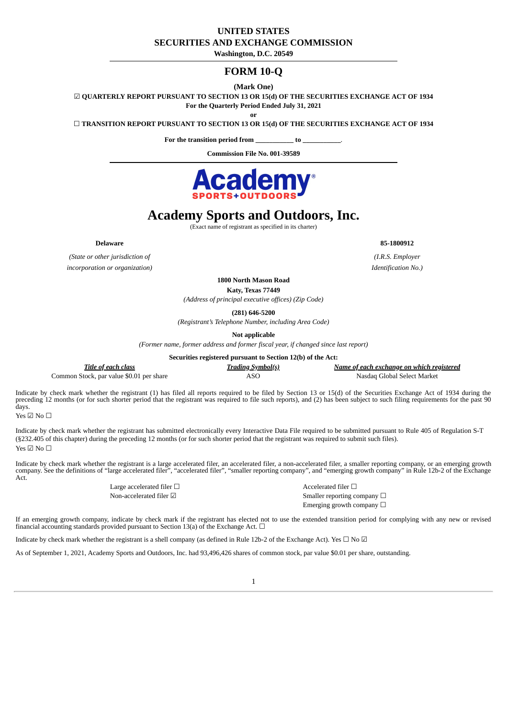# **UNITED STATES SECURITIES AND EXCHANGE COMMISSION**

**Washington, D.C. 20549**

# **FORM 10-Q**

**(Mark One)**

☑ **QUARTERLY REPORT PURSUANT TO SECTION 13 OR 15(d) OF THE SECURITIES EXCHANGE ACT OF 1934 For the Quarterly Period Ended July 31, 2021**

**or**

☐ **TRANSITION REPORT PURSUANT TO SECTION 13 OR 15(d) OF THE SECURITIES EXCHANGE ACT OF 1934**

For the transition period from \_\_\_\_\_\_\_\_\_\_\_\_\_\_ to

**Commission File No. 001-39589**



# **Academy Sports and Outdoors, Inc.**

(Exact name of registrant as specified in its charter)

*(State or other jurisdiction of incorporation or organization)*

**Delaware 85-1800912**

*(I.R.S. Employer Identification No.)*

**1800 North Mason Road**

**Katy, Texas 77449**

*(Address of principal executive offices) (Zip Code)*

**(281) 646-5200**

*(Registrant's Telephone Number, including Area Code)*

**Not applicable**

*(Former name, former address and former fiscal year, if changed since last report)*

**Securities registered pursuant to Section 12(b) of the Act:**

#### *Title of each class Trading Symbol(s) Name of each exchange on which registered*

Common Stock, par value \$0.01 per share ASO ASO Nasdaq Global Select Market

Indicate by check mark whether the registrant (1) has filed all reports required to be filed by Section 13 or 15(d) of the Securities Exchange Act of 1934 during the preceding 12 months (or for such shorter period that the registrant was required to file such reports), and (2) has been subject to such filing requirements for the past 90 days.

Yes ☑ No ☐

Indicate by check mark whether the registrant has submitted electronically every Interactive Data File required to be submitted pursuant to Rule 405 of Regulation S-T (§232.405 of this chapter) during the preceding 12 months (or for such shorter period that the registrant was required to submit such files). Yes ☑ No ☐

Indicate by check mark whether the registrant is a large accelerated filer, an accelerated filer, a non-accelerated filer, a smaller reporting company, or an emerging growth company. See the definitions of "large accelerated filer", "accelerated filer", "smaller reporting company", and "emerging growth company" in Rule 12b-2 of the Exchange Act.

Large accelerated filer □ and a set of a set of a set of a set of a set of a set of a set of a set of a set of a set of a set of a set of a set of a set of a set of a set of a set of a set of a set of a set of a set of a

Non-accelerated filer ☑ Smaller reporting company  $□$ Emerging growth company ☐

If an emerging growth company, indicate by check mark if the registrant has elected not to use the extended transition period for complying with any new or revised financial accounting standards provided pursuant to Section 13(a) of the Exchange Act.  $\Box$ 

Indicate by check mark whether the registrant is a shell company (as defined in Rule 12b-2 of the Exchange Act). Yes  $\Box$  No  $\Box$ 

As of September 1, 2021, Academy Sports and Outdoors, Inc. had 93,496,426 shares of common stock, par value \$0.01 per share, outstanding.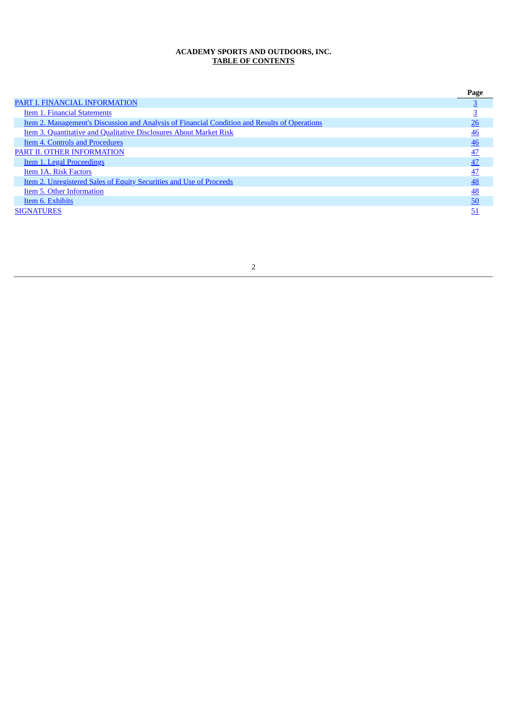# **ACADEMY SPORTS AND OUTDOORS, INC. TABLE OF CONTENTS**

<span id="page-1-0"></span>

|                                                                                               | Page            |
|-----------------------------------------------------------------------------------------------|-----------------|
| PART I. FINANCIAL INFORMATION                                                                 |                 |
| Item 1. Financial Statements                                                                  |                 |
| Item 2. Management's Discussion and Analysis of Financial Condition and Results of Operations | 26              |
| Item 3. Quantitative and Qualitative Disclosures About Market Risk                            | $\overline{46}$ |
| Item 4. Controls and Procedures                                                               | <u>46</u>       |
| PART II. OTHER INFORMATION                                                                    | <u>47</u>       |
| Item 1. Legal Proceedings                                                                     | $\frac{47}{1}$  |
| Item 1A. Risk Factors                                                                         | <u>47</u>       |
| Item 2. Unregistered Sales of Equity Securities and Use of Proceeds                           | 48              |
| Item 5. Other Information                                                                     | 48              |
| Item 6. Exhibits                                                                              | 50              |
| <b>SIGNATURES</b>                                                                             | 51              |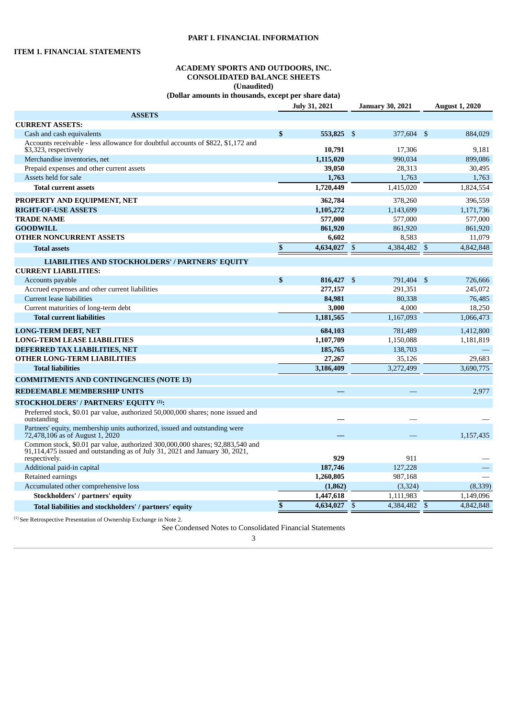# **PART I. FINANCIAL INFORMATION**

# <span id="page-2-0"></span>**ITEM 1. FINANCIAL STATEMENTS**

# **ACADEMY SPORTS AND OUTDOORS, INC. CONSOLIDATED BALANCE SHEETS (Unaudited)**

**(Dollar amounts in thousands, except per share data)**

|                                                                                                                                                                               | <b>July 31, 2021</b> |                | <b>January 30, 2021</b> | <b>August 1, 2020</b> |
|-------------------------------------------------------------------------------------------------------------------------------------------------------------------------------|----------------------|----------------|-------------------------|-----------------------|
| <b>ASSETS</b>                                                                                                                                                                 |                      |                |                         |                       |
| <b>CURRENT ASSETS:</b>                                                                                                                                                        |                      |                |                         |                       |
| Cash and cash equivalents                                                                                                                                                     | \$<br>553,825 \$     |                | 377,604 \$              | 884.029               |
| Accounts receivable - less allowance for doubtful accounts of \$822, \$1,172 and<br>\$3,323, respectively                                                                     | 10,791               |                | 17,306                  | 9,181                 |
| Merchandise inventories, net                                                                                                                                                  | 1,115,020            |                | 990,034                 | 899,086               |
| Prepaid expenses and other current assets                                                                                                                                     | 39,050               |                | 28,313                  | 30,495                |
| Assets held for sale                                                                                                                                                          | 1,763                |                | 1,763                   | 1,763                 |
| <b>Total current assets</b>                                                                                                                                                   | 1,720,449            |                | 1,415,020               | 1,824,554             |
| PROPERTY AND EQUIPMENT, NET                                                                                                                                                   | 362,784              |                | 378,260                 | 396,559               |
| <b>RIGHT-OF-USE ASSETS</b>                                                                                                                                                    | 1,105,272            |                | 1,143,699               | 1,171,736             |
| <b>TRADE NAME</b>                                                                                                                                                             | 577,000              |                | 577,000                 | 577,000               |
| <b>GOODWILL</b>                                                                                                                                                               | 861,920              |                | 861,920                 | 861,920               |
| <b>OTHER NONCURRENT ASSETS</b>                                                                                                                                                | 6,602                |                | 8.583                   | 11.079                |
| <b>Total assets</b>                                                                                                                                                           | \$<br>4,634,027      | $\mathcal{S}$  | 4,384,482 \$            | 4,842,848             |
| <b>LIABILITIES AND STOCKHOLDERS' / PARTNERS' EQUITY</b>                                                                                                                       |                      |                |                         |                       |
| <b>CURRENT LIABILITIES:</b>                                                                                                                                                   |                      |                |                         |                       |
| Accounts payable                                                                                                                                                              | \$<br>816,427        | -\$            | 791,404 \$              | 726,666               |
| Accrued expenses and other current liabilities                                                                                                                                | 277,157              |                | 291,351                 | 245,072               |
| Current lease liabilities                                                                                                                                                     | 84,981               |                | 80,338                  | 76,485                |
| Current maturities of long-term debt                                                                                                                                          | 3,000                |                | 4,000                   | 18,250                |
| <b>Total current liabilities</b>                                                                                                                                              | 1,181,565            |                | 1,167,093               | 1,066,473             |
| <b>LONG-TERM DEBT, NET</b>                                                                                                                                                    | 684,103              |                | 781,489                 | 1,412,800             |
| <b>LONG-TERM LEASE LIABILITIES</b>                                                                                                                                            | 1,107,709            |                | 1,150,088               | 1,181,819             |
| DEFERRED TAX LIABILITIES, NET                                                                                                                                                 | 185,765              |                | 138,703                 |                       |
| <b>OTHER LONG-TERM LIABILITIES</b>                                                                                                                                            | 27,267               |                | 35,126                  | 29,683                |
| <b>Total liabilities</b>                                                                                                                                                      | 3,186,409            |                | 3,272,499               | 3,690,775             |
| <b>COMMITMENTS AND CONTINGENCIES (NOTE 13)</b>                                                                                                                                |                      |                |                         |                       |
| REDEEMABLE MEMBERSHIP UNITS                                                                                                                                                   |                      |                |                         | 2.977                 |
| STOCKHOLDERS' / PARTNERS' EQUITY <sup>(1)</sup> :                                                                                                                             |                      |                |                         |                       |
| Preferred stock, \$0.01 par value, authorized 50,000,000 shares; none issued and<br>outstanding                                                                               |                      |                |                         |                       |
| Partners' equity, membership units authorized, issued and outstanding were<br>72,478,106 as of August 1, 2020                                                                 |                      |                |                         | 1,157,435             |
| Common stock, \$0.01 par value, authorized 300,000,000 shares; 92,883,540 and<br>91,114,475 issued and outstanding as of July 31, 2021 and January 30, 2021,<br>respectively. | 929                  |                | 911                     |                       |
| Additional paid-in capital                                                                                                                                                    | 187,746              |                | 127,228                 |                       |
| Retained earnings                                                                                                                                                             | 1,260,805            |                | 987,168                 |                       |
| Accumulated other comprehensive loss                                                                                                                                          | (1, 862)             |                | (3, 324)                | (8,339)               |
| Stockholders' / partners' equity                                                                                                                                              | 1,447,618            |                | 1,111,983               | 1,149,096             |
|                                                                                                                                                                               | \$<br>4,634,027      | $\mathfrak{F}$ | 4,384,482 \$            | 4,842,848             |
| Total liabilities and stockholders' / partners' equity                                                                                                                        |                      |                |                         |                       |

 $<sup>(1)</sup>$  See Retrospective Presentation of Ownership Exchange in Note 2.</sup>

See Condensed Notes to Consolidated Financial Statements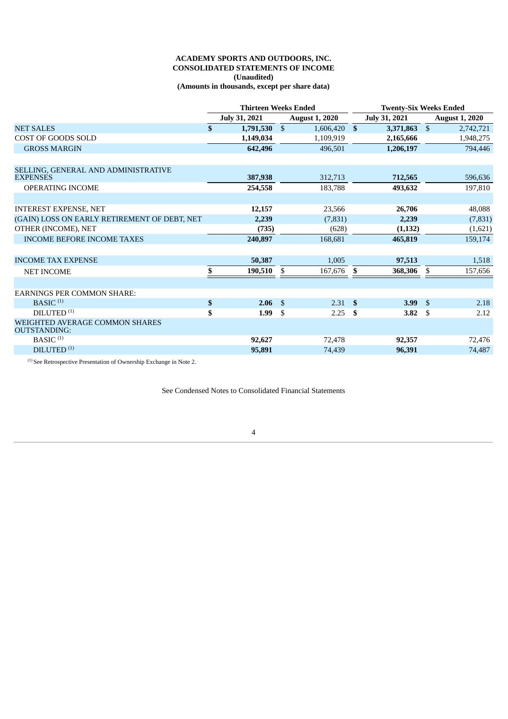# **ACADEMY SPORTS AND OUTDOORS, INC. CONSOLIDATED STATEMENTS OF INCOME (Unaudited) (Amounts in thousands, except per share data)**

|                                                              |              | <b>Thirteen Weeks Ended</b> |              |                       | <b>Twenty-Six Weeks Ended</b> |                      |              |                       |
|--------------------------------------------------------------|--------------|-----------------------------|--------------|-----------------------|-------------------------------|----------------------|--------------|-----------------------|
|                                                              |              | <b>July 31, 2021</b>        |              | <b>August 1, 2020</b> |                               | <b>July 31, 2021</b> |              | <b>August 1, 2020</b> |
| <b>NET SALES</b>                                             | $\mathbf{s}$ | 1,791,530                   | $\mathbb{S}$ | 1,606,420             | $\mathbf{s}$                  | 3,371,863            | $\mathbf{s}$ | 2,742,721             |
| <b>COST OF GOODS SOLD</b>                                    |              | 1,149,034                   |              | 1,109,919             |                               | 2,165,666            |              | 1,948,275             |
| <b>GROSS MARGIN</b>                                          |              | 642,496                     |              | 496,501               |                               | 1,206,197            |              | 794,446               |
| SELLING, GENERAL AND ADMINISTRATIVE<br><b>EXPENSES</b>       |              | 387,938                     |              | 312,713               |                               | 712,565              |              | 596,636               |
| <b>OPERATING INCOME</b>                                      |              | 254,558                     |              | 183,788               |                               | 493,632              |              | 197,810               |
|                                                              |              |                             |              |                       |                               |                      |              |                       |
| <b>INTEREST EXPENSE, NET</b>                                 |              | 12,157                      |              | 23,566                |                               | 26,706               |              | 48,088                |
| (GAIN) LOSS ON EARLY RETIREMENT OF DEBT, NET                 |              | 2,239                       |              | (7, 831)              |                               | 2,239                |              | (7,831)               |
| OTHER (INCOME), NET                                          |              | (735)                       |              | (628)                 |                               | (1, 132)             |              | (1,621)               |
| <b>INCOME BEFORE INCOME TAXES</b>                            |              | 240,897                     |              | 168,681               |                               | 465,819              |              | 159,174               |
| <b>INCOME TAX EXPENSE</b>                                    |              | 50,387                      |              | 1,005                 |                               | 97,513               |              | 1,518                 |
| <b>NET INCOME</b>                                            | \$           | 190,510                     | \$           | 167,676               | \$                            | 368,306              | -S           | 157,656               |
|                                                              |              |                             |              |                       |                               |                      |              |                       |
| <b>EARNINGS PER COMMON SHARE:</b>                            |              |                             |              |                       |                               |                      |              |                       |
| $BASIC$ <sup>(1)</sup>                                       | $\mathbf{s}$ | $2.06$ \$                   |              | $2.31 \quad$ \$       |                               | 3.99                 | - \$         | 2.18                  |
| DILLUTED <sup>(1)</sup>                                      | \$           | 1.99                        | \$           | 2.25                  | \$                            | 3.82                 | -\$          | 2.12                  |
| <b>WEIGHTED AVERAGE COMMON SHARES</b><br><b>OUTSTANDING:</b> |              |                             |              |                       |                               |                      |              |                       |
| BASIC <sup>(1)</sup>                                         |              | 92,627                      |              | 72,478                |                               | 92,357               |              | 72,476                |
| DILUTED <sup>(1)</sup>                                       |              | 95,891                      |              | 74,439                |                               | 96,391               |              | 74,487                |

 $<sup>(1)</sup>$  See Retrospective Presentation of Ownership Exchange in Note 2.</sup>

See Condensed Notes to Consolidated Financial Statements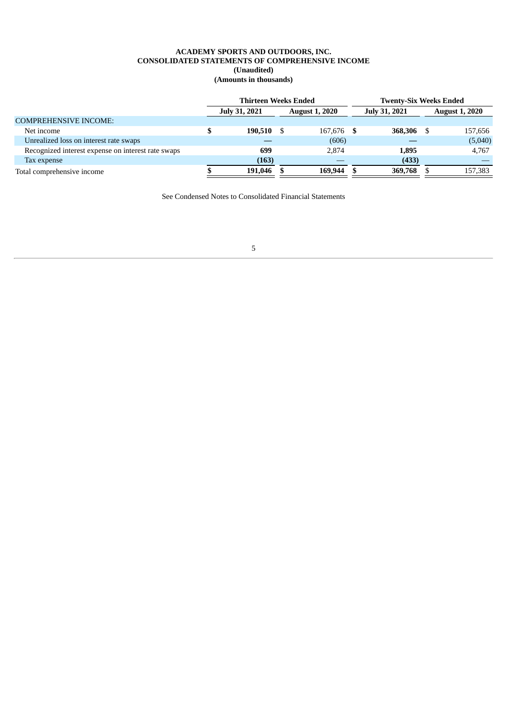# **ACADEMY SPORTS AND OUTDOORS, INC. CONSOLIDATED STATEMENTS OF COMPREHENSIVE INCOME (Unaudited) (Amounts in thousands)**

|                                                    |                      | <b>Thirteen Weeks Ended</b> | <b>Twenty-Six Weeks Ended</b> |                       |  |  |
|----------------------------------------------------|----------------------|-----------------------------|-------------------------------|-----------------------|--|--|
|                                                    | <b>July 31, 2021</b> | <b>August 1, 2020</b>       | <b>July 31, 2021</b>          | <b>August 1, 2020</b> |  |  |
| <b>COMPREHENSIVE INCOME:</b>                       |                      |                             |                               |                       |  |  |
| Net income                                         | S<br>190,510         | 167,676 \$                  | 368,306                       | 157,656               |  |  |
| Unrealized loss on interest rate swaps             |                      | (606)                       |                               | (5,040)               |  |  |
| Recognized interest expense on interest rate swaps | 699                  | 2.874                       | 1,895                         | 4.767                 |  |  |
| Tax expense                                        | (163)                |                             | (433)                         |                       |  |  |
| Total comprehensive income                         | 191,046              | 169,944                     | 369,768                       | 157,383               |  |  |

See Condensed Notes to Consolidated Financial Statements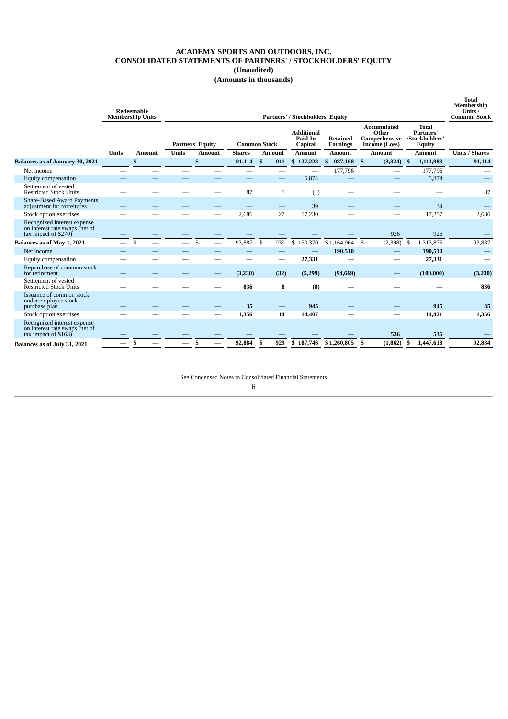# **ACADEMY SPORTS AND OUTDOORS, INC. CONSOLIDATED STATEMENTS OF PARTNERS' / STOCKHOLDERS' EQUITY (Unaudited) (Amounts in thousands)**

|                                                                                         |                          | Redeemable<br><b>Membership Units</b> |                          |                          |               |                     | Partners' / Stockholders' Equity        |                                    |                                                               |                                                              | <b>Total</b><br>Membership<br>Units /<br><b>Common Stock</b> |
|-----------------------------------------------------------------------------------------|--------------------------|---------------------------------------|--------------------------|--------------------------|---------------|---------------------|-----------------------------------------|------------------------------------|---------------------------------------------------------------|--------------------------------------------------------------|--------------------------------------------------------------|
|                                                                                         |                          |                                       |                          | <b>Partners' Equity</b>  |               | <b>Common Stock</b> | <b>Additional</b><br>Paid-In<br>Capital | <b>Retained</b><br><b>Earnings</b> | <b>Accumulated</b><br>Other<br>Comprehensive<br>Income (Loss) | <b>Total</b><br>Partners'<br>/Stockholders'<br><b>Equity</b> |                                                              |
|                                                                                         | <b>Units</b>             | <b>Amount</b>                         | <b>Units</b>             | <b>Amount</b>            | <b>Shares</b> | <b>Amount</b>       | Amount                                  | <b>Amount</b>                      | <b>Amount</b>                                                 | <b>Amount</b>                                                | <b>Units / Shares</b>                                        |
| <b>Balances as of January 30, 2021</b>                                                  |                          | \$                                    |                          | \$                       | 91,114        | $\mathbf{s}$<br>911 | \$127,228                               | 987,168<br>\$                      | $\mathbf{s}$<br>(3, 324)                                      | $\mathbf{s}$<br>1,111,983                                    | 91,114                                                       |
| Net income                                                                              | $\overline{\phantom{0}}$ | $\overline{\phantom{0}}$              | $\overline{\phantom{0}}$ | $\overline{\phantom{0}}$ |               |                     |                                         | 177,796                            | $\overline{\phantom{0}}$                                      | 177,796                                                      |                                                              |
| Equity compensation                                                                     |                          |                                       |                          |                          |               |                     | 5,874                                   |                                    |                                                               | 5,874                                                        |                                                              |
| Settlement of vested<br><b>Restricted Stock Units</b>                                   |                          |                                       |                          |                          | 87            | $\mathbf{1}$        | (1)                                     |                                    |                                                               |                                                              | 87                                                           |
| <b>Share-Based Award Payments</b><br>adjustment for forfeitures                         |                          |                                       |                          |                          |               |                     | 39                                      |                                    |                                                               | 39                                                           |                                                              |
| Stock option exercises                                                                  |                          |                                       |                          |                          | 2,686         | 27                  | 17,230                                  |                                    |                                                               | 17,257                                                       | 2,686                                                        |
| Recognized interest expense<br>on interest rate swaps (net of<br>tax impact of $$270$ ) |                          |                                       |                          |                          |               |                     |                                         |                                    | 926                                                           | 926                                                          |                                                              |
| Balances as of May 1, 2021                                                              | $\overline{\phantom{0}}$ | \$                                    | $\overline{\phantom{0}}$ | \$                       | 93,887        | \$<br>939           | \$150,370                               | \$1,164,964                        | \$<br>(2,398)                                                 | -\$<br>1,313,875                                             | 93,887                                                       |
| Net income                                                                              |                          |                                       |                          |                          |               |                     |                                         | 190,510                            |                                                               | 190,510                                                      |                                                              |
| Equity compensation                                                                     |                          |                                       |                          |                          |               |                     | 27,331                                  |                                    |                                                               | 27,331                                                       |                                                              |
| Repurchase of common stock<br>for retirement                                            |                          |                                       |                          |                          | (3,230)       | (32)                | (5,299)                                 | (94, 669)                          |                                                               | (100,000)                                                    | (3,230)                                                      |
| Settlement of vested<br><b>Restricted Stock Units</b>                                   |                          |                                       |                          |                          | 836           | 8                   | (8)                                     |                                    |                                                               |                                                              | 836                                                          |
| Issuance of common stock<br>under employee stock<br>purchase plan                       |                          |                                       |                          |                          | 35            |                     | 945                                     |                                    |                                                               | 945                                                          | 35                                                           |
| Stock option exercises                                                                  |                          |                                       |                          |                          | 1,356         | 14                  | 14,407                                  |                                    |                                                               | 14,421                                                       | 1,356                                                        |
| Recognized interest expense<br>on interest rate swaps (net of<br>tax impact of $$163$ ) |                          |                                       |                          |                          |               |                     |                                         |                                    | 536                                                           | 536                                                          |                                                              |
| Balances as of July 31, 2021                                                            |                          | \$                                    |                          | £.                       | 92,884        | \$<br>929           | \$187,746                               | \$1,260,805                        | (1, 862)<br>\$                                                | 1,447,618<br>\$                                              | 92,884                                                       |

See Condensed Notes to Consolidated Financial Statements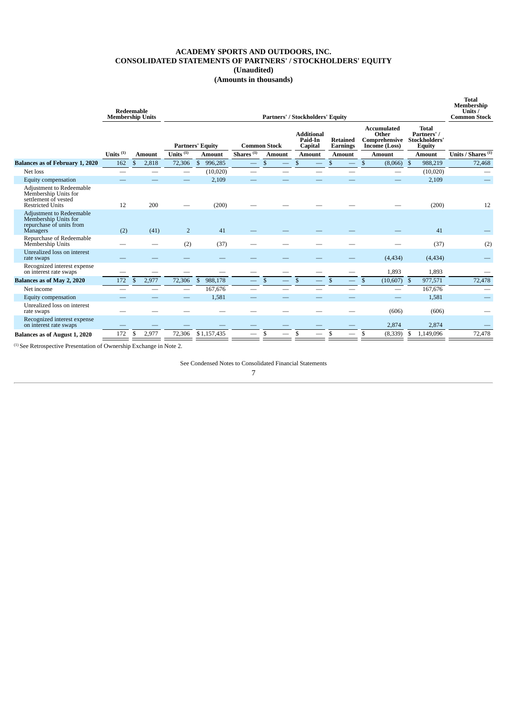# **ACADEMY SPORTS AND OUTDOORS, INC. CONSOLIDATED STATEMENTS OF PARTNERS' / STOCKHOLDERS' EQUITY (Unaudited) (Amounts in thousands)**

|                                                                                                     |                      | Redeemable<br><b>Membership Units</b> |                          |                         |                          |                                          |                                           | <b>Partners' / Stockholders' Equity</b> |                                          |                                                               |                                                               | <b>Total</b><br>Membership<br>Units $\overline{\phantom{a}}$<br><b>Common Stock</b> |
|-----------------------------------------------------------------------------------------------------|----------------------|---------------------------------------|--------------------------|-------------------------|--------------------------|------------------------------------------|-------------------------------------------|-----------------------------------------|------------------------------------------|---------------------------------------------------------------|---------------------------------------------------------------|-------------------------------------------------------------------------------------|
|                                                                                                     |                      |                                       |                          | <b>Partners' Equity</b> |                          | <b>Common Stock</b>                      |                                           | <b>Additional</b><br>Paid-In<br>Capital | Retained<br><b>Earnings</b>              | <b>Accumulated</b><br>Other<br>Comprehensive<br>Income (Loss) | <b>Total</b><br>Partners' /<br>Stockholders'<br><b>Equity</b> |                                                                                     |
|                                                                                                     | Units <sup>(1)</sup> | <b>Amount</b>                         | Units $(1)$              | <b>Amount</b>           | Shares <sup>(1)</sup>    | <b>Amount</b>                            |                                           | <b>Amount</b>                           | <b>Amount</b>                            | <b>Amount</b>                                                 | <b>Amount</b>                                                 | Units / Shares <sup>(1)</sup>                                                       |
| <b>Balances as of February 1, 2020</b>                                                              | 162                  | 2,818                                 | 72,306                   | 996,285<br>S            | $\qquad \qquad -$        | $\mathbb{S}$<br>$\overline{\phantom{0}}$ | $\mathcal{S}$                             |                                         | $\mathbb{S}$<br>$\overline{\phantom{0}}$ | $\mathbf S$<br>(8,066)                                        | 988,219<br>$\mathbb{S}$                                       | 72,468                                                                              |
| Net loss                                                                                            |                      |                                       | $\overline{\phantom{0}}$ | (10,020)                | $\overline{\phantom{0}}$ |                                          |                                           |                                         |                                          |                                                               | (10,020)                                                      |                                                                                     |
| Equity compensation                                                                                 |                      |                                       |                          | 2,109                   |                          |                                          |                                           |                                         |                                          |                                                               | 2,109                                                         |                                                                                     |
| Adjustment to Redeemable<br>Membership Units for<br>settlement of vested<br><b>Restricted Units</b> | 12                   | 200                                   |                          | (200)                   |                          |                                          |                                           |                                         |                                          |                                                               | (200)                                                         | 12                                                                                  |
| Adjustment to Redeemable<br>Membership Units for<br>repurchase of units from<br>Managers            | (2)                  | (41)                                  | 2                        | 41                      |                          |                                          |                                           |                                         |                                          |                                                               | 41                                                            |                                                                                     |
| Repurchase of Redeemable<br>Membership Units                                                        |                      |                                       | (2)                      | (37)                    |                          |                                          |                                           |                                         |                                          |                                                               | (37)                                                          | (2)                                                                                 |
| Unrealized loss on interest<br>rate swaps                                                           |                      |                                       |                          |                         |                          |                                          |                                           |                                         |                                          | (4,434)                                                       | (4,434)                                                       |                                                                                     |
| Recognized interest expense<br>on interest rate swaps                                               |                      |                                       |                          |                         |                          |                                          |                                           |                                         |                                          | 1,893                                                         | 1,893                                                         |                                                                                     |
| Balances as of May 2, 2020                                                                          | 172                  | $\mathbb{S}$<br>2,977                 | 72,306                   | 988,178<br>\$           | $\overline{\phantom{0}}$ | $\mathcal{S}$                            | $\mathcal{S}$<br>$\overline{\phantom{0}}$ |                                         | $\mathbf{s}$<br>$\overline{\phantom{0}}$ | $\mathcal{S}$<br>(10,607)                                     | $\mathfrak{S}$<br>977,571                                     | 72,478                                                                              |
| Net income                                                                                          |                      |                                       |                          | 167,676                 |                          |                                          |                                           |                                         |                                          | $\overline{\phantom{0}}$                                      | 167,676                                                       |                                                                                     |
| Equity compensation                                                                                 |                      |                                       |                          | 1,581                   |                          |                                          |                                           |                                         |                                          |                                                               | 1,581                                                         |                                                                                     |
| Unrealized loss on interest<br>rate swaps                                                           |                      |                                       |                          |                         |                          |                                          |                                           |                                         |                                          | (606)                                                         | (606)                                                         |                                                                                     |
| Recognized interest expense<br>on interest rate swaps                                               |                      |                                       |                          |                         |                          |                                          |                                           |                                         |                                          | 2,874                                                         | 2,874                                                         |                                                                                     |
| Balances as of August 1, 2020                                                                       | 172                  | 2,977<br>\$                           | 72,306                   | \$1,157,435             |                          | \$                                       | \$                                        |                                         | \$<br>$\overline{\phantom{0}}$           | \$<br>(8,339)                                                 | 1,149,096<br>-S                                               | 72,478                                                                              |

 $<sup>(1)</sup>$  See Retrospective Presentation of Ownership Exchange in Note 2.</sup>

See Condensed Notes to Consolidated Financial Statements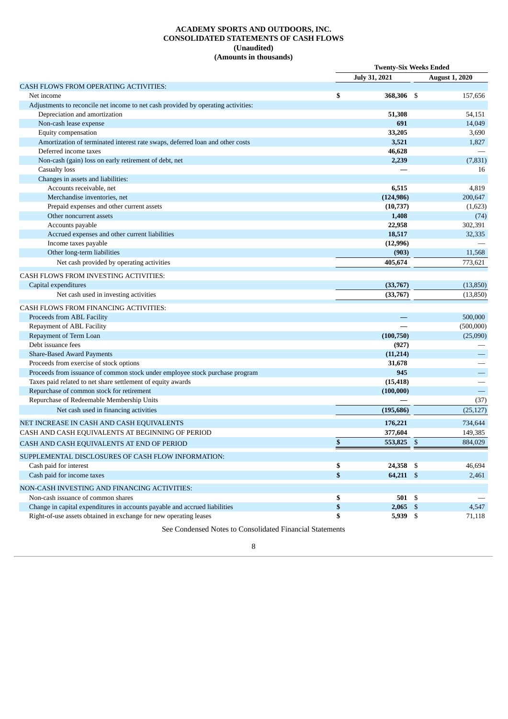### **ACADEMY SPORTS AND OUTDOORS, INC. CONSOLIDATED STATEMENTS OF CASH FLOWS (Unaudited) (Amounts in thousands)**

|                                                                                   |          | <b>Twenty-Six Weeks Ended</b> |                       |
|-----------------------------------------------------------------------------------|----------|-------------------------------|-----------------------|
|                                                                                   |          | <b>July 31, 2021</b>          | <b>August 1, 2020</b> |
| <b>CASH FLOWS FROM OPERATING ACTIVITIES:</b>                                      |          |                               |                       |
| Net income                                                                        | \$       | 368,306 \$                    | 157,656               |
| Adjustments to reconcile net income to net cash provided by operating activities: |          |                               |                       |
| Depreciation and amortization                                                     |          | 51,308                        | 54,151                |
| Non-cash lease expense                                                            |          | 691                           | 14,049                |
| Equity compensation                                                               |          | 33,205                        | 3,690                 |
| Amortization of terminated interest rate swaps, deferred loan and other costs     |          | 3,521                         | 1,827                 |
| Deferred income taxes                                                             |          | 46,628                        |                       |
| Non-cash (gain) loss on early retirement of debt, net                             |          | 2,239                         | (7, 831)              |
| <b>Casualty loss</b>                                                              |          |                               | 16                    |
| Changes in assets and liabilities:                                                |          |                               |                       |
| Accounts receivable, net                                                          |          | 6,515                         | 4,819                 |
| Merchandise inventories, net                                                      |          | (124, 986)                    | 200,647               |
| Prepaid expenses and other current assets                                         |          | (10,737)                      | (1,623)               |
| Other noncurrent assets                                                           |          | 1,408                         | (74)                  |
| Accounts payable                                                                  |          | 22,958                        | 302,391               |
| Accrued expenses and other current liabilities                                    |          | 18,517                        | 32,335                |
| Income taxes payable                                                              |          | (12,996)                      |                       |
| Other long-term liabilities                                                       |          | (903)                         | 11,568                |
| Net cash provided by operating activities                                         |          | 405,674                       | 773,621               |
| CASH FLOWS FROM INVESTING ACTIVITIES:                                             |          |                               |                       |
| Capital expenditures                                                              |          | (33,767)                      | (13, 850)             |
| Net cash used in investing activities                                             |          | (33,767)                      | (13, 850)             |
| CASH FLOWS FROM FINANCING ACTIVITIES:                                             |          |                               |                       |
| Proceeds from ABL Facility                                                        |          |                               | 500,000               |
| Repayment of ABL Facility                                                         |          |                               | (500,000)             |
| Repayment of Term Loan                                                            |          | (100, 750)                    | (25,090)              |
| Debt issuance fees                                                                |          | (927)                         |                       |
| <b>Share-Based Award Payments</b>                                                 |          | (11,214)                      |                       |
| Proceeds from exercise of stock options                                           |          | 31,678                        |                       |
| Proceeds from issuance of common stock under employee stock purchase program      |          | 945                           |                       |
| Taxes paid related to net share settlement of equity awards                       |          | (15, 418)                     |                       |
| Repurchase of common stock for retirement                                         |          | (100, 000)                    |                       |
| Repurchase of Redeemable Membership Units                                         |          |                               | (37)                  |
| Net cash used in financing activities                                             |          | (195, 686)                    | (25, 127)             |
| NET INCREASE IN CASH AND CASH EQUIVALENTS                                         |          | 176,221                       | 734,644               |
| CASH AND CASH EQUIVALENTS AT BEGINNING OF PERIOD                                  |          | 377,604                       | 149,385               |
| CASH AND CASH EQUIVALENTS AT END OF PERIOD                                        | \$       | 553,825 \$                    | 884,029               |
|                                                                                   |          |                               |                       |
| SUPPLEMENTAL DISCLOSURES OF CASH FLOW INFORMATION:                                |          |                               |                       |
| Cash paid for interest<br>Cash paid for income taxes                              | \$<br>\$ | $24,358$ \$<br>64,211 \$      | 46,694<br>2,461       |
|                                                                                   |          |                               |                       |
| NON-CASH INVESTING AND FINANCING ACTIVITIES:                                      |          |                               |                       |
| Non-cash issuance of common shares                                                | \$       | 501S                          |                       |
| Change in capital expenditures in accounts payable and accrued liabilities        | \$       | 2,065                         | \$<br>4,547           |
| Right-of-use assets obtained in exchange for new operating leases                 | \$       | 5,939                         | \$<br>71,118          |

See Condensed Notes to Consolidated Financial Statements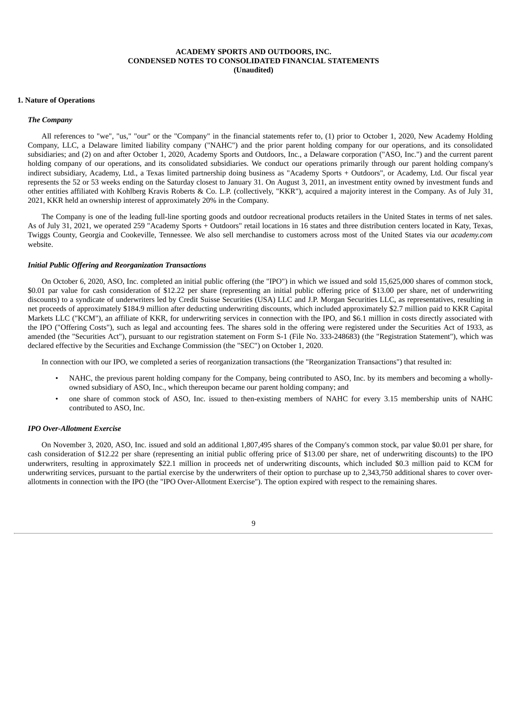### **ACADEMY SPORTS AND OUTDOORS, INC. CONDENSED NOTES TO CONSOLIDATED FINANCIAL STATEMENTS (Unaudited)**

#### **1. Nature of Operations**

#### *The Company*

All references to "we", "us," "our" or the "Company" in the financial statements refer to, (1) prior to October 1, 2020, New Academy Holding Company, LLC, a Delaware limited liability company ("NAHC") and the prior parent holding company for our operations, and its consolidated subsidiaries; and (2) on and after October 1, 2020, Academy Sports and Outdoors, Inc., a Delaware corporation ("ASO, Inc.") and the current parent holding company of our operations, and its consolidated subsidiaries. We conduct our operations primarily through our parent holding company's indirect subsidiary, Academy, Ltd., a Texas limited partnership doing business as "Academy Sports + Outdoors", or Academy, Ltd. Our fiscal year represents the 52 or 53 weeks ending on the Saturday closest to January 31. On August 3, 2011, an investment entity owned by investment funds and other entities affiliated with Kohlberg Kravis Roberts & Co. L.P. (collectively, "KKR"), acquired a majority interest in the Company. As of July 31, 2021, KKR held an ownership interest of approximately 20% in the Company.

The Company is one of the leading full-line sporting goods and outdoor recreational products retailers in the United States in terms of net sales. As of July 31, 2021, we operated 259 "Academy Sports + Outdoors" retail locations in 16 states and three distribution centers located in Katy, Texas, Twiggs County, Georgia and Cookeville, Tennessee. We also sell merchandise to customers across most of the United States via our *academy.com* website.

### *Initial Public Offering and Reorganization Transactions*

On October 6, 2020, ASO, Inc. completed an initial public offering (the "IPO") in which we issued and sold 15,625,000 shares of common stock, \$0.01 par value for cash consideration of \$12.22 per share (representing an initial public offering price of \$13.00 per share, net of underwriting discounts) to a syndicate of underwriters led by Credit Suisse Securities (USA) LLC and J.P. Morgan Securities LLC, as representatives, resulting in net proceeds of approximately \$184.9 million after deducting underwriting discounts, which included approximately \$2.7 million paid to KKR Capital Markets LLC ("KCM"), an affiliate of KKR, for underwriting services in connection with the IPO, and \$6.1 million in costs directly associated with the IPO ("Offering Costs"), such as legal and accounting fees. The shares sold in the offering were registered under the Securities Act of 1933, as amended (the "Securities Act"), pursuant to our registration statement on Form S-1 (File No. 333-248683) (the "Registration Statement"), which was declared effective by the Securities and Exchange Commission (the "SEC") on October 1, 2020.

In connection with our IPO, we completed a series of reorganization transactions (the "Reorganization Transactions") that resulted in:

- NAHC, the previous parent holding company for the Company, being contributed to ASO, Inc. by its members and becoming a whollyowned subsidiary of ASO, Inc., which thereupon became our parent holding company; and
- one share of common stock of ASO, Inc. issued to then-existing members of NAHC for every 3.15 membership units of NAHC contributed to ASO, Inc.

#### *IPO Over-Allotment Exercise*

On November 3, 2020, ASO, Inc. issued and sold an additional 1,807,495 shares of the Company's common stock, par value \$0.01 per share, for cash consideration of \$12.22 per share (representing an initial public offering price of \$13.00 per share, net of underwriting discounts) to the IPO underwriters, resulting in approximately \$22.1 million in proceeds net of underwriting discounts, which included \$0.3 million paid to KCM for underwriting services, pursuant to the partial exercise by the underwriters of their option to purchase up to 2,343,750 additional shares to cover overallotments in connection with the IPO (the "IPO Over-Allotment Exercise"). The option expired with respect to the remaining shares.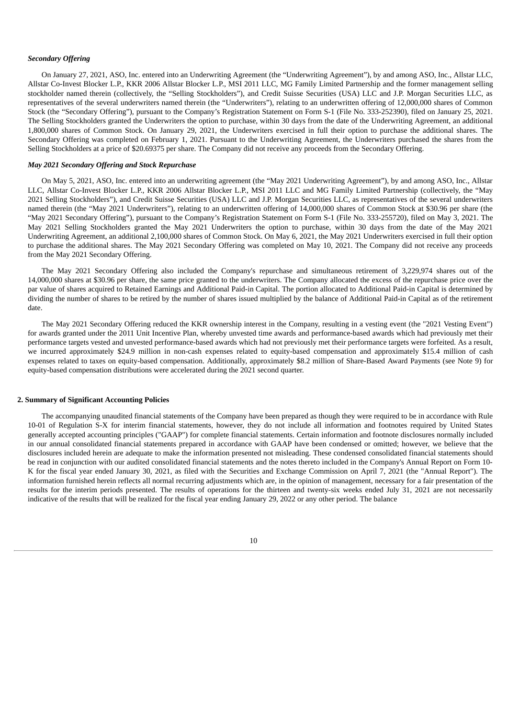#### *Secondary Offering*

On January 27, 2021, ASO, Inc. entered into an Underwriting Agreement (the "Underwriting Agreement"), by and among ASO, Inc., Allstar LLC, Allstar Co-Invest Blocker L.P., KKR 2006 Allstar Blocker L.P., MSI 2011 LLC, MG Family Limited Partnership and the former management selling stockholder named therein (collectively, the "Selling Stockholders"), and Credit Suisse Securities (USA) LLC and J.P. Morgan Securities LLC, as representatives of the several underwriters named therein (the "Underwriters"), relating to an underwritten offering of 12,000,000 shares of Common Stock (the "Secondary Offering"), pursuant to the Company's Registration Statement on Form S-1 (File No. 333-252390), filed on January 25, 2021. The Selling Stockholders granted the Underwriters the option to purchase, within 30 days from the date of the Underwriting Agreement, an additional 1,800,000 shares of Common Stock. On January 29, 2021, the Underwriters exercised in full their option to purchase the additional shares. The Secondary Offering was completed on February 1, 2021. Pursuant to the Underwriting Agreement, the Underwriters purchased the shares from the Selling Stockholders at a price of \$20.69375 per share. The Company did not receive any proceeds from the Secondary Offering.

#### *May 2021 Secondary Offering and Stock Repurchase*

On May 5, 2021, ASO, Inc. entered into an underwriting agreement (the "May 2021 Underwriting Agreement"), by and among ASO, Inc., Allstar LLC, Allstar Co-Invest Blocker L.P., KKR 2006 Allstar Blocker L.P., MSI 2011 LLC and MG Family Limited Partnership (collectively, the "May 2021 Selling Stockholders"), and Credit Suisse Securities (USA) LLC and J.P. Morgan Securities LLC, as representatives of the several underwriters named therein (the "May 2021 Underwriters"), relating to an underwritten offering of 14,000,000 shares of Common Stock at \$30.96 per share (the "May 2021 Secondary Offering"), pursuant to the Company's Registration Statement on Form S-1 (File No. 333-255720), filed on May 3, 2021. The May 2021 Selling Stockholders granted the May 2021 Underwriters the option to purchase, within 30 days from the date of the May 2021 Underwriting Agreement, an additional 2,100,000 shares of Common Stock. On May 6, 2021, the May 2021 Underwriters exercised in full their option to purchase the additional shares. The May 2021 Secondary Offering was completed on May 10, 2021. The Company did not receive any proceeds from the May 2021 Secondary Offering.

The May 2021 Secondary Offering also included the Company's repurchase and simultaneous retirement of 3,229,974 shares out of the 14,000,000 shares at \$30.96 per share, the same price granted to the underwriters. The Company allocated the excess of the repurchase price over the par value of shares acquired to Retained Earnings and Additional Paid-in Capital. The portion allocated to Additional Paid-in Capital is determined by dividing the number of shares to be retired by the number of shares issued multiplied by the balance of Additional Paid-in Capital as of the retirement date.

The May 2021 Secondary Offering reduced the KKR ownership interest in the Company, resulting in a vesting event (the "2021 Vesting Event") for awards granted under the 2011 Unit Incentive Plan, whereby unvested time awards and performance-based awards which had previously met their performance targets vested and unvested performance-based awards which had not previously met their performance targets were forfeited. As a result, we incurred approximately \$24.9 million in non-cash expenses related to equity-based compensation and approximately \$15.4 million of cash expenses related to taxes on equity-based compensation. Additionally, approximately \$8.2 million of Share-Based Award Payments (see Note 9) for equity-based compensation distributions were accelerated during the 2021 second quarter.

#### **2. Summary of Significant Accounting Policies**

The accompanying unaudited financial statements of the Company have been prepared as though they were required to be in accordance with Rule 10-01 of Regulation S-X for interim financial statements, however, they do not include all information and footnotes required by United States generally accepted accounting principles ("GAAP") for complete financial statements. Certain information and footnote disclosures normally included in our annual consolidated financial statements prepared in accordance with GAAP have been condensed or omitted; however, we believe that the disclosures included herein are adequate to make the information presented not misleading. These condensed consolidated financial statements should be read in conjunction with our audited consolidated financial statements and the notes thereto included in the Company's Annual Report on Form 10- K for the fiscal year ended January 30, 2021, as filed with the Securities and Exchange Commission on April 7, 2021 (the "Annual Report"). The information furnished herein reflects all normal recurring adjustments which are, in the opinion of management, necessary for a fair presentation of the results for the interim periods presented. The results of operations for the thirteen and twenty-six weeks ended July 31, 2021 are not necessarily indicative of the results that will be realized for the fiscal year ending January 29, 2022 or any other period. The balance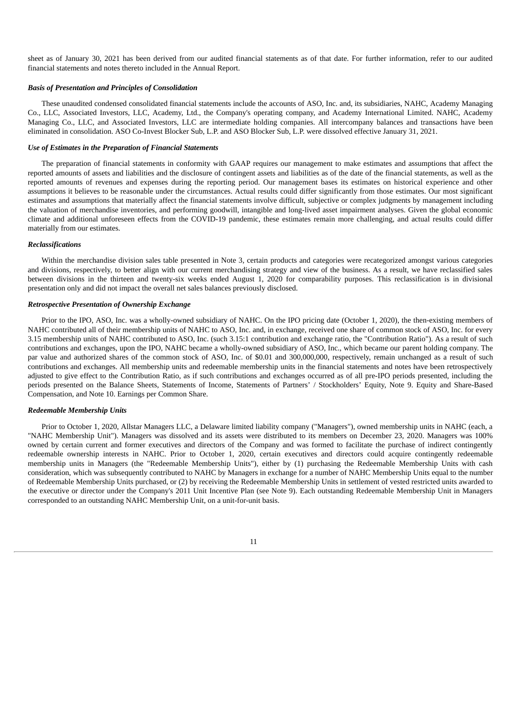sheet as of January 30, 2021 has been derived from our audited financial statements as of that date. For further information, refer to our audited financial statements and notes thereto included in the Annual Report.

### *Basis of Presentation and Principles of Consolidation*

These unaudited condensed consolidated financial statements include the accounts of ASO, Inc. and, its subsidiaries, NAHC, Academy Managing Co., LLC, Associated Investors, LLC, Academy, Ltd., the Company's operating company, and Academy International Limited. NAHC, Academy Managing Co., LLC, and Associated Investors, LLC are intermediate holding companies. All intercompany balances and transactions have been eliminated in consolidation. ASO Co-Invest Blocker Sub, L.P. and ASO Blocker Sub, L.P. were dissolved effective January 31, 2021.

#### *Use of Estimates in the Preparation of Financial Statements*

The preparation of financial statements in conformity with GAAP requires our management to make estimates and assumptions that affect the reported amounts of assets and liabilities and the disclosure of contingent assets and liabilities as of the date of the financial statements, as well as the reported amounts of revenues and expenses during the reporting period. Our management bases its estimates on historical experience and other assumptions it believes to be reasonable under the circumstances. Actual results could differ significantly from those estimates. Our most significant estimates and assumptions that materially affect the financial statements involve difficult, subjective or complex judgments by management including the valuation of merchandise inventories, and performing goodwill, intangible and long-lived asset impairment analyses. Given the global economic climate and additional unforeseen effects from the COVID-19 pandemic, these estimates remain more challenging, and actual results could differ materially from our estimates.

### *Reclassifications*

Within the merchandise division sales table presented in Note 3, certain products and categories were recategorized amongst various categories and divisions, respectively, to better align with our current merchandising strategy and view of the business. As a result, we have reclassified sales between divisions in the thirteen and twenty-six weeks ended August 1, 2020 for comparability purposes. This reclassification is in divisional presentation only and did not impact the overall net sales balances previously disclosed.

### *Retrospective Presentation of Ownership Exchange*

Prior to the IPO, ASO, Inc. was a wholly-owned subsidiary of NAHC. On the IPO pricing date (October 1, 2020), the then-existing members of NAHC contributed all of their membership units of NAHC to ASO, Inc. and, in exchange, received one share of common stock of ASO, Inc. for every 3.15 membership units of NAHC contributed to ASO, Inc. (such 3.15:1 contribution and exchange ratio, the "Contribution Ratio"). As a result of such contributions and exchanges, upon the IPO, NAHC became a wholly-owned subsidiary of ASO, Inc., which became our parent holding company. The par value and authorized shares of the common stock of ASO, Inc. of \$0.01 and 300,000,000, respectively, remain unchanged as a result of such contributions and exchanges. All membership units and redeemable membership units in the financial statements and notes have been retrospectively adjusted to give effect to the Contribution Ratio, as if such contributions and exchanges occurred as of all pre-IPO periods presented, including the periods presented on the Balance Sheets, Statements of Income, Statements of Partners' / Stockholders' Equity, Note 9. Equity and Share-Based Compensation, and Note 10. Earnings per Common Share.

### *Redeemable Membership Units*

Prior to October 1, 2020, Allstar Managers LLC, a Delaware limited liability company ("Managers"), owned membership units in NAHC (each, a "NAHC Membership Unit"). Managers was dissolved and its assets were distributed to its members on December 23, 2020. Managers was 100% owned by certain current and former executives and directors of the Company and was formed to facilitate the purchase of indirect contingently redeemable ownership interests in NAHC. Prior to October 1, 2020, certain executives and directors could acquire contingently redeemable membership units in Managers (the "Redeemable Membership Units"), either by (1) purchasing the Redeemable Membership Units with cash consideration, which was subsequently contributed to NAHC by Managers in exchange for a number of NAHC Membership Units equal to the number of Redeemable Membership Units purchased, or (2) by receiving the Redeemable Membership Units in settlement of vested restricted units awarded to the executive or director under the Company's 2011 Unit Incentive Plan (see Note 9). Each outstanding Redeemable Membership Unit in Managers corresponded to an outstanding NAHC Membership Unit, on a unit-for-unit basis.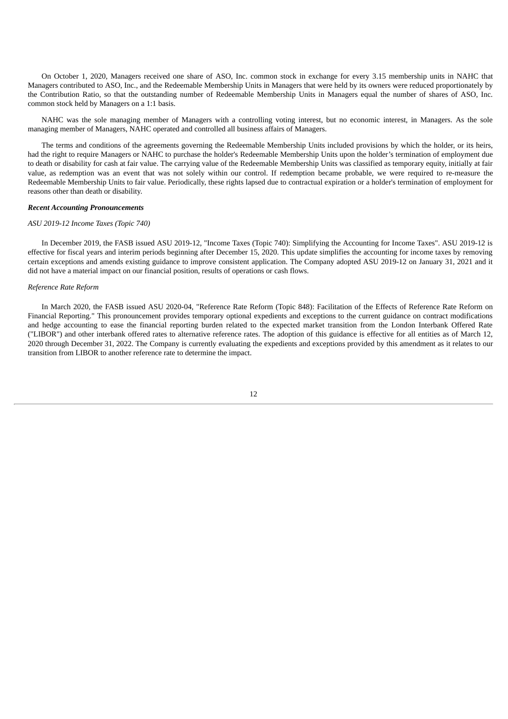On October 1, 2020, Managers received one share of ASO, Inc. common stock in exchange for every 3.15 membership units in NAHC that Managers contributed to ASO, Inc., and the Redeemable Membership Units in Managers that were held by its owners were reduced proportionately by the Contribution Ratio, so that the outstanding number of Redeemable Membership Units in Managers equal the number of shares of ASO, Inc. common stock held by Managers on a 1:1 basis.

NAHC was the sole managing member of Managers with a controlling voting interest, but no economic interest, in Managers. As the sole managing member of Managers, NAHC operated and controlled all business affairs of Managers.

The terms and conditions of the agreements governing the Redeemable Membership Units included provisions by which the holder, or its heirs, had the right to require Managers or NAHC to purchase the holder's Redeemable Membership Units upon the holder's termination of employment due to death or disability for cash at fair value. The carrying value of the Redeemable Membership Units was classified as temporary equity, initially at fair value, as redemption was an event that was not solely within our control. If redemption became probable, we were required to re-measure the Redeemable Membership Units to fair value. Periodically, these rights lapsed due to contractual expiration or a holder's termination of employment for reasons other than death or disability.

#### *Recent Accounting Pronouncements*

### *ASU 2019-12 Income Taxes (Topic 740)*

In December 2019, the FASB issued ASU 2019-12, "Income Taxes (Topic 740): Simplifying the Accounting for Income Taxes". ASU 2019-12 is effective for fiscal years and interim periods beginning after December 15, 2020. This update simplifies the accounting for income taxes by removing certain exceptions and amends existing guidance to improve consistent application. The Company adopted ASU 2019-12 on January 31, 2021 and it did not have a material impact on our financial position, results of operations or cash flows.

#### *Reference Rate Reform*

In March 2020, the FASB issued ASU 2020-04, "Reference Rate Reform (Topic 848): Facilitation of the Effects of Reference Rate Reform on Financial Reporting." This pronouncement provides temporary optional expedients and exceptions to the current guidance on contract modifications and hedge accounting to ease the financial reporting burden related to the expected market transition from the London Interbank Offered Rate ("LIBOR") and other interbank offered rates to alternative reference rates. The adoption of this guidance is effective for all entities as of March 12, 2020 through December 31, 2022. The Company is currently evaluating the expedients and exceptions provided by this amendment as it relates to our transition from LIBOR to another reference rate to determine the impact.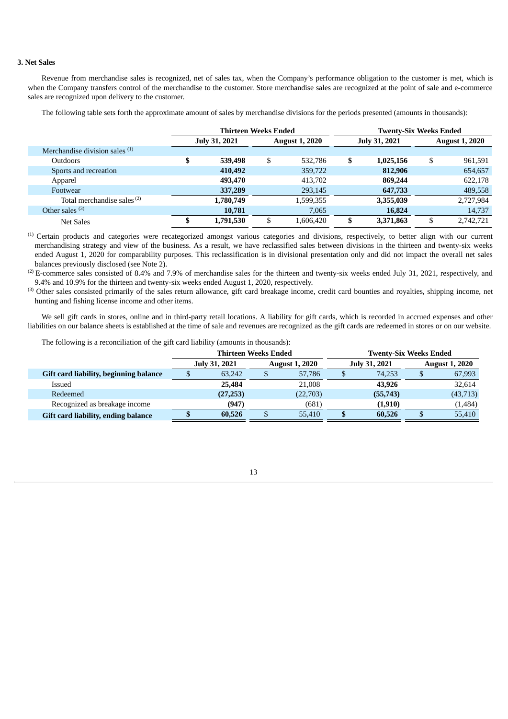### **3. Net Sales**

Revenue from merchandise sales is recognized, net of sales tax, when the Company's performance obligation to the customer is met, which is when the Company transfers control of the merchandise to the customer. Store merchandise sales are recognized at the point of sale and e-commerce sales are recognized upon delivery to the customer.

The following table sets forth the approximate amount of sales by merchandise divisions for the periods presented (amounts in thousands):

|                                        |                      | <b>Thirteen Weeks Ended</b> |                       |    | <b>Twenty-Six Weeks Ended</b> |                       |           |
|----------------------------------------|----------------------|-----------------------------|-----------------------|----|-------------------------------|-----------------------|-----------|
|                                        | <b>July 31, 2021</b> |                             | <b>August 1, 2020</b> |    | <b>July 31, 2021</b>          | <b>August 1, 2020</b> |           |
| Merchandise division sales $(1)$       |                      |                             |                       |    |                               |                       |           |
| <b>Outdoors</b>                        | \$                   | 539,498                     | \$<br>532,786         | \$ | 1,025,156                     |                       | 961,591   |
| Sports and recreation                  |                      | 410,492                     | 359,722               |    | 812,906                       |                       | 654,657   |
| Apparel                                |                      | 493,470                     | 413,702               |    | 869,244                       |                       | 622,178   |
| Footwear                               |                      | 337,289                     | 293,145               |    | 647,733                       |                       | 489,558   |
| Total merchandise sales <sup>(2)</sup> |                      | 1,780,749                   | 1,599,355             |    | 3,355,039                     |                       | 2,727,984 |
| Other sales $(3)$                      |                      | 10,781                      | 7,065                 |    | 16,824                        |                       | 14,737    |
| <b>Net Sales</b>                       |                      | 1,791,530                   | 1,606,420             | Φ  | 3,371,863                     |                       | 2,742,721 |

 $<sup>(1)</sup>$  Certain products and categories were recategorized amongst various categories and divisions, respectively, to better align with our current</sup> merchandising strategy and view of the business. As a result, we have reclassified sales between divisions in the thirteen and twenty-six weeks ended August 1, 2020 for comparability purposes. This reclassification is in divisional presentation only and did not impact the overall net sales balances previously disclosed (see Note 2).

 $^{(2)}$  E-commerce sales consisted of 8.4% and 7.9% of merchandise sales for the thirteen and twenty-six weeks ended July 31, 2021, respectively, and 9.4% and 10.9% for the thirteen and twenty-six weeks ended August 1, 2020, respectively.

 $(3)$  Other sales consisted primarily of the sales return allowance, gift card breakage income, credit card bounties and royalties, shipping income, net hunting and fishing license income and other items.

We sell gift cards in stores, online and in third-party retail locations. A liability for gift cards, which is recorded in accrued expenses and other liabilities on our balance sheets is established at the time of sale and revenues are recognized as the gift cards are redeemed in stores or on our website.

The following is a reconciliation of the gift card liability (amounts in thousands):

|                                        |                      | <b>Thirteen Weeks Ended</b> |                       |          | <b>Twenty-Six Weeks Ended</b> |          |  |                       |
|----------------------------------------|----------------------|-----------------------------|-----------------------|----------|-------------------------------|----------|--|-----------------------|
|                                        | <b>July 31, 2021</b> |                             | <b>August 1, 2020</b> |          | <b>July 31, 2021</b>          |          |  | <b>August 1, 2020</b> |
| Gift card liability, beginning balance |                      | 63,242                      |                       | 57,786   |                               | 74,253   |  | 67,993                |
| Issued                                 |                      | 25,484                      |                       | 21,008   |                               | 43,926   |  | 32,614                |
| Redeemed                               |                      | (27, 253)                   |                       | (22,703) |                               | (55,743) |  | (43, 713)             |
| Recognized as breakage income          |                      | (947)                       |                       | (681)    |                               | (1,910)  |  | (1,484)               |
| Gift card liability, ending balance    |                      | 60,526                      |                       | 55,410   |                               | 60,526   |  | 55,410                |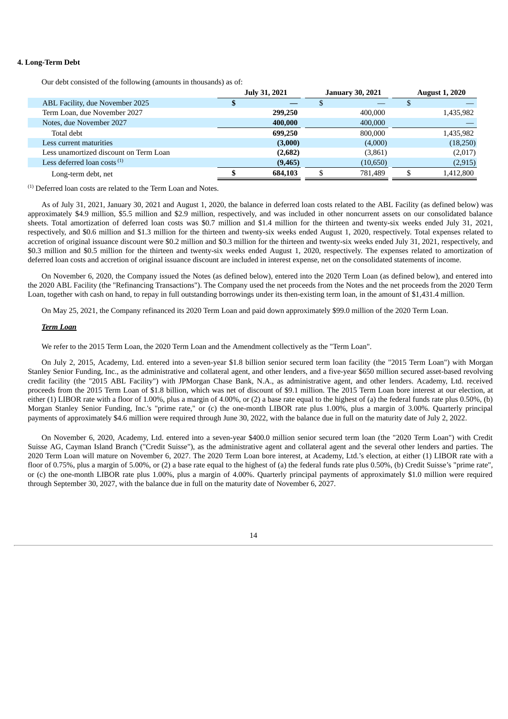### **4. Long-Term Debt**

Our debt consisted of the following (amounts in thousands) as of:

|                                        | <b>July 31, 2021</b> | <b>January 30, 2021</b> | <b>August 1, 2020</b> |           |  |
|----------------------------------------|----------------------|-------------------------|-----------------------|-----------|--|
| ABL Facility, due November 2025        |                      |                         |                       |           |  |
| Term Loan, due November 2027           | 299,250              | 400,000                 |                       | 1,435,982 |  |
| Notes, due November 2027               | 400,000              | 400,000                 |                       |           |  |
| Total debt                             | 699,250              | 800,000                 |                       | 1,435,982 |  |
| Less current maturities                | (3,000)              | (4,000)                 |                       | (18,250)  |  |
| Less unamortized discount on Term Loan | (2,682)              | (3, 861)                |                       | (2,017)   |  |
| Less deferred loan costs $(1)$         | (9, 465)             | (10,650)                |                       | (2, 915)  |  |
| Long-term debt, net                    | 684,103              | 781,489                 |                       | 1,412,800 |  |

 $<sup>(1)</sup>$  Deferred loan costs are related to the Term Loan and Notes.</sup>

As of July 31, 2021, January 30, 2021 and August 1, 2020, the balance in deferred loan costs related to the ABL Facility (as defined below) was approximately \$4.9 million, \$5.5 million and \$2.9 million, respectively, and was included in other noncurrent assets on our consolidated balance sheets. Total amortization of deferred loan costs was \$0.7 million and \$1.4 million for the thirteen and twenty-six weeks ended July 31, 2021, respectively, and \$0.6 million and \$1.3 million for the thirteen and twenty-six weeks ended August 1, 2020, respectively. Total expenses related to accretion of original issuance discount were \$0.2 million and \$0.3 million for the thirteen and twenty-six weeks ended July 31, 2021, respectively, and \$0.3 million and \$0.5 million for the thirteen and twenty-six weeks ended August 1, 2020, respectively. The expenses related to amortization of deferred loan costs and accretion of original issuance discount are included in interest expense, net on the consolidated statements of income.

On November 6, 2020, the Company issued the Notes (as defined below), entered into the 2020 Term Loan (as defined below), and entered into the 2020 ABL Facility (the "Refinancing Transactions"). The Company used the net proceeds from the Notes and the net proceeds from the 2020 Term Loan, together with cash on hand, to repay in full outstanding borrowings under its then-existing term loan, in the amount of \$1,431.4 million.

On May 25, 2021, the Company refinanced its 2020 Term Loan and paid down approximately \$99.0 million of the 2020 Term Loan.

#### *Term Loan*

We refer to the 2015 Term Loan, the 2020 Term Loan and the Amendment collectively as the "Term Loan".

On July 2, 2015, Academy, Ltd. entered into a seven-year \$1.8 billion senior secured term loan facility (the "2015 Term Loan") with Morgan Stanley Senior Funding, Inc., as the administrative and collateral agent, and other lenders, and a five-year \$650 million secured asset-based revolving credit facility (the "2015 ABL Facility") with JPMorgan Chase Bank, N.A., as administrative agent, and other lenders. Academy, Ltd. received proceeds from the 2015 Term Loan of \$1.8 billion, which was net of discount of \$9.1 million. The 2015 Term Loan bore interest at our election, at either (1) LIBOR rate with a floor of 1.00%, plus a margin of 4.00%, or (2) a base rate equal to the highest of (a) the federal funds rate plus 0.50%, (b) Morgan Stanley Senior Funding, Inc.'s "prime rate," or (c) the one-month LIBOR rate plus 1.00%, plus a margin of 3.00%. Quarterly principal payments of approximately \$4.6 million were required through June 30, 2022, with the balance due in full on the maturity date of July 2, 2022.

On November 6, 2020, Academy, Ltd. entered into a seven-year \$400.0 million senior secured term loan (the "2020 Term Loan") with Credit Suisse AG, Cayman Island Branch ("Credit Suisse"), as the administrative agent and collateral agent and the several other lenders and parties. The 2020 Term Loan will mature on November 6, 2027. The 2020 Term Loan bore interest, at Academy, Ltd.'s election, at either (1) LIBOR rate with a floor of 0.75%, plus a margin of 5.00%, or (2) a base rate equal to the highest of (a) the federal funds rate plus 0.50%, (b) Credit Suisse's "prime rate", or (c) the one-month LIBOR rate plus 1.00%, plus a margin of 4.00%. Quarterly principal payments of approximately \$1.0 million were required through September 30, 2027, with the balance due in full on the maturity date of November 6, 2027.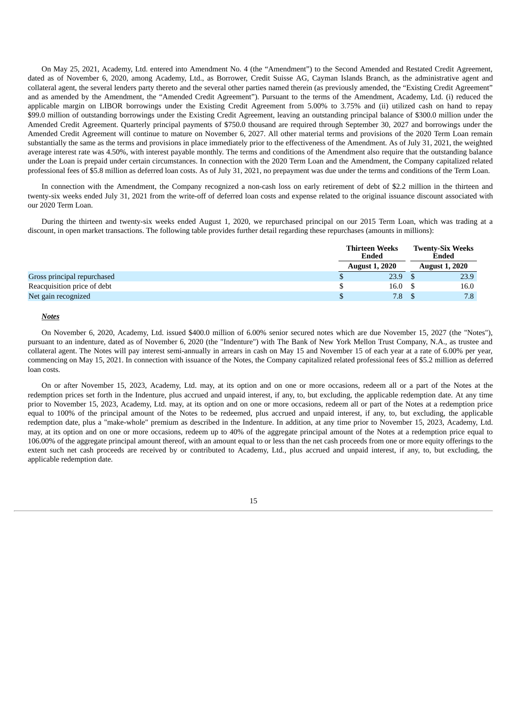On May 25, 2021, Academy, Ltd. entered into Amendment No. 4 (the "Amendment") to the Second Amended and Restated Credit Agreement, dated as of November 6, 2020, among Academy, Ltd., as Borrower, Credit Suisse AG, Cayman Islands Branch, as the administrative agent and collateral agent, the several lenders party thereto and the several other parties named therein (as previously amended, the "Existing Credit Agreement" and as amended by the Amendment, the "Amended Credit Agreement"). Pursuant to the terms of the Amendment, Academy, Ltd. (i) reduced the applicable margin on LIBOR borrowings under the Existing Credit Agreement from 5.00% to 3.75% and (ii) utilized cash on hand to repay \$99.0 million of outstanding borrowings under the Existing Credit Agreement, leaving an outstanding principal balance of \$300.0 million under the Amended Credit Agreement. Quarterly principal payments of \$750.0 thousand are required through September 30, 2027 and borrowings under the Amended Credit Agreement will continue to mature on November 6, 2027. All other material terms and provisions of the 2020 Term Loan remain substantially the same as the terms and provisions in place immediately prior to the effectiveness of the Amendment. As of July 31, 2021, the weighted average interest rate was 4.50%, with interest payable monthly. The terms and conditions of the Amendment also require that the outstanding balance under the Loan is prepaid under certain circumstances. In connection with the 2020 Term Loan and the Amendment, the Company capitalized related professional fees of \$5.8 million as deferred loan costs. As of July 31, 2021, no prepayment was due under the terms and conditions of the Term Loan.

In connection with the Amendment, the Company recognized a non-cash loss on early retirement of debt of \$2.2 million in the thirteen and twenty-six weeks ended July 31, 2021 from the write-off of deferred loan costs and expense related to the original issuance discount associated with our 2020 Term Loan.

During the thirteen and twenty-six weeks ended August 1, 2020, we repurchased principal on our 2015 Term Loan, which was trading at a discount, in open market transactions. The following table provides further detail regarding these repurchases (amounts in millions):

|                             | <b>Thirteen Weeks</b><br>Ended |                       |  | <b>Twenty-Six Weeks</b><br>Ended |
|-----------------------------|--------------------------------|-----------------------|--|----------------------------------|
|                             |                                | <b>August 1, 2020</b> |  | <b>August 1, 2020</b>            |
| Gross principal repurchased |                                | 23.9                  |  | 23.9                             |
| Reacquisition price of debt |                                | 16.0                  |  | 16.0                             |
| Net gain recognized         |                                | 7.8                   |  | 7.8                              |

### *Notes*

On November 6, 2020, Academy, Ltd. issued \$400.0 million of 6.00% senior secured notes which are due November 15, 2027 (the "Notes"), pursuant to an indenture, dated as of November 6, 2020 (the "Indenture") with The Bank of New York Mellon Trust Company, N.A., as trustee and collateral agent. The Notes will pay interest semi-annually in arrears in cash on May 15 and November 15 of each year at a rate of 6.00% per year, commencing on May 15, 2021. In connection with issuance of the Notes, the Company capitalized related professional fees of \$5.2 million as deferred loan costs.

On or after November 15, 2023, Academy, Ltd. may, at its option and on one or more occasions, redeem all or a part of the Notes at the redemption prices set forth in the Indenture, plus accrued and unpaid interest, if any, to, but excluding, the applicable redemption date. At any time prior to November 15, 2023, Academy, Ltd. may, at its option and on one or more occasions, redeem all or part of the Notes at a redemption price equal to 100% of the principal amount of the Notes to be redeemed, plus accrued and unpaid interest, if any, to, but excluding, the applicable redemption date, plus a "make-whole" premium as described in the Indenture. In addition, at any time prior to November 15, 2023, Academy, Ltd. may, at its option and on one or more occasions, redeem up to 40% of the aggregate principal amount of the Notes at a redemption price equal to 106.00% of the aggregate principal amount thereof, with an amount equal to or less than the net cash proceeds from one or more equity offerings to the extent such net cash proceeds are received by or contributed to Academy, Ltd., plus accrued and unpaid interest, if any, to, but excluding, the applicable redemption date.

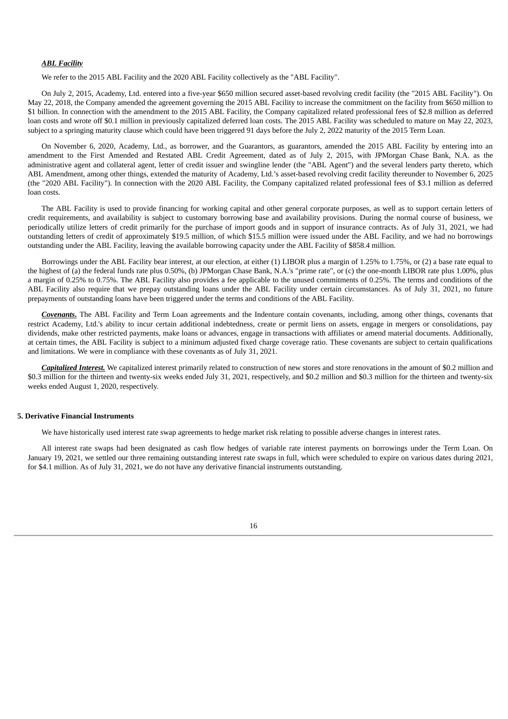#### *ABL Facility*

We refer to the 2015 ABL Facility and the 2020 ABL Facility collectively as the "ABL Facility".

On July 2, 2015, Academy, Ltd. entered into a five-year \$650 million secured asset-based revolving credit facility (the "2015 ABL Facility"). On May 22, 2018, the Company amended the agreement governing the 2015 ABL Facility to increase the commitment on the facility from \$650 million to \$1 billion. In connection with the amendment to the 2015 ABL Facility, the Company capitalized related professional fees of \$2.8 million as deferred loan costs and wrote off \$0.1 million in previously capitalized deferred loan costs. The 2015 ABL Facility was scheduled to mature on May 22, 2023, subject to a springing maturity clause which could have been triggered 91 days before the July 2, 2022 maturity of the 2015 Term Loan.

On November 6, 2020, Academy, Ltd., as borrower, and the Guarantors, as guarantors, amended the 2015 ABL Facility by entering into an amendment to the First Amended and Restated ABL Credit Agreement, dated as of July 2, 2015, with JPMorgan Chase Bank, N.A. as the administrative agent and collateral agent, letter of credit issuer and swingline lender (the "ABL Agent") and the several lenders party thereto, which ABL Amendment, among other things, extended the maturity of Academy, Ltd.'s asset-based revolving credit facility thereunder to November 6, 2025 (the "2020 ABL Facility"). In connection with the 2020 ABL Facility, the Company capitalized related professional fees of \$3.1 million as deferred loan costs.

The ABL Facility is used to provide financing for working capital and other general corporate purposes, as well as to support certain letters of credit requirements, and availability is subject to customary borrowing base and availability provisions. During the normal course of business, we periodically utilize letters of credit primarily for the purchase of import goods and in support of insurance contracts. As of July 31, 2021, we had outstanding letters of credit of approximately \$19.5 million, of which \$15.5 million were issued under the ABL Facility, and we had no borrowings outstanding under the ABL Facility, leaving the available borrowing capacity under the ABL Facility of \$858.4 million.

Borrowings under the ABL Facility bear interest, at our election, at either (1) LIBOR plus a margin of 1.25% to 1.75%, or (2) a base rate equal to the highest of (a) the federal funds rate plus 0.50%, (b) JPMorgan Chase Bank, N.A.'s "prime rate", or (c) the one-month LIBOR rate plus 1.00%, plus a margin of 0.25% to 0.75%. The ABL Facility also provides a fee applicable to the unused commitments of 0.25%. The terms and conditions of the ABL Facility also require that we prepay outstanding loans under the ABL Facility under certain circumstances. As of July 31, 2021, no future prepayments of outstanding loans have been triggered under the terms and conditions of the ABL Facility.

*Covenants***.** The ABL Facility and Term Loan agreements and the Indenture contain covenants, including, among other things, covenants that restrict Academy, Ltd.'s ability to incur certain additional indebtedness, create or permit liens on assets, engage in mergers or consolidations, pay dividends, make other restricted payments, make loans or advances, engage in transactions with affiliates or amend material documents. Additionally, at certain times, the ABL Facility is subject to a minimum adjusted fixed charge coverage ratio. These covenants are subject to certain qualifications and limitations. We were in compliance with these covenants as of July 31, 2021.

*Capitalized Interest.* We capitalized interest primarily related to construction of new stores and store renovations in the amount of \$0.2 million and \$0.3 million for the thirteen and twenty-six weeks ended July 31, 2021, respectively, and \$0.2 million and \$0.3 million for the thirteen and twenty-six weeks ended August 1, 2020, respectively.

#### **5. Derivative Financial Instruments**

We have historically used interest rate swap agreements to hedge market risk relating to possible adverse changes in interest rates.

All interest rate swaps had been designated as cash flow hedges of variable rate interest payments on borrowings under the Term Loan. On January 19, 2021, we settled our three remaining outstanding interest rate swaps in full, which were scheduled to expire on various dates during 2021, for \$4.1 million. As of July 31, 2021, we do not have any derivative financial instruments outstanding.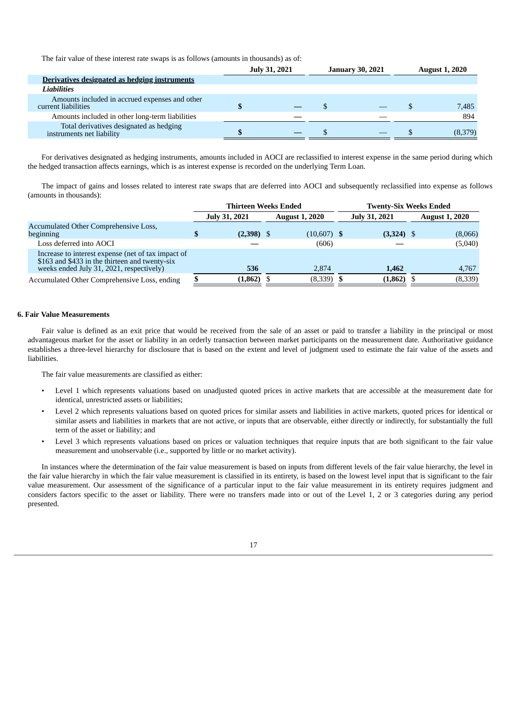The fair value of these interest rate swaps is as follows (amounts in thousands) as of:

|                                                                       | <b>July 31, 2021</b> | <b>January 30, 2021</b> | <b>August 1, 2020</b> |
|-----------------------------------------------------------------------|----------------------|-------------------------|-----------------------|
| Derivatives designated as hedging instruments                         |                      |                         |                       |
| <b>Liabilities</b>                                                    |                      |                         |                       |
| Amounts included in accrued expenses and other<br>current liabilities |                      |                         | 7.485                 |
| Amounts included in other long-term liabilities                       |                      |                         | 894                   |
| Total derivatives designated as hedging<br>instruments net liability  |                      |                         | (8,379)               |

For derivatives designated as hedging instruments, amounts included in AOCI are reclassified to interest expense in the same period during which the hedged transaction affects earnings, which is as interest expense is recorded on the underlying Term Loan.

The impact of gains and losses related to interest rate swaps that are deferred into AOCI and subsequently reclassified into expense as follows (amounts in thousands):

|                                                                                                                                                  | <b>Thirteen Weeks Ended</b> |  |                       | <b>Twenty-Six Weeks Ended</b> |              |  |                       |  |
|--------------------------------------------------------------------------------------------------------------------------------------------------|-----------------------------|--|-----------------------|-------------------------------|--------------|--|-----------------------|--|
|                                                                                                                                                  | <b>July 31, 2021</b>        |  | <b>August 1, 2020</b> | <b>July 31, 2021</b>          |              |  | <b>August 1, 2020</b> |  |
| Accumulated Other Comprehensive Loss,<br>beginning                                                                                               | $(2,398)$ \$                |  | $(10,607)$ \$         |                               | $(3,324)$ \$ |  | (8,066)               |  |
| Loss deferred into AOCI                                                                                                                          |                             |  | (606)                 |                               |              |  | (5,040)               |  |
| Increase to interest expense (net of tax impact of<br>\$163 and \$433 in the thirteen and twenty-six<br>weeks ended July 31, 2021, respectively) | 536                         |  | 2,874                 |                               | 1,462        |  | 4,767                 |  |
| Accumulated Other Comprehensive Loss, ending                                                                                                     | $(1,862)$ \$                |  | $(8,339)$ \$          |                               | $(1,862)$ \$ |  | (8,339)               |  |

#### **6. Fair Value Measurements**

Fair value is defined as an exit price that would be received from the sale of an asset or paid to transfer a liability in the principal or most advantageous market for the asset or liability in an orderly transaction between market participants on the measurement date. Authoritative guidance establishes a three-level hierarchy for disclosure that is based on the extent and level of judgment used to estimate the fair value of the assets and liabilities.

The fair value measurements are classified as either:

- Level 1 which represents valuations based on unadjusted quoted prices in active markets that are accessible at the measurement date for identical, unrestricted assets or liabilities;
- Level 2 which represents valuations based on quoted prices for similar assets and liabilities in active markets, quoted prices for identical or similar assets and liabilities in markets that are not active, or inputs that are observable, either directly or indirectly, for substantially the full term of the asset or liability; and
- Level 3 which represents valuations based on prices or valuation techniques that require inputs that are both significant to the fair value measurement and unobservable (i.e., supported by little or no market activity).

In instances where the determination of the fair value measurement is based on inputs from different levels of the fair value hierarchy, the level in the fair value hierarchy in which the fair value measurement is classified in its entirety, is based on the lowest level input that is significant to the fair value measurement. Our assessment of the significance of a particular input to the fair value measurement in its entirety requires judgment and considers factors specific to the asset or liability. There were no transfers made into or out of the Level 1, 2 or 3 categories during any period presented.

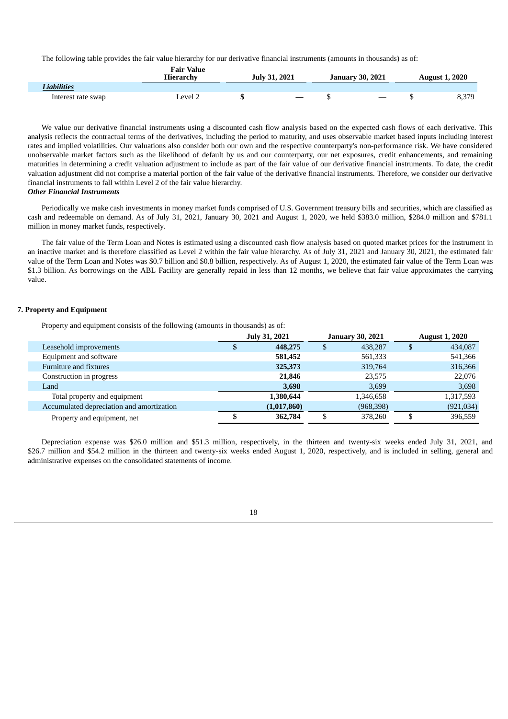The following table provides the fair value hierarchy for our derivative financial instruments (amounts in thousands) as of:

|                    | <b>Fair Value</b><br>Hierarchv | <b>July 31, 2021</b> | <b>January 30, 2021</b> | <b>August 1, 2020</b> |
|--------------------|--------------------------------|----------------------|-------------------------|-----------------------|
| Liabilities        |                                |                      |                         |                       |
| Interest rate swap | Level 2                        |                      | $\hspace{0.05cm}$       | 8,379                 |

We value our derivative financial instruments using a discounted cash flow analysis based on the expected cash flows of each derivative. This analysis reflects the contractual terms of the derivatives, including the period to maturity, and uses observable market based inputs including interest rates and implied volatilities. Our valuations also consider both our own and the respective counterparty's non-performance risk. We have considered unobservable market factors such as the likelihood of default by us and our counterparty, our net exposures, credit enhancements, and remaining maturities in determining a credit valuation adjustment to include as part of the fair value of our derivative financial instruments. To date, the credit valuation adjustment did not comprise a material portion of the fair value of the derivative financial instruments. Therefore, we consider our derivative financial instruments to fall within Level 2 of the fair value hierarchy.

### *Other Financial Instruments*

Periodically we make cash investments in money market funds comprised of U.S. Government treasury bills and securities, which are classified as cash and redeemable on demand. As of July 31, 2021, January 30, 2021 and August 1, 2020, we held \$383.0 million, \$284.0 million and \$781.1 million in money market funds, respectively.

The fair value of the Term Loan and Notes is estimated using a discounted cash flow analysis based on quoted market prices for the instrument in an inactive market and is therefore classified as Level 2 within the fair value hierarchy. As of July 31, 2021 and January 30, 2021, the estimated fair value of the Term Loan and Notes was \$0.7 billion and \$0.8 billion, respectively. As of August 1, 2020, the estimated fair value of the Term Loan was \$1.3 billion. As borrowings on the ABL Facility are generally repaid in less than 12 months, we believe that fair value approximates the carrying value.

### **7. Property and Equipment**

Property and equipment consists of the following (amounts in thousands) as of:

|                                           | <b>July 31, 2021</b> |   | <b>January 30, 2021</b> |   | <b>August 1, 2020</b> |
|-------------------------------------------|----------------------|---|-------------------------|---|-----------------------|
| Leasehold improvements                    | 448,275              | J | 438,287                 | S | 434,087               |
| Equipment and software                    | 581,452              |   | 561,333                 |   | 541,366               |
| Furniture and fixtures                    | 325,373              |   | 319,764                 |   | 316,366               |
| Construction in progress                  | 21,846               |   | 23,575                  |   | 22,076                |
| Land                                      | 3,698                |   | 3,699                   |   | 3,698                 |
| Total property and equipment              | 1,380,644            |   | 1,346,658               |   | 1,317,593             |
| Accumulated depreciation and amortization | (1,017,860)          |   | (968, 398)              |   | (921, 034)            |
| Property and equipment, net               | 362,784              |   | 378,260                 |   | 396,559               |

Depreciation expense was \$26.0 million and \$51.3 million, respectively, in the thirteen and twenty-six weeks ended July 31, 2021, and \$26.7 million and \$54.2 million in the thirteen and twenty-six weeks ended August 1, 2020, respectively, and is included in selling, general and administrative expenses on the consolidated statements of income.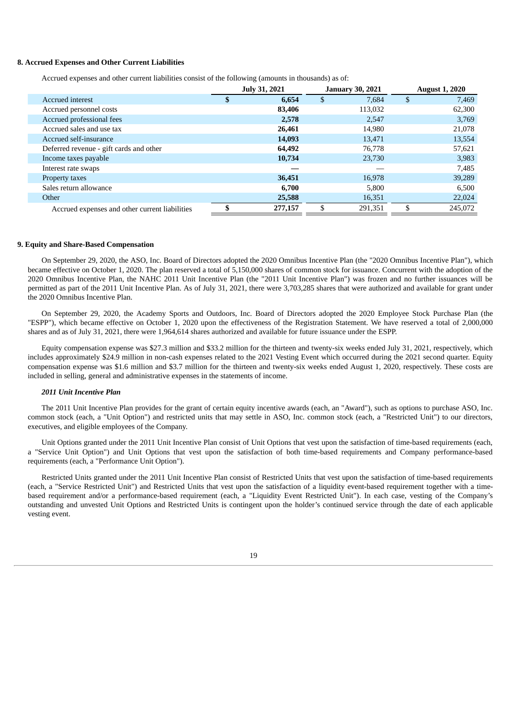### **8. Accrued Expenses and Other Current Liabilities**

Accrued expenses and other current liabilities consist of the following (amounts in thousands) as of:

|                                                | <b>July 31, 2021</b> |         | <b>January 30, 2021</b> | <b>August 1, 2020</b> |         |  |
|------------------------------------------------|----------------------|---------|-------------------------|-----------------------|---------|--|
| <b>Accrued</b> interest                        |                      | 6,654   | \$<br>7.684             | \$                    | 7,469   |  |
| Accrued personnel costs                        |                      | 83,406  | 113,032                 |                       | 62,300  |  |
| Accrued professional fees                      |                      | 2,578   | 2,547                   |                       | 3,769   |  |
| Accrued sales and use tax                      |                      | 26,461  | 14,980                  |                       | 21,078  |  |
| Accrued self-insurance                         |                      | 14,093  | 13,471                  |                       | 13,554  |  |
| Deferred revenue - gift cards and other        |                      | 64,492  | 76,778                  |                       | 57,621  |  |
| Income taxes payable                           |                      | 10,734  | 23,730                  |                       | 3,983   |  |
| Interest rate swaps                            |                      |         |                         |                       | 7,485   |  |
| Property taxes                                 |                      | 36,451  | 16,978                  |                       | 39,289  |  |
| Sales return allowance                         |                      | 6.700   | 5.800                   |                       | 6,500   |  |
| Other                                          |                      | 25,588  | 16,351                  |                       | 22,024  |  |
| Accrued expenses and other current liabilities |                      | 277,157 | 291,351                 |                       | 245,072 |  |

#### **9. Equity and Share-Based Compensation**

On September 29, 2020, the ASO, Inc. Board of Directors adopted the 2020 Omnibus Incentive Plan (the "2020 Omnibus Incentive Plan"), which became effective on October 1, 2020. The plan reserved a total of 5,150,000 shares of common stock for issuance. Concurrent with the adoption of the 2020 Omnibus Incentive Plan, the NAHC 2011 Unit Incentive Plan (the "2011 Unit Incentive Plan") was frozen and no further issuances will be permitted as part of the 2011 Unit Incentive Plan. As of July 31, 2021, there were 3,703,285 shares that were authorized and available for grant under the 2020 Omnibus Incentive Plan.

On September 29, 2020, the Academy Sports and Outdoors, Inc. Board of Directors adopted the 2020 Employee Stock Purchase Plan (the "ESPP"), which became effective on October 1, 2020 upon the effectiveness of the Registration Statement. We have reserved a total of 2,000,000 shares and as of July 31, 2021, there were 1,964,614 shares authorized and available for future issuance under the ESPP.

Equity compensation expense was \$27.3 million and \$33.2 million for the thirteen and twenty-six weeks ended July 31, 2021, respectively, which includes approximately \$24.9 million in non-cash expenses related to the 2021 Vesting Event which occurred during the 2021 second quarter. Equity compensation expense was \$1.6 million and \$3.7 million for the thirteen and twenty-six weeks ended August 1, 2020, respectively. These costs are included in selling, general and administrative expenses in the statements of income.

#### *2011 Unit Incentive Plan*

The 2011 Unit Incentive Plan provides for the grant of certain equity incentive awards (each, an "Award"), such as options to purchase ASO, Inc. common stock (each, a "Unit Option") and restricted units that may settle in ASO, Inc. common stock (each, a "Restricted Unit") to our directors, executives, and eligible employees of the Company.

Unit Options granted under the 2011 Unit Incentive Plan consist of Unit Options that vest upon the satisfaction of time-based requirements (each, a "Service Unit Option") and Unit Options that vest upon the satisfaction of both time-based requirements and Company performance-based requirements (each, a "Performance Unit Option").

Restricted Units granted under the 2011 Unit Incentive Plan consist of Restricted Units that vest upon the satisfaction of time-based requirements (each, a "Service Restricted Unit") and Restricted Units that vest upon the satisfaction of a liquidity event-based requirement together with a timebased requirement and/or a performance-based requirement (each, a "Liquidity Event Restricted Unit"). In each case, vesting of the Company's outstanding and unvested Unit Options and Restricted Units is contingent upon the holder's continued service through the date of each applicable vesting event.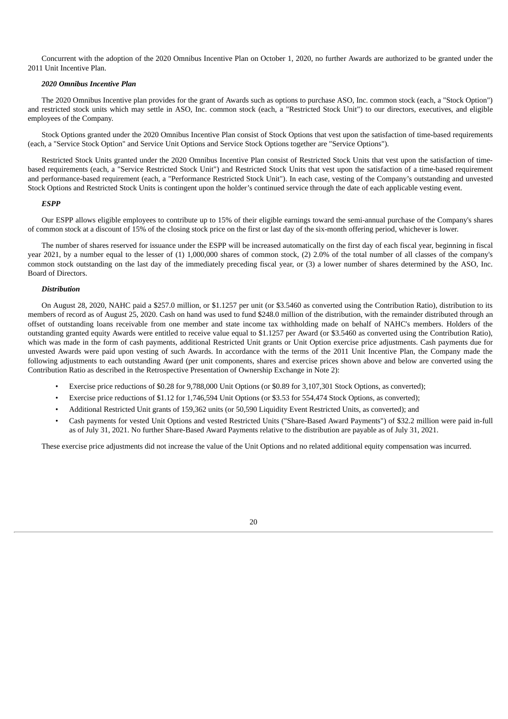Concurrent with the adoption of the 2020 Omnibus Incentive Plan on October 1, 2020, no further Awards are authorized to be granted under the 2011 Unit Incentive Plan.

### *2020 Omnibus Incentive Plan*

The 2020 Omnibus Incentive plan provides for the grant of Awards such as options to purchase ASO, Inc. common stock (each, a "Stock Option") and restricted stock units which may settle in ASO, Inc. common stock (each, a "Restricted Stock Unit") to our directors, executives, and eligible employees of the Company.

Stock Options granted under the 2020 Omnibus Incentive Plan consist of Stock Options that vest upon the satisfaction of time-based requirements (each, a "Service Stock Option" and Service Unit Options and Service Stock Options together are "Service Options").

Restricted Stock Units granted under the 2020 Omnibus Incentive Plan consist of Restricted Stock Units that vest upon the satisfaction of timebased requirements (each, a "Service Restricted Stock Unit") and Restricted Stock Units that vest upon the satisfaction of a time-based requirement and performance-based requirement (each, a "Performance Restricted Stock Unit"). In each case, vesting of the Company's outstanding and unvested Stock Options and Restricted Stock Units is contingent upon the holder's continued service through the date of each applicable vesting event.

### *ESPP*

Our ESPP allows eligible employees to contribute up to 15% of their eligible earnings toward the semi-annual purchase of the Company's shares of common stock at a discount of 15% of the closing stock price on the first or last day of the six-month offering period, whichever is lower.

The number of shares reserved for issuance under the ESPP will be increased automatically on the first day of each fiscal year, beginning in fiscal year 2021, by a number equal to the lesser of (1) 1,000,000 shares of common stock, (2) 2.0% of the total number of all classes of the company's common stock outstanding on the last day of the immediately preceding fiscal year, or (3) a lower number of shares determined by the ASO, Inc. Board of Directors.

### *Distribution*

On August 28, 2020, NAHC paid a \$257.0 million, or \$1.1257 per unit (or \$3.5460 as converted using the Contribution Ratio), distribution to its members of record as of August 25, 2020. Cash on hand was used to fund \$248.0 million of the distribution, with the remainder distributed through an offset of outstanding loans receivable from one member and state income tax withholding made on behalf of NAHC's members. Holders of the outstanding granted equity Awards were entitled to receive value equal to \$1.1257 per Award (or \$3.5460 as converted using the Contribution Ratio), which was made in the form of cash payments, additional Restricted Unit grants or Unit Option exercise price adjustments. Cash payments due for unvested Awards were paid upon vesting of such Awards. In accordance with the terms of the 2011 Unit Incentive Plan, the Company made the following adjustments to each outstanding Award (per unit components, shares and exercise prices shown above and below are converted using the Contribution Ratio as described in the Retrospective Presentation of Ownership Exchange in Note 2):

- Exercise price reductions of \$0.28 for 9,788,000 Unit Options (or \$0.89 for 3,107,301 Stock Options, as converted);
- Exercise price reductions of \$1.12 for 1,746,594 Unit Options (or \$3.53 for 554,474 Stock Options, as converted);
- Additional Restricted Unit grants of 159,362 units (or 50,590 Liquidity Event Restricted Units, as converted); and
- Cash payments for vested Unit Options and vested Restricted Units ("Share-Based Award Payments") of \$32.2 million were paid in-full as of July 31, 2021. No further Share-Based Award Payments relative to the distribution are payable as of July 31, 2021.

These exercise price adjustments did not increase the value of the Unit Options and no related additional equity compensation was incurred.

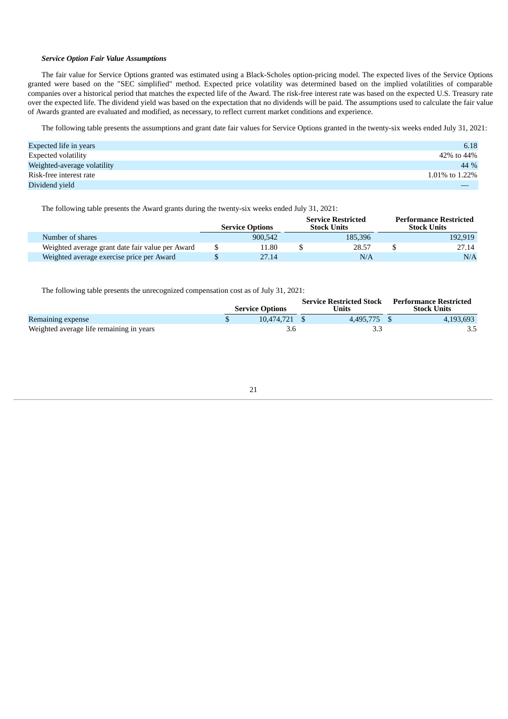### *Service Option Fair Value Assumptions*

The fair value for Service Options granted was estimated using a Black-Scholes option-pricing model. The expected lives of the Service Options granted were based on the "SEC simplified" method. Expected price volatility was determined based on the implied volatilities of comparable companies over a historical period that matches the expected life of the Award. The risk-free interest rate was based on the expected U.S. Treasury rate over the expected life. The dividend yield was based on the expectation that no dividends will be paid. The assumptions used to calculate the fair value of Awards granted are evaluated and modified, as necessary, to reflect current market conditions and experience.

The following table presents the assumptions and grant date fair values for Service Options granted in the twenty-six weeks ended July 31, 2021:

| Expected life in years      | 6.18           |
|-----------------------------|----------------|
| <b>Expected volatility</b>  | 42% to 44%     |
| Weighted-average volatility | $44\%$         |
| Risk-free interest rate     | 1.01% to 1.22% |
| Dividend yield              |                |

The following table presents the Award grants during the twenty-six weeks ended July 31, 2021:

|                                                  | <b>Service Options</b> | <b>Service Restricted</b><br><b>Stock Units</b> | <b>Performance Restricted</b><br><b>Stock Units</b> |         |  |
|--------------------------------------------------|------------------------|-------------------------------------------------|-----------------------------------------------------|---------|--|
| Number of shares                                 | 900.542                | 185.396                                         |                                                     | 192.919 |  |
| Weighted average grant date fair value per Award | 11.80                  | 28.57                                           |                                                     | 27.14   |  |
| Weighted average exercise price per Award        | 27.14                  | N/A                                             |                                                     | N/A     |  |

The following table presents the unrecognized compensation cost as of July 31, 2021:

|                                          | <b>Service Options</b> | <b>Service Restricted Stock</b><br>Units |           |  | Performance Restricted<br><b>Stock Units</b> |  |  |
|------------------------------------------|------------------------|------------------------------------------|-----------|--|----------------------------------------------|--|--|
| Remaining expense                        | 10.474.721 \$          |                                          | 4.495.775 |  | 4.193.693                                    |  |  |
| Weighted average life remaining in years | 3.6                    |                                          |           |  |                                              |  |  |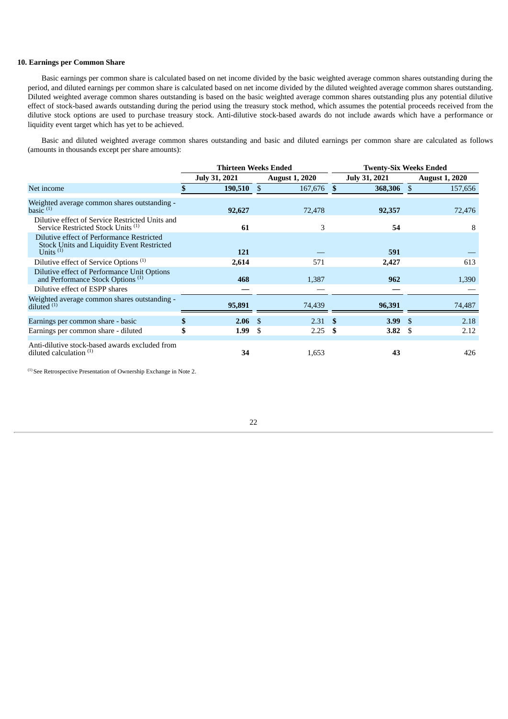### **10. Earnings per Common Share**

Basic earnings per common share is calculated based on net income divided by the basic weighted average common shares outstanding during the period, and diluted earnings per common share is calculated based on net income divided by the diluted weighted average common shares outstanding. Diluted weighted average common shares outstanding is based on the basic weighted average common shares outstanding plus any potential dilutive effect of stock-based awards outstanding during the period using the treasury stock method, which assumes the potential proceeds received from the dilutive stock options are used to purchase treasury stock. Anti-dilutive stock-based awards do not include awards which have a performance or liquidity event target which has yet to be achieved.

Basic and diluted weighted average common shares outstanding and basic and diluted earnings per common share are calculated as follows (amounts in thousands except per share amounts):

|                                                                                                               | <b>Thirteen Weeks Ended</b> |     |                       | <b>Twenty-Six Weeks Ended</b> |         |    |                       |  |
|---------------------------------------------------------------------------------------------------------------|-----------------------------|-----|-----------------------|-------------------------------|---------|----|-----------------------|--|
|                                                                                                               | <b>July 31, 2021</b>        |     | <b>August 1, 2020</b> | <b>July 31, 2021</b>          |         |    | <b>August 1, 2020</b> |  |
| Net income                                                                                                    | \$<br>190,510               | -\$ | 167,676               | -S                            | 368,306 | -S | 157,656               |  |
| Weighted average common shares outstanding -<br>basi $\bar{c}$ <sup>(1)</sup>                                 | 92,627                      |     | 72,478                |                               | 92,357  |    | 72,476                |  |
| Dilutive effect of Service Restricted Units and<br>Service Restricted Stock Units (1)                         | 61                          |     | 3                     |                               | 54      |    | 8                     |  |
| Dilutive effect of Performance Restricted<br><b>Stock Units and Liquidity Event Restricted</b><br>Units $(1)$ | <b>121</b>                  |     |                       |                               | 591     |    |                       |  |
| Dilutive effect of Service Options <sup>(1)</sup>                                                             | 2,614                       |     | 571                   |                               | 2,427   |    | 613                   |  |
| Dilutive effect of Performance Unit Options and Performance Stock Options $^{\textrm{\tiny{\text{(1)}}}}$     | 468                         |     | 1,387                 |                               | 962     |    | 1,390                 |  |
| Dilutive effect of ESPP shares                                                                                |                             |     |                       |                               |         |    |                       |  |
| Weighted average common shares outstanding -<br>diluted $(1)$                                                 | 95,891                      |     | 74,439                |                               | 96,391  |    | 74,487                |  |
| Earnings per common share - basic                                                                             | \$<br>2.06                  | \$  | 2.31                  | - \$                          | 3.99    | \$ | 2.18                  |  |
| Earnings per common share - diluted                                                                           | \$<br>1.99                  | \$  | 2.25                  | -S                            | 3.82    | -S | 2.12                  |  |
| Anti-dilutive stock-based awards excluded from<br>diluted calculation (1)                                     | 34                          |     | 1,653                 |                               | 43      |    | 426                   |  |

 $<sup>(1)</sup>$  See Retrospective Presentation of Ownership Exchange in Note 2.</sup>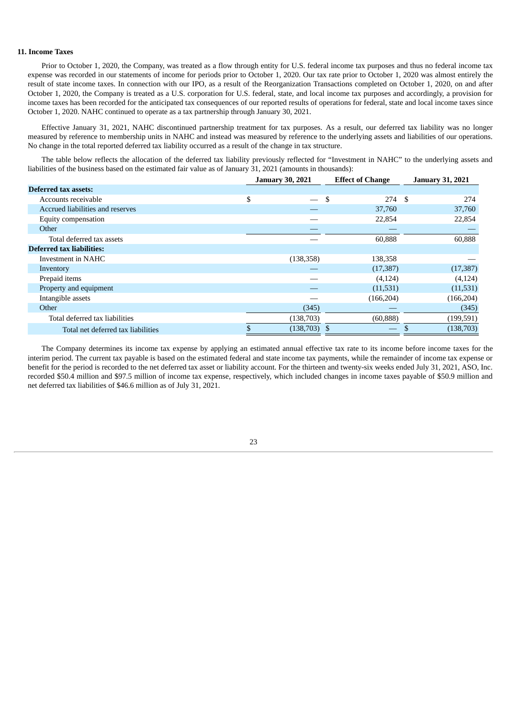#### **11. Income Taxes**

Prior to October 1, 2020, the Company, was treated as a flow through entity for U.S. federal income tax purposes and thus no federal income tax expense was recorded in our statements of income for periods prior to October 1, 2020. Our tax rate prior to October 1, 2020 was almost entirely the result of state income taxes. In connection with our IPO, as a result of the Reorganization Transactions completed on October 1, 2020, on and after October 1, 2020, the Company is treated as a U.S. corporation for U.S. federal, state, and local income tax purposes and accordingly, a provision for income taxes has been recorded for the anticipated tax consequences of our reported results of operations for federal, state and local income taxes since October 1, 2020. NAHC continued to operate as a tax partnership through January 30, 2021.

Effective January 31, 2021, NAHC discontinued partnership treatment for tax purposes. As a result, our deferred tax liability was no longer measured by reference to membership units in NAHC and instead was measured by reference to the underlying assets and liabilities of our operations. No change in the total reported deferred tax liability occurred as a result of the change in tax structure.

The table below reflects the allocation of the deferred tax liability previously reflected for "Investment in NAHC" to the underlying assets and liabilities of the business based on the estimated fair value as of January 31, 2021 (amounts in thousands):

|                                    | <b>January 30, 2021</b>        | <b>Effect of Change</b> | <b>January 31, 2021</b> |  |
|------------------------------------|--------------------------------|-------------------------|-------------------------|--|
| <b>Deferred tax assets:</b>        |                                |                         |                         |  |
| Accounts receivable                | \$<br>$\overline{\phantom{0}}$ | -\$<br>274S             | 274                     |  |
| Accrued liabilities and reserves   |                                | 37,760                  | 37,760                  |  |
| Equity compensation                |                                | 22,854                  | 22,854                  |  |
| Other                              |                                |                         |                         |  |
| Total deferred tax assets          |                                | 60,888                  | 60,888                  |  |
| <b>Deferred tax liabilities:</b>   |                                |                         |                         |  |
| Investment in NAHC                 | (138, 358)                     | 138,358                 |                         |  |
| Inventory                          |                                | (17, 387)               | (17, 387)               |  |
| Prepaid items                      |                                | (4, 124)                | (4, 124)                |  |
| Property and equipment             |                                | (11,531)                | (11, 531)               |  |
| Intangible assets                  |                                | (166, 204)              | (166, 204)              |  |
| Other                              | (345)                          |                         | (345)                   |  |
| Total deferred tax liabilities     | (138, 703)                     | (60, 888)               | (199, 591)              |  |
| Total net deferred tax liabilities | $(138,703)$ \$                 |                         | (138, 703)              |  |

The Company determines its income tax expense by applying an estimated annual effective tax rate to its income before income taxes for the interim period. The current tax payable is based on the estimated federal and state income tax payments, while the remainder of income tax expense or benefit for the period is recorded to the net deferred tax asset or liability account. For the thirteen and twenty-six weeks ended July 31, 2021, ASO, Inc. recorded \$50.4 million and \$97.5 million of income tax expense, respectively, which included changes in income taxes payable of \$50.9 million and net deferred tax liabilities of \$46.6 million as of July 31, 2021.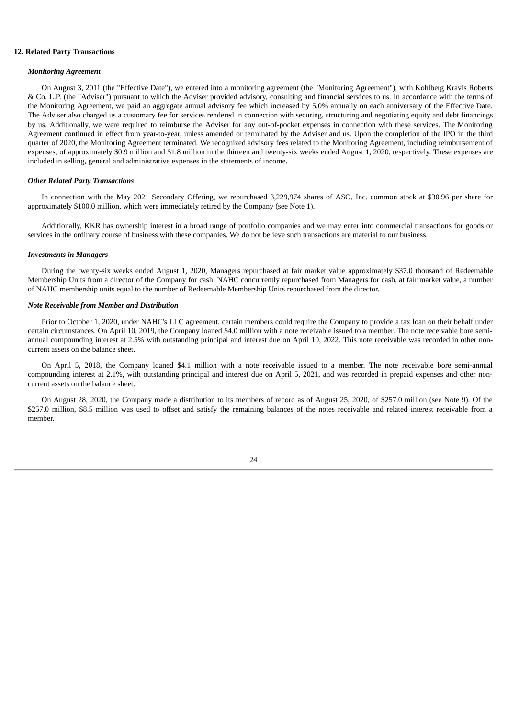#### **12. Related Party Transactions**

#### *Monitoring Agreement*

On August 3, 2011 (the "Effective Date"), we entered into a monitoring agreement (the "Monitoring Agreement"), with Kohlberg Kravis Roberts & Co. L.P. (the "Adviser") pursuant to which the Adviser provided advisory, consulting and financial services to us. In accordance with the terms of the Monitoring Agreement, we paid an aggregate annual advisory fee which increased by 5.0% annually on each anniversary of the Effective Date. The Adviser also charged us a customary fee for services rendered in connection with securing, structuring and negotiating equity and debt financings by us. Additionally, we were required to reimburse the Adviser for any out-of-pocket expenses in connection with these services. The Monitoring Agreement continued in effect from year-to-year, unless amended or terminated by the Adviser and us. Upon the completion of the IPO in the third quarter of 2020, the Monitoring Agreement terminated. We recognized advisory fees related to the Monitoring Agreement, including reimbursement of expenses, of approximately \$0.9 million and \$1.8 million in the thirteen and twenty-six weeks ended August 1, 2020, respectively. These expenses are included in selling, general and administrative expenses in the statements of income.

#### *Other Related Party Transactions*

In connection with the May 2021 Secondary Offering, we repurchased 3,229,974 shares of ASO, Inc. common stock at \$30.96 per share for approximately \$100.0 million, which were immediately retired by the Company (see Note 1).

Additionally, KKR has ownership interest in a broad range of portfolio companies and we may enter into commercial transactions for goods or services in the ordinary course of business with these companies. We do not believe such transactions are material to our business.

#### *Investments in Managers*

During the twenty-six weeks ended August 1, 2020, Managers repurchased at fair market value approximately \$37.0 thousand of Redeemable Membership Units from a director of the Company for cash. NAHC concurrently repurchased from Managers for cash, at fair market value, a number of NAHC membership units equal to the number of Redeemable Membership Units repurchased from the director.

#### *Note Receivable from Member and Distribution*

Prior to October 1, 2020, under NAHC's LLC agreement, certain members could require the Company to provide a tax loan on their behalf under certain circumstances. On April 10, 2019, the Company loaned \$4.0 million with a note receivable issued to a member. The note receivable bore semiannual compounding interest at 2.5% with outstanding principal and interest due on April 10, 2022. This note receivable was recorded in other noncurrent assets on the balance sheet.

On April 5, 2018, the Company loaned \$4.1 million with a note receivable issued to a member. The note receivable bore semi-annual compounding interest at 2.1%, with outstanding principal and interest due on April 5, 2021, and was recorded in prepaid expenses and other noncurrent assets on the balance sheet.

On August 28, 2020, the Company made a distribution to its members of record as of August 25, 2020, of \$257.0 million (see Note 9). Of the \$257.0 million, \$8.5 million was used to offset and satisfy the remaining balances of the notes receivable and related interest receivable from a member.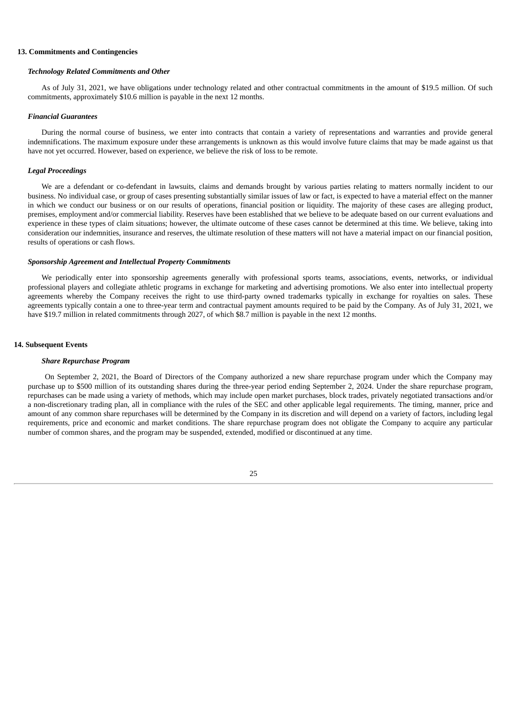#### **13. Commitments and Contingencies**

#### *Technology Related Commitments and Other*

As of July 31, 2021, we have obligations under technology related and other contractual commitments in the amount of \$19.5 million. Of such commitments, approximately \$10.6 million is payable in the next 12 months.

#### *Financial Guarantees*

During the normal course of business, we enter into contracts that contain a variety of representations and warranties and provide general indemnifications. The maximum exposure under these arrangements is unknown as this would involve future claims that may be made against us that have not yet occurred. However, based on experience, we believe the risk of loss to be remote.

#### *Legal Proceedings*

We are a defendant or co-defendant in lawsuits, claims and demands brought by various parties relating to matters normally incident to our business. No individual case, or group of cases presenting substantially similar issues of law or fact, is expected to have a material effect on the manner in which we conduct our business or on our results of operations, financial position or liquidity. The majority of these cases are alleging product, premises, employment and/or commercial liability. Reserves have been established that we believe to be adequate based on our current evaluations and experience in these types of claim situations; however, the ultimate outcome of these cases cannot be determined at this time. We believe, taking into consideration our indemnities, insurance and reserves, the ultimate resolution of these matters will not have a material impact on our financial position, results of operations or cash flows.

# *Sponsorship Agreement and Intellectual Property Commitments*

We periodically enter into sponsorship agreements generally with professional sports teams, associations, events, networks, or individual professional players and collegiate athletic programs in exchange for marketing and advertising promotions. We also enter into intellectual property agreements whereby the Company receives the right to use third-party owned trademarks typically in exchange for royalties on sales. These agreements typically contain a one to three-year term and contractual payment amounts required to be paid by the Company. As of July 31, 2021, we have \$19.7 million in related commitments through 2027, of which \$8.7 million is payable in the next 12 months.

#### **14. Subsequent Events**

#### *Share Repurchase Program*

<span id="page-24-0"></span>On September 2, 2021, the Board of Directors of the Company authorized a new share repurchase program under which the Company may purchase up to \$500 million of its outstanding shares during the three-year period ending September 2, 2024. Under the share repurchase program, repurchases can be made using a variety of methods, which may include open market purchases, block trades, privately negotiated transactions and/or a non-discretionary trading plan, all in compliance with the rules of the SEC and other applicable legal requirements. The timing, manner, price and amount of any common share repurchases will be determined by the Company in its discretion and will depend on a variety of factors, including legal requirements, price and economic and market conditions. The share repurchase program does not obligate the Company to acquire any particular number of common shares, and the program may be suspended, extended, modified or discontinued at any time.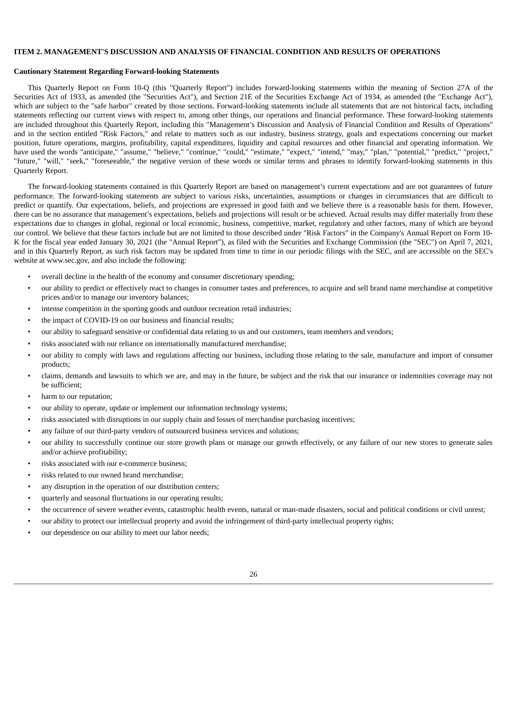### **ITEM 2. MANAGEMENT'S DISCUSSION AND ANALYSIS OF FINANCIAL CONDITION AND RESULTS OF OPERATIONS**

#### **Cautionary Statement Regarding Forward-looking Statements**

This Quarterly Report on Form 10-Q (this "Quarterly Report") includes forward-looking statements within the meaning of Section 27A of the Securities Act of 1933, as amended (the "Securities Act"), and Section 21E of the Securities Exchange Act of 1934, as amended (the "Exchange Act"), which are subject to the "safe harbor" created by those sections. Forward-looking statements include all statements that are not historical facts, including statements reflecting our current views with respect to, among other things, our operations and financial performance. These forward-looking statements are included throughout this Quarterly Report, including this "Management's Discussion and Analysis of Financial Condition and Results of Operations" and in the section entitled "Risk Factors," and relate to matters such as our industry, business strategy, goals and expectations concerning our market position, future operations, margins, profitability, capital expenditures, liquidity and capital resources and other financial and operating information. We have used the words "anticipate," "assume," "believe," "continue," "could," "estimate," "expect," "intend," "may," "plan," "potential," "predict," "project," "future," "will," "seek," "foreseeable," the negative version of these words or similar terms and phrases to identify forward-looking statements in this Quarterly Report.

The forward-looking statements contained in this Quarterly Report are based on management's current expectations and are not guarantees of future performance. The forward-looking statements are subject to various risks, uncertainties, assumptions or changes in circumstances that are difficult to predict or quantify. Our expectations, beliefs, and projections are expressed in good faith and we believe there is a reasonable basis for them. However, there can be no assurance that management's expectations, beliefs and projections will result or be achieved. Actual results may differ materially from these expectations due to changes in global, regional or local economic, business, competitive, market, regulatory and other factors, many of which are beyond our control. We believe that these factors include but are not limited to those described under "Risk Factors" in the Company's Annual Report on Form 10- K for the fiscal year ended January 30, 2021 (the "Annual Report"), as filed with the Securities and Exchange Commission (the "SEC") on April 7, 2021, and in this Quarterly Report, as such risk factors may be updated from time to time in our periodic filings with the SEC, and are accessible on the SEC's website at www.sec.gov, and also include the following:

- overall decline in the health of the economy and consumer discretionary spending;
- our ability to predict or effectively react to changes in consumer tastes and preferences, to acquire and sell brand name merchandise at competitive prices and/or to manage our inventory balances;
- intense competition in the sporting goods and outdoor recreation retail industries;
- the impact of COVID-19 on our business and financial results;
- our ability to safeguard sensitive or confidential data relating to us and our customers, team members and vendors;
- risks associated with our reliance on internationally manufactured merchandise;
- our ability to comply with laws and regulations affecting our business, including those relating to the sale, manufacture and import of consumer products;
- claims, demands and lawsuits to which we are, and may in the future, be subject and the risk that our insurance or indemnities coverage may not be sufficient;
- harm to our reputation;
- our ability to operate, update or implement our information technology systems;
- risks associated with disruptions in our supply chain and losses of merchandise purchasing incentives;
- any failure of our third-party vendors of outsourced business services and solutions;
- our ability to successfully continue our store growth plans or manage our growth effectively, or any failure of our new stores to generate sales and/or achieve profitability;
- risks associated with our e-commerce business;
- risks related to our owned brand merchandise;
- any disruption in the operation of our distribution centers;
- quarterly and seasonal fluctuations in our operating results;
- the occurrence of severe weather events, catastrophic health events, natural or man-made disasters, social and political conditions or civil unrest;
- our ability to protect our intellectual property and avoid the infringement of third-party intellectual property rights;
- our dependence on our ability to meet our labor needs;
- 26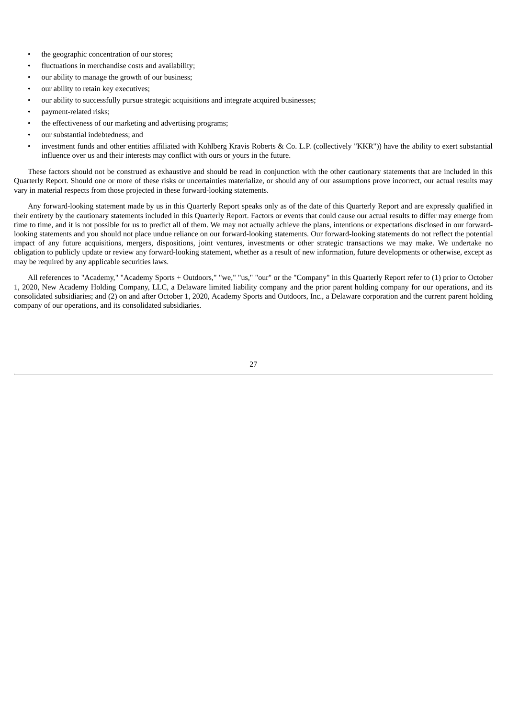- the geographic concentration of our stores;
- fluctuations in merchandise costs and availability;
- our ability to manage the growth of our business;
- our ability to retain key executives;
- our ability to successfully pursue strategic acquisitions and integrate acquired businesses;
- payment-related risks;
- the effectiveness of our marketing and advertising programs;
- our substantial indebtedness; and
- investment funds and other entities affiliated with Kohlberg Kravis Roberts & Co. L.P. (collectively "KKR")) have the ability to exert substantial influence over us and their interests may conflict with ours or yours in the future.

These factors should not be construed as exhaustive and should be read in conjunction with the other cautionary statements that are included in this Quarterly Report. Should one or more of these risks or uncertainties materialize, or should any of our assumptions prove incorrect, our actual results may vary in material respects from those projected in these forward-looking statements.

Any forward-looking statement made by us in this Quarterly Report speaks only as of the date of this Quarterly Report and are expressly qualified in their entirety by the cautionary statements included in this Quarterly Report. Factors or events that could cause our actual results to differ may emerge from time to time, and it is not possible for us to predict all of them. We may not actually achieve the plans, intentions or expectations disclosed in our forwardlooking statements and you should not place undue reliance on our forward-looking statements. Our forward-looking statements do not reflect the potential impact of any future acquisitions, mergers, dispositions, joint ventures, investments or other strategic transactions we may make. We undertake no obligation to publicly update or review any forward-looking statement, whether as a result of new information, future developments or otherwise, except as may be required by any applicable securities laws.

All references to "Academy," "Academy Sports + Outdoors," "we," "us," "our" or the "Company" in this Quarterly Report refer to (1) prior to October 1, 2020, New Academy Holding Company, LLC, a Delaware limited liability company and the prior parent holding company for our operations, and its consolidated subsidiaries; and (2) on and after October 1, 2020, Academy Sports and Outdoors, Inc., a Delaware corporation and the current parent holding company of our operations, and its consolidated subsidiaries.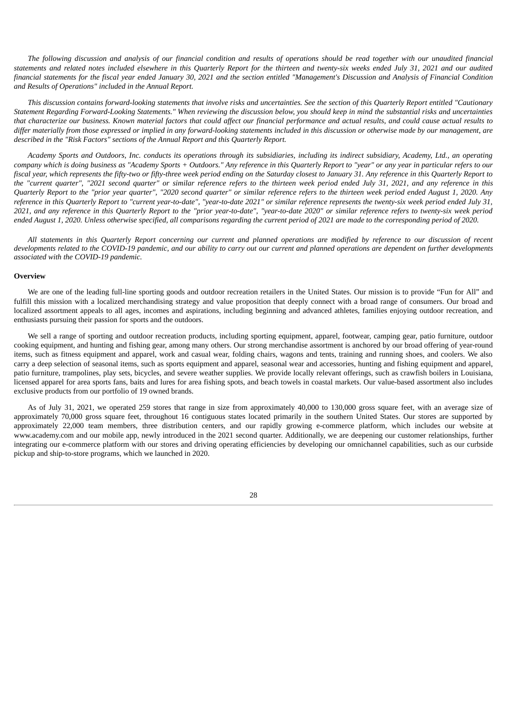The following discussion and analysis of our financial condition and results of operations should be read together with our unaudited financial statements and related notes included elsewhere in this Quarterly Report for the thirteen and twenty-six weeks ended July 31, 2021 and our audited financial statements for the fiscal year ended January 30, 2021 and the section entitled "Management's Discussion and Analysis of Financial Condition *and Results of Operations" included in the Annual Report.*

This discussion contains forward-looking statements that involve risks and uncertainties. See the section of this Quarterly Report entitled "Cautionary Statement Regarding Forward-Looking Statements." When reviewing the discussion below, you should keep in mind the substantial risks and uncertainties that characterize our business. Known material factors that could affect our financial performance and actual results, and could cause actual results to differ materially from those expressed or implied in any forward-looking statements included in this discussion or otherwise made by our management, are *described in the "Risk Factors" sections of the Annual Report and this Quarterly Report.*

Academy Sports and Outdoors, Inc. conducts its operations through its subsidiaries, including its indirect subsidiary, Academy, Ltd., an operating company which is doing business as "Academy Sports + Outdoors." Any reference in this Quarterly Report to "year" or any year in particular refers to our fiscal year, which represents the fifty-two or fifty-three week period ending on the Saturday closest to January 31. Any reference in this Quarterly Report to the "current quarter", "2021 second quarter" or similar reference refers to the thirteen week period ended July 31, 2021, and any reference in this Quarterly Report to the "prior year quarter", "2020 second quarter" or similar reference refers to the thirteen week period ended August 1, 2020. Any reference in this Quarterly Report to "current year-to-date", "year-to-date 2021" or similar reference represents the twenty-six week period ended July 31, 2021, and any reference in this Quarterly Report to the "prior year-to-date", "year-to-date 2020" or similar reference refers to twenty-six week period ended August 1, 2020. Unless otherwise specified, all comparisons regarding the current period of 2021 are made to the corresponding period of 2020.

All statements in this Quarterly Report concerning our current and planned operations are modified by reference to our discussion of recent developments related to the COVID-19 pandemic, and our ability to carry out our current and planned operations are dependent on further developments *associated with the COVID-19 pandemic.*

### **Overview**

We are one of the leading full-line sporting goods and outdoor recreation retailers in the United States. Our mission is to provide "Fun for All" and fulfill this mission with a localized merchandising strategy and value proposition that deeply connect with a broad range of consumers. Our broad and localized assortment appeals to all ages, incomes and aspirations, including beginning and advanced athletes, families enjoying outdoor recreation, and enthusiasts pursuing their passion for sports and the outdoors.

We sell a range of sporting and outdoor recreation products, including sporting equipment, apparel, footwear, camping gear, patio furniture, outdoor cooking equipment, and hunting and fishing gear, among many others. Our strong merchandise assortment is anchored by our broad offering of year-round items, such as fitness equipment and apparel, work and casual wear, folding chairs, wagons and tents, training and running shoes, and coolers. We also carry a deep selection of seasonal items, such as sports equipment and apparel, seasonal wear and accessories, hunting and fishing equipment and apparel, patio furniture, trampolines, play sets, bicycles, and severe weather supplies. We provide locally relevant offerings, such as crawfish boilers in Louisiana, licensed apparel for area sports fans, baits and lures for area fishing spots, and beach towels in coastal markets. Our value-based assortment also includes exclusive products from our portfolio of 19 owned brands.

As of July 31, 2021, we operated 259 stores that range in size from approximately 40,000 to 130,000 gross square feet, with an average size of approximately 70,000 gross square feet, throughout 16 contiguous states located primarily in the southern United States. Our stores are supported by approximately 22,000 team members, three distribution centers, and our rapidly growing e-commerce platform, which includes our website at www.academy.com and our mobile app, newly introduced in the 2021 second quarter. Additionally, we are deepening our customer relationships, further integrating our e-commerce platform with our stores and driving operating efficiencies by developing our omnichannel capabilities, such as our curbside pickup and ship-to-store programs, which we launched in 2020.

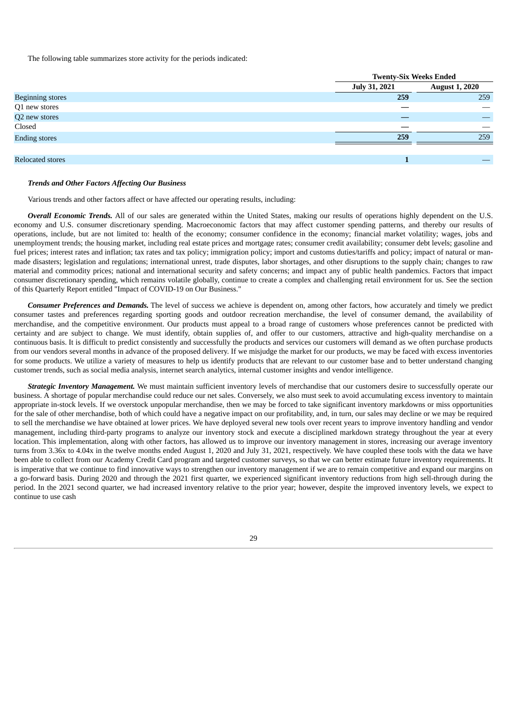The following table summarizes store activity for the periods indicated:

|                         | <b>Twenty-Six Weeks Ended</b> |                       |  |  |
|-------------------------|-------------------------------|-----------------------|--|--|
|                         | <b>July 31, 2021</b>          | <b>August 1, 2020</b> |  |  |
| <b>Beginning stores</b> | 259                           | 259                   |  |  |
| Q1 new stores           |                               |                       |  |  |
| Q2 new stores           |                               |                       |  |  |
| Closed                  |                               |                       |  |  |
| <b>Ending stores</b>    | 259                           | 259                   |  |  |
|                         |                               |                       |  |  |
| <b>Relocated stores</b> |                               |                       |  |  |

### *Trends and Other Factors Affecting Our Business*

Various trends and other factors affect or have affected our operating results, including:

*Overall Economic Trends.* All of our sales are generated within the United States, making our results of operations highly dependent on the U.S. economy and U.S. consumer discretionary spending. Macroeconomic factors that may affect customer spending patterns, and thereby our results of operations, include, but are not limited to: health of the economy; consumer confidence in the economy; financial market volatility; wages, jobs and unemployment trends; the housing market, including real estate prices and mortgage rates; consumer credit availability; consumer debt levels; gasoline and fuel prices; interest rates and inflation; tax rates and tax policy; immigration policy; import and customs duties/tariffs and policy; impact of natural or manmade disasters; legislation and regulations; international unrest, trade disputes, labor shortages, and other disruptions to the supply chain; changes to raw material and commodity prices; national and international security and safety concerns; and impact any of public health pandemics. Factors that impact consumer discretionary spending, which remains volatile globally, continue to create a complex and challenging retail environment for us. See the section of this Quarterly Report entitled "Impact of COVID-19 on Our Business."

*Consumer Preferences and Demands.* The level of success we achieve is dependent on, among other factors, how accurately and timely we predict consumer tastes and preferences regarding sporting goods and outdoor recreation merchandise, the level of consumer demand, the availability of merchandise, and the competitive environment. Our products must appeal to a broad range of customers whose preferences cannot be predicted with certainty and are subject to change. We must identify, obtain supplies of, and offer to our customers, attractive and high-quality merchandise on a continuous basis. It is difficult to predict consistently and successfully the products and services our customers will demand as we often purchase products from our vendors several months in advance of the proposed delivery. If we misjudge the market for our products, we may be faced with excess inventories for some products. We utilize a variety of measures to help us identify products that are relevant to our customer base and to better understand changing customer trends, such as social media analysis, internet search analytics, internal customer insights and vendor intelligence.

*Strategic Inventory Management.* We must maintain sufficient inventory levels of merchandise that our customers desire to successfully operate our business. A shortage of popular merchandise could reduce our net sales. Conversely, we also must seek to avoid accumulating excess inventory to maintain appropriate in-stock levels. If we overstock unpopular merchandise, then we may be forced to take significant inventory markdowns or miss opportunities for the sale of other merchandise, both of which could have a negative impact on our profitability, and, in turn, our sales may decline or we may be required to sell the merchandise we have obtained at lower prices. We have deployed several new tools over recent years to improve inventory handling and vendor management, including third-party programs to analyze our inventory stock and execute a disciplined markdown strategy throughout the year at every location. This implementation, along with other factors, has allowed us to improve our inventory management in stores, increasing our average inventory turns from 3.36x to 4.04x in the twelve months ended August 1, 2020 and July 31, 2021, respectively. We have coupled these tools with the data we have been able to collect from our Academy Credit Card program and targeted customer surveys, so that we can better estimate future inventory requirements. It is imperative that we continue to find innovative ways to strengthen our inventory management if we are to remain competitive and expand our margins on a go-forward basis. During 2020 and through the 2021 first quarter, we experienced significant inventory reductions from high sell-through during the period. In the 2021 second quarter, we had increased inventory relative to the prior year; however, despite the improved inventory levels, we expect to continue to use cash

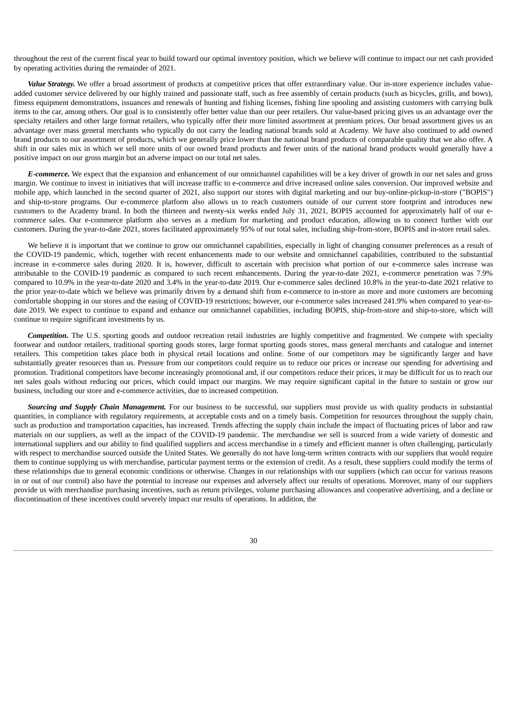throughout the rest of the current fiscal year to build toward our optimal inventory position, which we believe will continue to impact our net cash provided by operating activities during the remainder of 2021.

*Value Strategy.* We offer a broad assortment of products at competitive prices that offer extraordinary value. Our in-store experience includes valueadded customer service delivered by our highly trained and passionate staff, such as free assembly of certain products (such as bicycles, grills, and bows), fitness equipment demonstrations, issuances and renewals of hunting and fishing licenses, fishing line spooling and assisting customers with carrying bulk items to the car, among others. Our goal is to consistently offer better value than our peer retailers. Our value-based pricing gives us an advantage over the specialty retailers and other large format retailers, who typically offer their more limited assortment at premium prices. Our broad assortment gives us an advantage over mass general merchants who typically do not carry the leading national brands sold at Academy. We have also continued to add owned brand products to our assortment of products, which we generally price lower than the national brand products of comparable quality that we also offer. A shift in our sales mix in which we sell more units of our owned brand products and fewer units of the national brand products would generally have a positive impact on our gross margin but an adverse impact on our total net sales.

*E-commerce.* We expect that the expansion and enhancement of our omnichannel capabilities will be a key driver of growth in our net sales and gross margin. We continue to invest in initiatives that will increase traffic to e-commerce and drive increased online sales conversion. Our improved website and mobile app, which launched in the second quarter of 2021, also support our stores with digital marketing and our buy-online-pickup-in-store ("BOPIS") and ship-to-store programs. Our e-commerce platform also allows us to reach customers outside of our current store footprint and introduces new customers to the Academy brand. In both the thirteen and twenty-six weeks ended July 31, 2021, BOPIS accounted for approximately half of our ecommerce sales. Our e-commerce platform also serves as a medium for marketing and product education, allowing us to connect further with our customers. During the year-to-date 2021, stores facilitated approximately 95% of our total sales, including ship-from-store, BOPIS and in-store retail sales.

We believe it is important that we continue to grow our omnichannel capabilities, especially in light of changing consumer preferences as a result of the COVID-19 pandemic, which, together with recent enhancements made to our website and omnichannel capabilities, contributed to the substantial increase in e-commerce sales during 2020. It is, however, difficult to ascertain with precision what portion of our e-commerce sales increase was attributable to the COVID-19 pandemic as compared to such recent enhancements. During the year-to-date 2021, e-commerce penetration was 7.9% compared to 10.9% in the year-to-date 2020 and 3.4% in the year-to-date 2019. Our e-commerce sales declined 10.8% in the year-to-date 2021 relative to the prior year-to-date which we believe was primarily driven by a demand shift from e-commerce to in-store as more and more customers are becoming comfortable shopping in our stores and the easing of COVID-19 restrictions; however, our e-commerce sales increased 241.9% when compared to year-todate 2019. We expect to continue to expand and enhance our omnichannel capabilities, including BOPIS, ship-from-store and ship-to-store, which will continue to require significant investments by us.

*Competition.* The U.S. sporting goods and outdoor recreation retail industries are highly competitive and fragmented. We compete with specialty footwear and outdoor retailers, traditional sporting goods stores, large format sporting goods stores, mass general merchants and catalogue and internet retailers. This competition takes place both in physical retail locations and online. Some of our competitors may be significantly larger and have substantially greater resources than us. Pressure from our competitors could require us to reduce our prices or increase our spending for advertising and promotion. Traditional competitors have become increasingly promotional and, if our competitors reduce their prices, it may be difficult for us to reach our net sales goals without reducing our prices, which could impact our margins. We may require significant capital in the future to sustain or grow our business, including our store and e-commerce activities, due to increased competition.

*Sourcing and Supply Chain Management.* For our business to be successful, our suppliers must provide us with quality products in substantial quantities, in compliance with regulatory requirements, at acceptable costs and on a timely basis. Competition for resources throughout the supply chain, such as production and transportation capacities, has increased. Trends affecting the supply chain include the impact of fluctuating prices of labor and raw materials on our suppliers, as well as the impact of the COVID-19 pandemic. The merchandise we sell is sourced from a wide variety of domestic and international suppliers and our ability to find qualified suppliers and access merchandise in a timely and efficient manner is often challenging, particularly with respect to merchandise sourced outside the United States. We generally do not have long-term written contracts with our suppliers that would require them to continue supplying us with merchandise, particular payment terms or the extension of credit. As a result, these suppliers could modify the terms of these relationships due to general economic conditions or otherwise. Changes in our relationships with our suppliers (which can occur for various reasons in or out of our control) also have the potential to increase our expenses and adversely affect our results of operations. Moreover, many of our suppliers provide us with merchandise purchasing incentives, such as return privileges, volume purchasing allowances and cooperative advertising, and a decline or discontinuation of these incentives could severely impact our results of operations. In addition, the

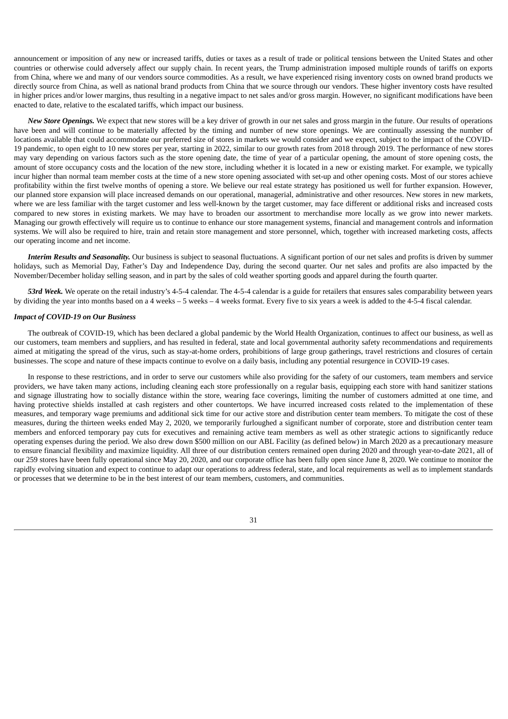announcement or imposition of any new or increased tariffs, duties or taxes as a result of trade or political tensions between the United States and other countries or otherwise could adversely affect our supply chain. In recent years, the Trump administration imposed multiple rounds of tariffs on exports from China, where we and many of our vendors source commodities. As a result, we have experienced rising inventory costs on owned brand products we directly source from China, as well as national brand products from China that we source through our vendors. These higher inventory costs have resulted in higher prices and/or lower margins, thus resulting in a negative impact to net sales and/or gross margin. However, no significant modifications have been enacted to date, relative to the escalated tariffs, which impact our business.

*New Store Openings.* We expect that new stores will be a key driver of growth in our net sales and gross margin in the future. Our results of operations have been and will continue to be materially affected by the timing and number of new store openings. We are continually assessing the number of locations available that could accommodate our preferred size of stores in markets we would consider and we expect, subject to the impact of the COVID-19 pandemic, to open eight to 10 new stores per year, starting in 2022, similar to our growth rates from 2018 through 2019. The performance of new stores may vary depending on various factors such as the store opening date, the time of year of a particular opening, the amount of store opening costs, the amount of store occupancy costs and the location of the new store, including whether it is located in a new or existing market. For example, we typically incur higher than normal team member costs at the time of a new store opening associated with set-up and other opening costs. Most of our stores achieve profitability within the first twelve months of opening a store. We believe our real estate strategy has positioned us well for further expansion. However, our planned store expansion will place increased demands on our operational, managerial, administrative and other resources. New stores in new markets, where we are less familiar with the target customer and less well-known by the target customer, may face different or additional risks and increased costs compared to new stores in existing markets. We may have to broaden our assortment to merchandise more locally as we grow into newer markets. Managing our growth effectively will require us to continue to enhance our store management systems, financial and management controls and information systems. We will also be required to hire, train and retain store management and store personnel, which, together with increased marketing costs, affects our operating income and net income.

*Interim Results and Seasonality.* Our business is subject to seasonal fluctuations. A significant portion of our net sales and profits is driven by summer holidays, such as Memorial Day, Father's Day and Independence Day, during the second quarter. Our net sales and profits are also impacted by the November/December holiday selling season, and in part by the sales of cold weather sporting goods and apparel during the fourth quarter.

*53rd Week.* We operate on the retail industry's 4-5-4 calendar. The 4-5-4 calendar is a guide for retailers that ensures sales comparability between years by dividing the year into months based on a 4 weeks – 5 weeks – 4 weeks format. Every five to six years a week is added to the 4-5-4 fiscal calendar.

### *Impact of COVID-19 on Our Business*

The outbreak of COVID-19, which has been declared a global pandemic by the World Health Organization, continues to affect our business, as well as our customers, team members and suppliers, and has resulted in federal, state and local governmental authority safety recommendations and requirements aimed at mitigating the spread of the virus, such as stay-at-home orders, prohibitions of large group gatherings, travel restrictions and closures of certain businesses. The scope and nature of these impacts continue to evolve on a daily basis, including any potential resurgence in COVID-19 cases.

In response to these restrictions, and in order to serve our customers while also providing for the safety of our customers, team members and service providers, we have taken many actions, including cleaning each store professionally on a regular basis, equipping each store with hand sanitizer stations and signage illustrating how to socially distance within the store, wearing face coverings, limiting the number of customers admitted at one time, and having protective shields installed at cash registers and other countertops. We have incurred increased costs related to the implementation of these measures, and temporary wage premiums and additional sick time for our active store and distribution center team members. To mitigate the cost of these measures, during the thirteen weeks ended May 2, 2020, we temporarily furloughed a significant number of corporate, store and distribution center team members and enforced temporary pay cuts for executives and remaining active team members as well as other strategic actions to significantly reduce operating expenses during the period. We also drew down \$500 million on our ABL Facility (as defined below) in March 2020 as a precautionary measure to ensure financial flexibility and maximize liquidity. All three of our distribution centers remained open during 2020 and through year-to-date 2021, all of our 259 stores have been fully operational since May 20, 2020, and our corporate office has been fully open since June 8, 2020. We continue to monitor the rapidly evolving situation and expect to continue to adapt our operations to address federal, state, and local requirements as well as to implement standards or processes that we determine to be in the best interest of our team members, customers, and communities.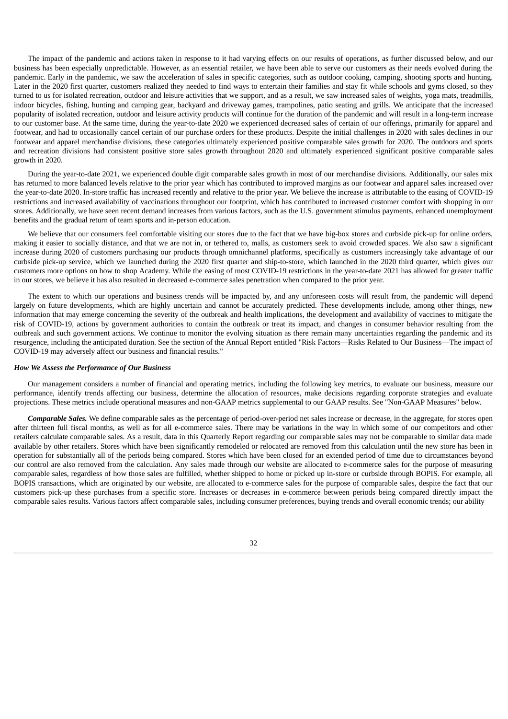The impact of the pandemic and actions taken in response to it had varying effects on our results of operations, as further discussed below, and our business has been especially unpredictable. However, as an essential retailer, we have been able to serve our customers as their needs evolved during the pandemic. Early in the pandemic, we saw the acceleration of sales in specific categories, such as outdoor cooking, camping, shooting sports and hunting. Later in the 2020 first quarter, customers realized they needed to find ways to entertain their families and stay fit while schools and gyms closed, so they turned to us for isolated recreation, outdoor and leisure activities that we support, and as a result, we saw increased sales of weights, yoga mats, treadmills, indoor bicycles, fishing, hunting and camping gear, backyard and driveway games, trampolines, patio seating and grills. We anticipate that the increased popularity of isolated recreation, outdoor and leisure activity products will continue for the duration of the pandemic and will result in a long-term increase to our customer base. At the same time, during the year-to-date 2020 we experienced decreased sales of certain of our offerings, primarily for apparel and footwear, and had to occasionally cancel certain of our purchase orders for these products. Despite the initial challenges in 2020 with sales declines in our footwear and apparel merchandise divisions, these categories ultimately experienced positive comparable sales growth for 2020. The outdoors and sports and recreation divisions had consistent positive store sales growth throughout 2020 and ultimately experienced significant positive comparable sales growth in 2020.

During the year-to-date 2021, we experienced double digit comparable sales growth in most of our merchandise divisions. Additionally, our sales mix has returned to more balanced levels relative to the prior year which has contributed to improved margins as our footwear and apparel sales increased over the year-to-date 2020. In-store traffic has increased recently and relative to the prior year. We believe the increase is attributable to the easing of COVID-19 restrictions and increased availability of vaccinations throughout our footprint, which has contributed to increased customer comfort with shopping in our stores. Additionally, we have seen recent demand increases from various factors, such as the U.S. government stimulus payments, enhanced unemployment benefits and the gradual return of team sports and in-person education.

We believe that our consumers feel comfortable visiting our stores due to the fact that we have big-box stores and curbside pick-up for online orders, making it easier to socially distance, and that we are not in, or tethered to, malls, as customers seek to avoid crowded spaces. We also saw a significant increase during 2020 of customers purchasing our products through omnichannel platforms, specifically as customers increasingly take advantage of our curbside pick-up service, which we launched during the 2020 first quarter and ship-to-store, which launched in the 2020 third quarter, which gives our customers more options on how to shop Academy. While the easing of most COVID-19 restrictions in the year-to-date 2021 has allowed for greater traffic in our stores, we believe it has also resulted in decreased e-commerce sales penetration when compared to the prior year.

The extent to which our operations and business trends will be impacted by, and any unforeseen costs will result from, the pandemic will depend largely on future developments, which are highly uncertain and cannot be accurately predicted. These developments include, among other things, new information that may emerge concerning the severity of the outbreak and health implications, the development and availability of vaccines to mitigate the risk of COVID-19, actions by government authorities to contain the outbreak or treat its impact, and changes in consumer behavior resulting from the outbreak and such government actions. We continue to monitor the evolving situation as there remain many uncertainties regarding the pandemic and its resurgence, including the anticipated duration. See the section of the Annual Report entitled "Risk Factors—Risks Related to Our Business—The impact of COVID-19 may adversely affect our business and financial results."

#### *How We Assess the Performance of Our Business*

Our management considers a number of financial and operating metrics, including the following key metrics, to evaluate our business, measure our performance, identify trends affecting our business, determine the allocation of resources, make decisions regarding corporate strategies and evaluate projections. These metrics include operational measures and non-GAAP metrics supplemental to our GAAP results. See "Non-GAAP Measures" below.

*Comparable Sales.* We define comparable sales as the percentage of period-over-period net sales increase or decrease, in the aggregate, for stores open after thirteen full fiscal months, as well as for all e-commerce sales. There may be variations in the way in which some of our competitors and other retailers calculate comparable sales. As a result, data in this Quarterly Report regarding our comparable sales may not be comparable to similar data made available by other retailers. Stores which have been significantly remodeled or relocated are removed from this calculation until the new store has been in operation for substantially all of the periods being compared. Stores which have been closed for an extended period of time due to circumstances beyond our control are also removed from the calculation. Any sales made through our website are allocated to e-commerce sales for the purpose of measuring comparable sales, regardless of how those sales are fulfilled, whether shipped to home or picked up in-store or curbside through BOPIS. For example, all BOPIS transactions, which are originated by our website, are allocated to e-commerce sales for the purpose of comparable sales, despite the fact that our customers pick-up these purchases from a specific store. Increases or decreases in e-commerce between periods being compared directly impact the comparable sales results. Various factors affect comparable sales, including consumer preferences, buying trends and overall economic trends; our ability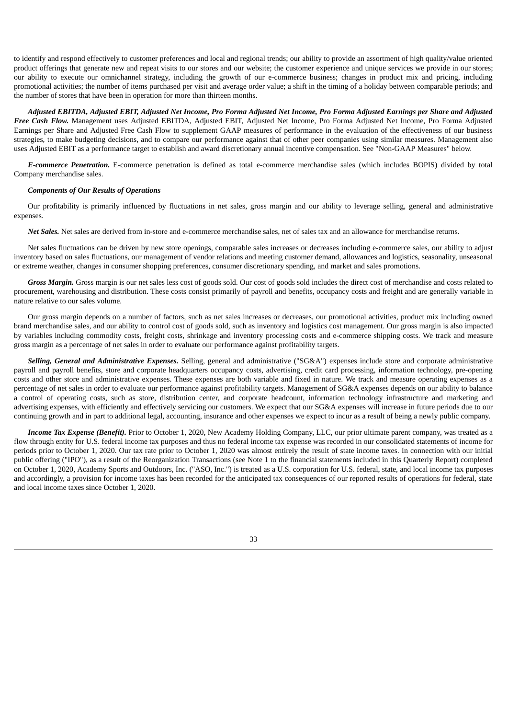to identify and respond effectively to customer preferences and local and regional trends; our ability to provide an assortment of high quality/value oriented product offerings that generate new and repeat visits to our stores and our website; the customer experience and unique services we provide in our stores; our ability to execute our omnichannel strategy, including the growth of our e-commerce business; changes in product mix and pricing, including promotional activities; the number of items purchased per visit and average order value; a shift in the timing of a holiday between comparable periods; and the number of stores that have been in operation for more than thirteen months.

Adjusted EBITDA, Adjusted EBIT, Adjusted Net Income, Pro Forma Adjusted Net Income, Pro Forma Adjusted Earnings per Share and Adjusted *Free Cash Flow.* Management uses Adjusted EBITDA, Adjusted EBIT, Adjusted Net Income, Pro Forma Adjusted Net Income, Pro Forma Adjusted Earnings per Share and Adjusted Free Cash Flow to supplement GAAP measures of performance in the evaluation of the effectiveness of our business strategies, to make budgeting decisions, and to compare our performance against that of other peer companies using similar measures. Management also uses Adjusted EBIT as a performance target to establish and award discretionary annual incentive compensation. See "Non-GAAP Measures" below.

*E-commerce Penetration.* E-commerce penetration is defined as total e-commerce merchandise sales (which includes BOPIS) divided by total Company merchandise sales.

#### *Components of Our Results of Operations*

Our profitability is primarily influenced by fluctuations in net sales, gross margin and our ability to leverage selling, general and administrative expenses.

*Net Sales*. Net sales are derived from in-store and e-commerce merchandise sales, net of sales tax and an allowance for merchandise returns.

Net sales fluctuations can be driven by new store openings, comparable sales increases or decreases including e-commerce sales, our ability to adjust inventory based on sales fluctuations, our management of vendor relations and meeting customer demand, allowances and logistics, seasonality, unseasonal or extreme weather, changes in consumer shopping preferences, consumer discretionary spending, and market and sales promotions.

*Gross Margin.* Gross margin is our net sales less cost of goods sold. Our cost of goods sold includes the direct cost of merchandise and costs related to procurement, warehousing and distribution. These costs consist primarily of payroll and benefits, occupancy costs and freight and are generally variable in nature relative to our sales volume.

Our gross margin depends on a number of factors, such as net sales increases or decreases, our promotional activities, product mix including owned brand merchandise sales, and our ability to control cost of goods sold, such as inventory and logistics cost management. Our gross margin is also impacted by variables including commodity costs, freight costs, shrinkage and inventory processing costs and e-commerce shipping costs. We track and measure gross margin as a percentage of net sales in order to evaluate our performance against profitability targets.

*Selling, General and Administrative Expenses.* Selling, general and administrative ("SG&A") expenses include store and corporate administrative payroll and payroll benefits, store and corporate headquarters occupancy costs, advertising, credit card processing, information technology, pre-opening costs and other store and administrative expenses. These expenses are both variable and fixed in nature. We track and measure operating expenses as a percentage of net sales in order to evaluate our performance against profitability targets. Management of SG&A expenses depends on our ability to balance a control of operating costs, such as store, distribution center, and corporate headcount, information technology infrastructure and marketing and advertising expenses, with efficiently and effectively servicing our customers. We expect that our SG&A expenses will increase in future periods due to our continuing growth and in part to additional legal, accounting, insurance and other expenses we expect to incur as a result of being a newly public company.

*Income Tax Expense (Benefit).* Prior to October 1, 2020, New Academy Holding Company, LLC, our prior ultimate parent company, was treated as a flow through entity for U.S. federal income tax purposes and thus no federal income tax expense was recorded in our consolidated statements of income for periods prior to October 1, 2020. Our tax rate prior to October 1, 2020 was almost entirely the result of state income taxes. In connection with our initial public offering ("IPO"), as a result of the Reorganization Transactions (see Note 1 to the financial statements included in this Quarterly Report) completed on October 1, 2020, Academy Sports and Outdoors, Inc. ("ASO, Inc.") is treated as a U.S. corporation for U.S. federal, state, and local income tax purposes and accordingly, a provision for income taxes has been recorded for the anticipated tax consequences of our reported results of operations for federal, state and local income taxes since October 1, 2020.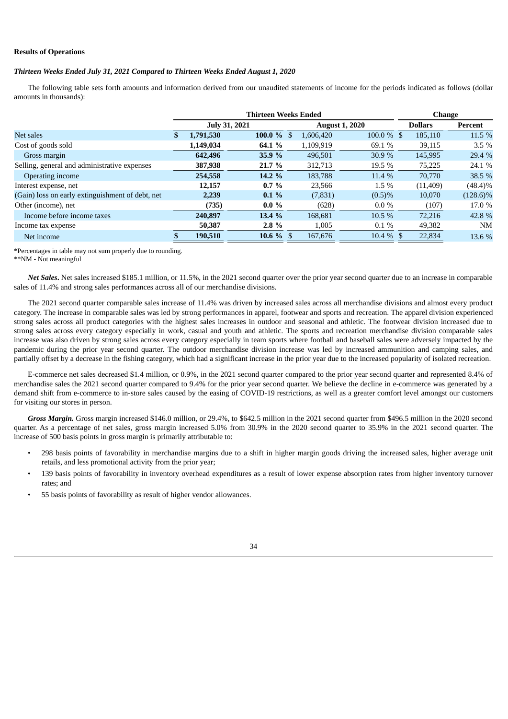### **Results of Operations**

### *Thirteen Weeks Ended July 31, 2021 Compared to Thirteen Weeks Ended August 1, 2020*

The following table sets forth amounts and information derived from our unaudited statements of income for the periods indicated as follows (dollar amounts in thousands):

|                                                  | <b>Thirteen Weeks Ended</b> |               |  |           |                       |  | <b>Change</b>  |             |  |
|--------------------------------------------------|-----------------------------|---------------|--|-----------|-----------------------|--|----------------|-------------|--|
|                                                  | <b>July 31, 2021</b>        |               |  |           | <b>August 1, 2020</b> |  | <b>Dollars</b> | Percent     |  |
| Net sales                                        | 1,791,530                   | $100.0 \%$ \$ |  | 1,606,420 | $100.0\%$ \$          |  | 185,110        | 11.5 %      |  |
| Cost of goods sold                               | 1,149,034                   | 64.1 %        |  | 1,109,919 | 69.1 %                |  | 39,115         | 3.5%        |  |
| Gross margin                                     | 642,496                     | 35.9 %        |  | 496.501   | 30.9 %                |  | 145,995        | 29.4 %      |  |
| Selling, general and administrative expenses     | 387,938                     | 21.7 %        |  | 312,713   | 19.5 %                |  | 75,225         | 24.1 %      |  |
| Operating income                                 | 254,558                     | 14.2 %        |  | 183,788   | 11.4 %                |  | 70,770         | 38.5 %      |  |
| Interest expense, net                            | 12,157                      | $0.7 \%$      |  | 23.566    | 1.5 %                 |  | (11,409)       | $(48.4)\%$  |  |
| (Gain) loss on early extinguishment of debt, net | 2,239                       | $0.1 \%$      |  | (7, 831)  | $(0.5)\%$             |  | 10,070         | $(128.6)\%$ |  |
| Other (income), net                              | (735)                       | $0.0 \%$      |  | (628)     | $0.0\%$               |  | (107)          | 17.0 %      |  |
| Income before income taxes                       | 240,897                     | 13.4 %        |  | 168.681   | 10.5%                 |  | 72.216         | 42.8%       |  |
| Income tax expense                               | 50,387                      | $2.8 \%$      |  | 1,005     | $0.1\%$               |  | 49,382         | NM          |  |
| Net income                                       | 190,510                     | $10.6 \%$ \$  |  | 167,676   | $10.4\%$ \$           |  | 22,834         | 13.6 %      |  |

\*Percentages in table may not sum properly due to rounding.

\*\*NM - Not meaningful

*Net Sales***.** Net sales increased \$185.1 million, or 11.5%, in the 2021 second quarter over the prior year second quarter due to an increase in comparable sales of 11.4% and strong sales performances across all of our merchandise divisions.

The 2021 second quarter comparable sales increase of 11.4% was driven by increased sales across all merchandise divisions and almost every product category. The increase in comparable sales was led by strong performances in apparel, footwear and sports and recreation. The apparel division experienced strong sales across all product categories with the highest sales increases in outdoor and seasonal and athletic. The footwear division increased due to strong sales across every category especially in work, casual and youth and athletic. The sports and recreation merchandise division comparable sales increase was also driven by strong sales across every category especially in team sports where football and baseball sales were adversely impacted by the pandemic during the prior year second quarter. The outdoor merchandise division increase was led by increased ammunition and camping sales, and partially offset by a decrease in the fishing category, which had a significant increase in the prior year due to the increased popularity of isolated recreation.

E-commerce net sales decreased \$1.4 million, or 0.9%, in the 2021 second quarter compared to the prior year second quarter and represented 8.4% of merchandise sales the 2021 second quarter compared to 9.4% for the prior year second quarter. We believe the decline in e-commerce was generated by a demand shift from e-commerce to in-store sales caused by the easing of COVID-19 restrictions, as well as a greater comfort level amongst our customers for visiting our stores in person.

*Gross Margin.* Gross margin increased \$146.0 million, or 29.4%, to \$642.5 million in the 2021 second quarter from \$496.5 million in the 2020 second quarter. As a percentage of net sales, gross margin increased 5.0% from 30.9% in the 2020 second quarter to 35.9% in the 2021 second quarter. The increase of 500 basis points in gross margin is primarily attributable to:

- 298 basis points of favorability in merchandise margins due to a shift in higher margin goods driving the increased sales, higher average unit retails, and less promotional activity from the prior year;
- 139 basis points of favorability in inventory overhead expenditures as a result of lower expense absorption rates from higher inventory turnover rates; and
- 55 basis points of favorability as result of higher vendor allowances.

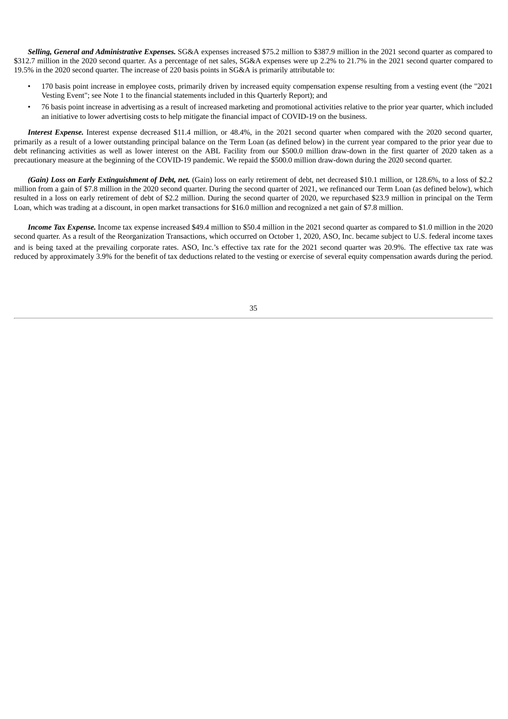*Selling, General and Administrative Expenses.* SG&A expenses increased \$75.2 million to \$387.9 million in the 2021 second quarter as compared to \$312.7 million in the 2020 second quarter. As a percentage of net sales, SG&A expenses were up 2.2% to 21.7% in the 2021 second quarter compared to 19.5% in the 2020 second quarter. The increase of 220 basis points in SG&A is primarily attributable to:

- 170 basis point increase in employee costs, primarily driven by increased equity compensation expense resulting from a vesting event (the "2021 Vesting Event"; see Note 1 to the financial statements included in this Quarterly Report); and
- 76 basis point increase in advertising as a result of increased marketing and promotional activities relative to the prior year quarter, which included an initiative to lower advertising costs to help mitigate the financial impact of COVID-19 on the business.

*Interest Expense.* Interest expense decreased \$11.4 million, or 48.4%, in the 2021 second quarter when compared with the 2020 second quarter, primarily as a result of a lower outstanding principal balance on the Term Loan (as defined below) in the current year compared to the prior year due to debt refinancing activities as well as lower interest on the ABL Facility from our \$500.0 million draw-down in the first quarter of 2020 taken as a precautionary measure at the beginning of the COVID-19 pandemic. We repaid the \$500.0 million draw-down during the 2020 second quarter.

*(Gain) Loss on Early Extinguishment of Debt, net.* (Gain) loss on early retirement of debt, net decreased \$10.1 million, or 128.6%, to a loss of \$2.2 million from a gain of \$7.8 million in the 2020 second quarter. During the second quarter of 2021, we refinanced our Term Loan (as defined below), which resulted in a loss on early retirement of debt of \$2.2 million. During the second quarter of 2020, we repurchased \$23.9 million in principal on the Term Loan, which was trading at a discount, in open market transactions for \$16.0 million and recognized a net gain of \$7.8 million.

*Income Tax Expense.* Income tax expense increased \$49.4 million to \$50.4 million in the 2021 second quarter as compared to \$1.0 million in the 2020 second quarter. As a result of the Reorganization Transactions, which occurred on October 1, 2020, ASO, Inc. became subject to U.S. federal income taxes and is being taxed at the prevailing corporate rates. ASO, Inc.'s effective tax rate for the 2021 second quarter was 20.9%. The effective tax rate was reduced by approximately 3.9% for the benefit of tax deductions related to the vesting or exercise of several equity compensation awards during the period.

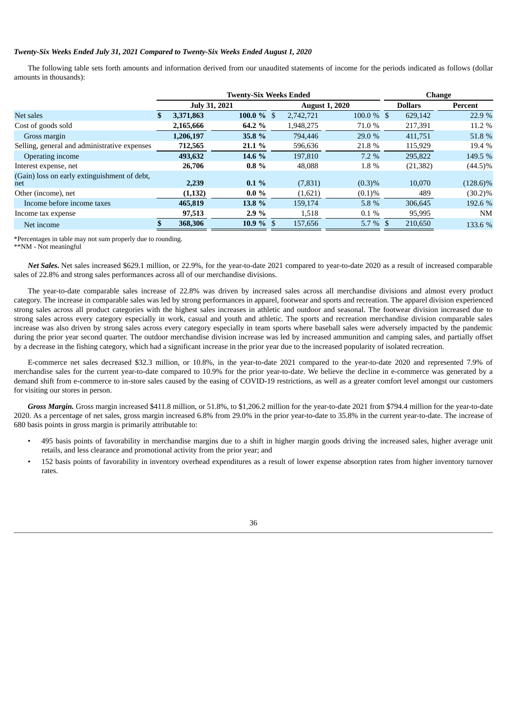#### *Twenty-Six Weeks Ended July 31, 2021 Compared to Twenty-Six Weeks Ended August 1, 2020*

The following table sets forth amounts and information derived from our unaudited statements of income for the periods indicated as follows (dollar amounts in thousands):

|                                                     |               | <b>Twenty-Six Weeks Ended</b> |                      |  |                       |              |  | Change         |             |  |  |
|-----------------------------------------------------|---------------|-------------------------------|----------------------|--|-----------------------|--------------|--|----------------|-------------|--|--|
|                                                     |               |                               | <b>July 31, 2021</b> |  | <b>August 1, 2020</b> |              |  | <b>Dollars</b> | Percent     |  |  |
| Net sales                                           | <sup>\$</sup> | 3,371,863                     | $100.0 \%$ \$        |  | 2,742,721             | $100.0\%$ \$ |  | 629,142        | 22.9 %      |  |  |
| Cost of goods sold                                  |               | 2,165,666                     | 64.2 %               |  | 1,948,275             | 71.0 %       |  | 217,391        | 11.2 %      |  |  |
| Gross margin                                        |               | 1,206,197                     | 35.8 %               |  | 794,446               | 29.0 %       |  | 411.751        | 51.8 %      |  |  |
| Selling, general and administrative expenses        |               | 712,565                       | 21.1 %               |  | 596,636               | 21.8%        |  | 115,929        | 19.4 %      |  |  |
| Operating income                                    |               | 493,632                       | 14.6 %               |  | 197,810               | $7.2\%$      |  | 295,822        | 149.5 %     |  |  |
| Interest expense, net                               |               | 26,706                        | $0.8 \%$             |  | 48,088                | 1.8%         |  | (21, 382)      | $(44.5)\%$  |  |  |
| (Gain) loss on early extinguishment of debt,<br>net |               | 2,239                         | $0.1 \%$             |  | (7,831)               | (0.3)%       |  | 10,070         | $(128.6)\%$ |  |  |
| Other (income), net                                 |               | (1, 132)                      | $0.0 \%$             |  | (1,621)               | (0.1)%       |  | 489            | $(30.2)\%$  |  |  |
| Income before income taxes                          |               | 465,819                       | 13.8 %               |  | 159,174               | 5.8%         |  | 306,645        | 192.6 %     |  |  |
| Income tax expense                                  |               | 97,513                        | 2.9%                 |  | 1,518                 | 0.1%         |  | 95,995         | NM          |  |  |
| Net income                                          |               | 368,306                       | $10.9 \%$ \$         |  | 157,656               | $5.7 \%$ \$  |  | 210,650        | 133.6 %     |  |  |

\*Percentages in table may not sum properly due to rounding.

\*\*NM - Not meaningful

*Net Sales***.** Net sales increased \$629.1 million, or 22.9%, for the year-to-date 2021 compared to year-to-date 2020 as a result of increased comparable sales of 22.8% and strong sales performances across all of our merchandise divisions.

The year-to-date comparable sales increase of 22.8% was driven by increased sales across all merchandise divisions and almost every product category. The increase in comparable sales was led by strong performances in apparel, footwear and sports and recreation. The apparel division experienced strong sales across all product categories with the highest sales increases in athletic and outdoor and seasonal. The footwear division increased due to strong sales across every category especially in work, casual and youth and athletic. The sports and recreation merchandise division comparable sales increase was also driven by strong sales across every category especially in team sports where baseball sales were adversely impacted by the pandemic during the prior year second quarter. The outdoor merchandise division increase was led by increased ammunition and camping sales, and partially offset by a decrease in the fishing category, which had a significant increase in the prior year due to the increased popularity of isolated recreation.

E-commerce net sales decreased \$32.3 million, or 10.8%, in the year-to-date 2021 compared to the year-to-date 2020 and represented 7.9% of merchandise sales for the current year-to-date compared to 10.9% for the prior year-to-date. We believe the decline in e-commerce was generated by a demand shift from e-commerce to in-store sales caused by the easing of COVID-19 restrictions, as well as a greater comfort level amongst our customers for visiting our stores in person.

*Gross Margin.* Gross margin increased \$411.8 million, or 51.8%, to \$1,206.2 million for the year-to-date 2021 from \$794.4 million for the year-to-date 2020. As a percentage of net sales, gross margin increased 6.8% from 29.0% in the prior year-to-date to 35.8% in the current year-to-date. The increase of 680 basis points in gross margin is primarily attributable to:

- 495 basis points of favorability in merchandise margins due to a shift in higher margin goods driving the increased sales, higher average unit retails, and less clearance and promotional activity from the prior year; and
- 152 basis points of favorability in inventory overhead expenditures as a result of lower expense absorption rates from higher inventory turnover rates.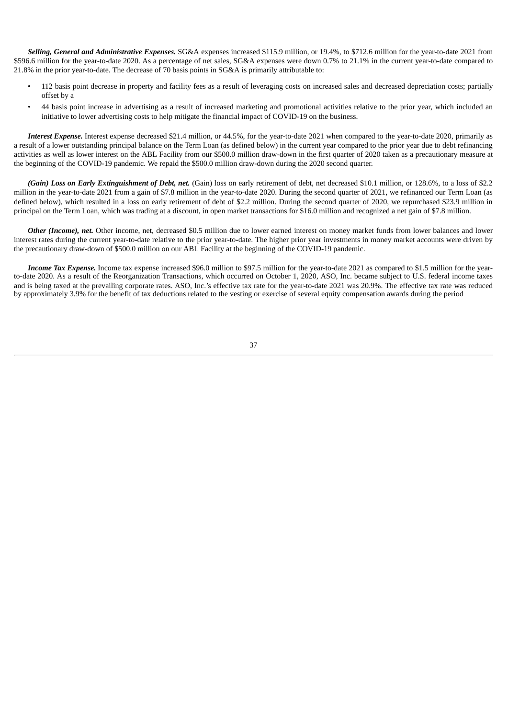*Selling, General and Administrative Expenses.* SG&A expenses increased \$115.9 million, or 19.4%, to \$712.6 million for the year-to-date 2021 from \$596.6 million for the year-to-date 2020. As a percentage of net sales, SG&A expenses were down 0.7% to 21.1% in the current year-to-date compared to 21.8% in the prior year-to-date. The decrease of 70 basis points in SG&A is primarily attributable to:

- 112 basis point decrease in property and facility fees as a result of leveraging costs on increased sales and decreased depreciation costs; partially offset by a
- 44 basis point increase in advertising as a result of increased marketing and promotional activities relative to the prior year, which included an initiative to lower advertising costs to help mitigate the financial impact of COVID-19 on the business.

*Interest Expense.* Interest expense decreased \$21.4 million, or 44.5%, for the year-to-date 2021 when compared to the year-to-date 2020, primarily as a result of a lower outstanding principal balance on the Term Loan (as defined below) in the current year compared to the prior year due to debt refinancing activities as well as lower interest on the ABL Facility from our \$500.0 million draw-down in the first quarter of 2020 taken as a precautionary measure at the beginning of the COVID-19 pandemic. We repaid the \$500.0 million draw-down during the 2020 second quarter.

*(Gain) Loss on Early Extinguishment of Debt, net.* (Gain) loss on early retirement of debt, net decreased \$10.1 million, or 128.6%, to a loss of \$2.2 million in the year-to-date 2021 from a gain of \$7.8 million in the year-to-date 2020. During the second quarter of 2021, we refinanced our Term Loan (as defined below), which resulted in a loss on early retirement of debt of \$2.2 million. During the second quarter of 2020, we repurchased \$23.9 million in principal on the Term Loan, which was trading at a discount, in open market transactions for \$16.0 million and recognized a net gain of \$7.8 million.

*Other (Income), net.* Other income, net, decreased \$0.5 million due to lower earned interest on money market funds from lower balances and lower interest rates during the current year-to-date relative to the prior year-to-date. The higher prior year investments in money market accounts were driven by the precautionary draw-down of \$500.0 million on our ABL Facility at the beginning of the COVID-19 pandemic.

*Income Tax Expense.* Income tax expense increased \$96.0 million to \$97.5 million for the year-to-date 2021 as compared to \$1.5 million for the yearto-date 2020. As a result of the Reorganization Transactions, which occurred on October 1, 2020, ASO, Inc. became subject to U.S. federal income taxes and is being taxed at the prevailing corporate rates. ASO, Inc.'s effective tax rate for the year-to-date 2021 was 20.9%. The effective tax rate was reduced by approximately 3.9% for the benefit of tax deductions related to the vesting or exercise of several equity compensation awards during the period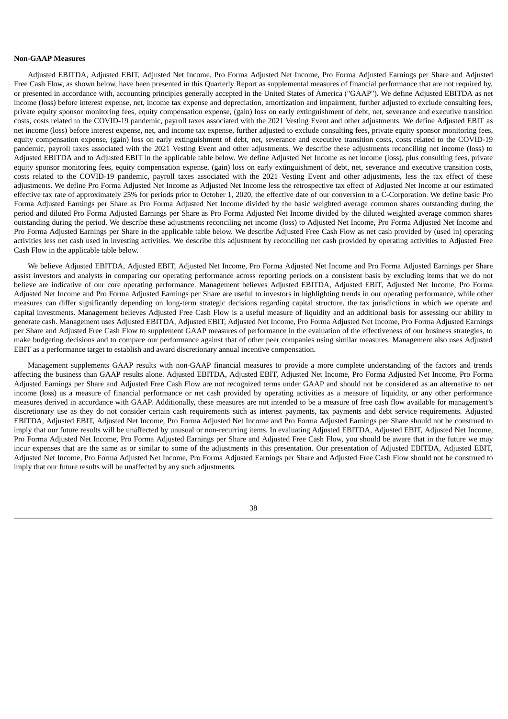#### **Non-GAAP Measures**

Adjusted EBITDA, Adjusted EBIT, Adjusted Net Income, Pro Forma Adjusted Net Income, Pro Forma Adjusted Earnings per Share and Adjusted Free Cash Flow, as shown below, have been presented in this Quarterly Report as supplemental measures of financial performance that are not required by, or presented in accordance with, accounting principles generally accepted in the United States of America ("GAAP"). We define Adjusted EBITDA as net income (loss) before interest expense, net, income tax expense and depreciation, amortization and impairment, further adjusted to exclude consulting fees, private equity sponsor monitoring fees, equity compensation expense, (gain) loss on early extinguishment of debt, net, severance and executive transition costs, costs related to the COVID-19 pandemic, payroll taxes associated with the 2021 Vesting Event and other adjustments. We define Adjusted EBIT as net income (loss) before interest expense, net, and income tax expense, further adjusted to exclude consulting fees, private equity sponsor monitoring fees, equity compensation expense, (gain) loss on early extinguishment of debt, net, severance and executive transition costs, costs related to the COVID-19 pandemic, payroll taxes associated with the 2021 Vesting Event and other adjustments. We describe these adjustments reconciling net income (loss) to Adjusted EBITDA and to Adjusted EBIT in the applicable table below. We define Adjusted Net Income as net income (loss), plus consulting fees, private equity sponsor monitoring fees, equity compensation expense, (gain) loss on early extinguishment of debt, net, severance and executive transition costs, costs related to the COVID-19 pandemic, payroll taxes associated with the 2021 Vesting Event and other adjustments, less the tax effect of these adjustments. We define Pro Forma Adjusted Net Income as Adjusted Net Income less the retrospective tax effect of Adjusted Net Income at our estimated effective tax rate of approximately 25% for periods prior to October 1, 2020, the effective date of our conversion to a C-Corporation. We define basic Pro Forma Adjusted Earnings per Share as Pro Forma Adjusted Net Income divided by the basic weighted average common shares outstanding during the period and diluted Pro Forma Adjusted Earnings per Share as Pro Forma Adjusted Net Income divided by the diluted weighted average common shares outstanding during the period. We describe these adjustments reconciling net income (loss) to Adjusted Net Income, Pro Forma Adjusted Net Income and Pro Forma Adjusted Earnings per Share in the applicable table below. We describe Adjusted Free Cash Flow as net cash provided by (used in) operating activities less net cash used in investing activities. We describe this adjustment by reconciling net cash provided by operating activities to Adjusted Free Cash Flow in the applicable table below.

We believe Adjusted EBITDA, Adjusted EBIT, Adjusted Net Income, Pro Forma Adjusted Net Income and Pro Forma Adjusted Earnings per Share assist investors and analysts in comparing our operating performance across reporting periods on a consistent basis by excluding items that we do not believe are indicative of our core operating performance. Management believes Adjusted EBITDA, Adjusted EBIT, Adjusted Net Income, Pro Forma Adjusted Net Income and Pro Forma Adjusted Earnings per Share are useful to investors in highlighting trends in our operating performance, while other measures can differ significantly depending on long-term strategic decisions regarding capital structure, the tax jurisdictions in which we operate and capital investments. Management believes Adjusted Free Cash Flow is a useful measure of liquidity and an additional basis for assessing our ability to generate cash. Management uses Adjusted EBITDA, Adjusted EBIT, Adjusted Net Income, Pro Forma Adjusted Net Income, Pro Forma Adjusted Earnings per Share and Adjusted Free Cash Flow to supplement GAAP measures of performance in the evaluation of the effectiveness of our business strategies, to make budgeting decisions and to compare our performance against that of other peer companies using similar measures. Management also uses Adjusted EBIT as a performance target to establish and award discretionary annual incentive compensation.

Management supplements GAAP results with non-GAAP financial measures to provide a more complete understanding of the factors and trends affecting the business than GAAP results alone. Adjusted EBITDA, Adjusted EBIT, Adjusted Net Income, Pro Forma Adjusted Net Income, Pro Forma Adjusted Earnings per Share and Adjusted Free Cash Flow are not recognized terms under GAAP and should not be considered as an alternative to net income (loss) as a measure of financial performance or net cash provided by operating activities as a measure of liquidity, or any other performance measures derived in accordance with GAAP. Additionally, these measures are not intended to be a measure of free cash flow available for management's discretionary use as they do not consider certain cash requirements such as interest payments, tax payments and debt service requirements. Adjusted EBITDA, Adjusted EBIT, Adjusted Net Income, Pro Forma Adjusted Net Income and Pro Forma Adjusted Earnings per Share should not be construed to imply that our future results will be unaffected by unusual or non-recurring items. In evaluating Adjusted EBITDA, Adjusted EBIT, Adjusted Net Income, Pro Forma Adjusted Net Income, Pro Forma Adjusted Earnings per Share and Adjusted Free Cash Flow, you should be aware that in the future we may incur expenses that are the same as or similar to some of the adjustments in this presentation. Our presentation of Adjusted EBITDA, Adjusted EBIT, Adjusted Net Income, Pro Forma Adjusted Net Income, Pro Forma Adjusted Earnings per Share and Adjusted Free Cash Flow should not be construed to imply that our future results will be unaffected by any such adjustments.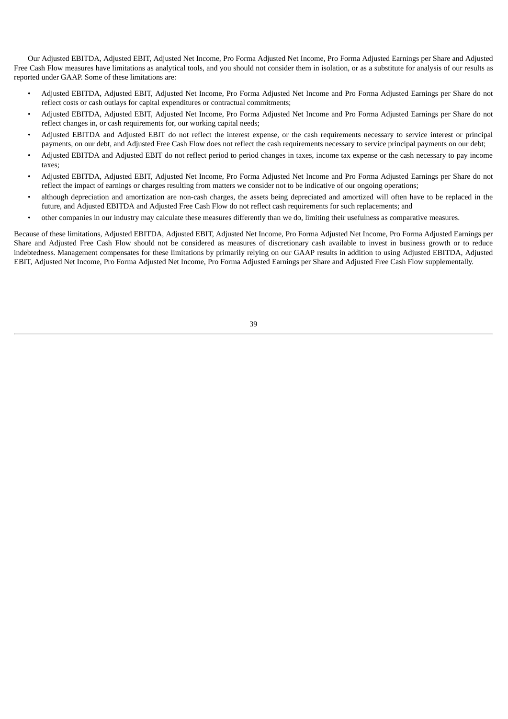Our Adjusted EBITDA, Adjusted EBIT, Adjusted Net Income, Pro Forma Adjusted Net Income, Pro Forma Adjusted Earnings per Share and Adjusted Free Cash Flow measures have limitations as analytical tools, and you should not consider them in isolation, or as a substitute for analysis of our results as reported under GAAP. Some of these limitations are:

- Adjusted EBITDA, Adjusted EBIT, Adjusted Net Income, Pro Forma Adjusted Net Income and Pro Forma Adjusted Earnings per Share do not reflect costs or cash outlays for capital expenditures or contractual commitments;
- Adjusted EBITDA, Adjusted EBIT, Adjusted Net Income, Pro Forma Adjusted Net Income and Pro Forma Adjusted Earnings per Share do not reflect changes in, or cash requirements for, our working capital needs;
- Adjusted EBITDA and Adjusted EBIT do not reflect the interest expense, or the cash requirements necessary to service interest or principal payments, on our debt, and Adjusted Free Cash Flow does not reflect the cash requirements necessary to service principal payments on our debt;
- Adjusted EBITDA and Adjusted EBIT do not reflect period to period changes in taxes, income tax expense or the cash necessary to pay income taxes;
- Adjusted EBITDA, Adjusted EBIT, Adjusted Net Income, Pro Forma Adjusted Net Income and Pro Forma Adjusted Earnings per Share do not reflect the impact of earnings or charges resulting from matters we consider not to be indicative of our ongoing operations;
- although depreciation and amortization are non-cash charges, the assets being depreciated and amortized will often have to be replaced in the future, and Adjusted EBITDA and Adjusted Free Cash Flow do not reflect cash requirements for such replacements; and
- other companies in our industry may calculate these measures differently than we do, limiting their usefulness as comparative measures.

Because of these limitations, Adjusted EBITDA, Adjusted EBIT, Adjusted Net Income, Pro Forma Adjusted Net Income, Pro Forma Adjusted Earnings per Share and Adjusted Free Cash Flow should not be considered as measures of discretionary cash available to invest in business growth or to reduce indebtedness. Management compensates for these limitations by primarily relying on our GAAP results in addition to using Adjusted EBITDA, Adjusted EBIT, Adjusted Net Income, Pro Forma Adjusted Net Income, Pro Forma Adjusted Earnings per Share and Adjusted Free Cash Flow supplementally.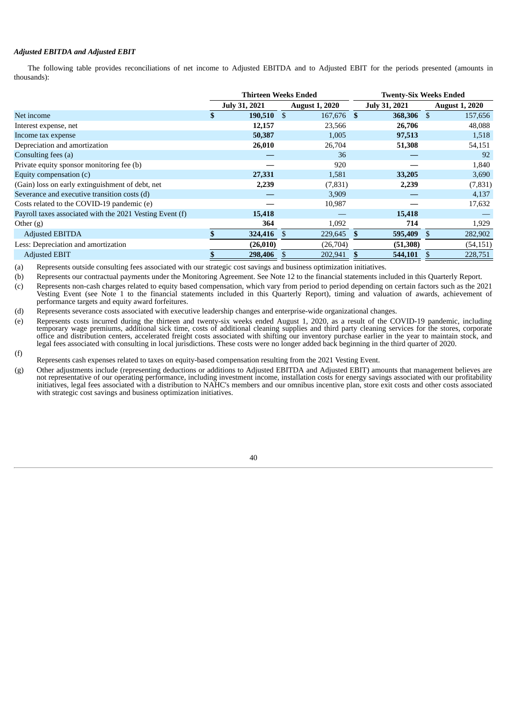### *Adjusted EBITDA and Adjusted EBIT*

The following table provides reconciliations of net income to Adjusted EBITDA and to Adjusted EBIT for the periods presented (amounts in thousands):

|                                                          | Thirteen Weeks Ended |                             |    |                      | <b>Twenty-Six Weeks Ended</b> |                       |
|----------------------------------------------------------|----------------------|-----------------------------|----|----------------------|-------------------------------|-----------------------|
|                                                          | <b>July 31, 2021</b> | <b>August 1, 2020</b>       |    | <b>July 31, 2021</b> |                               | <b>August 1, 2020</b> |
| Net income                                               | 190,510              | <sup>\$</sup><br>167,676 \$ |    | 368,306 \$           |                               | 157,656               |
| Interest expense, net                                    | 12,157               | 23,566                      |    | 26,706               |                               | 48,088                |
| Income tax expense                                       | 50,387               | 1,005                       |    | 97,513               |                               | 1,518                 |
| Depreciation and amortization                            | 26,010               | 26,704                      |    | 51,308               |                               | 54,151                |
| Consulting fees (a)                                      |                      | 36                          |    |                      |                               | 92                    |
| Private equity sponsor monitoring fee (b)                |                      | 920                         |    |                      |                               | 1,840                 |
| Equity compensation $(c)$                                | 27,331               | 1,581                       |    | 33,205               |                               | 3,690                 |
| (Gain) loss on early extinguishment of debt, net         | 2,239                | (7,831)                     |    | 2,239                |                               | (7, 831)              |
| Severance and executive transition costs (d)             |                      | 3,909                       |    |                      |                               | 4,137                 |
| Costs related to the COVID-19 pandemic (e)               |                      | 10,987                      |    |                      |                               | 17,632                |
| Payroll taxes associated with the 2021 Vesting Event (f) | 15,418               |                             |    | 15,418               |                               |                       |
| Other $(g)$                                              | 364                  | 1,092                       |    | 714                  |                               | 1,929                 |
| <b>Adjusted EBITDA</b>                                   | 324,416              | 229,645<br>- \$             | -S | 595,409              | - \$                          | 282,902               |
| Less: Depreciation and amortization                      | (26, 010)            | (26,704)                    |    | (51,308)             |                               | (54, 151)             |
| <b>Adjusted EBIT</b>                                     | 298,406              | 202,941<br>\$.              | -S | 544,101              |                               | 228,751               |

(a) Represents outside consulting fees associated with our strategic cost savings and business optimization initiatives.

(b) Represents our contractual payments under the Monitoring Agreement. See Note 12 to the financial statements included in this Quarterly Report. (c) Represents non-cash charges related to equity based compensation, which vary from period to period depending on certain factors such as the 2021 Vesting Event (see Note 1 to the financial statements included in this Quarterly Report), timing and valuation of awards, achievement of performance targets and equity award forfeitures.

(d) Represents severance costs associated with executive leadership changes and enterprise-wide organizational changes.

(e) Represents costs incurred during the thirteen and twenty-six weeks ended August 1, 2020, as a result of the COVID-19 pandemic, including temporary wage premiums, additional sick time, costs of additional cleaning supplies and third party cleaning services for the stores, corporate office and distribution centers, accelerated freight costs associated with shifting our inventory purchase earlier in the year to maintain stock, and legal fees associated with consulting in local jurisdictions. These costs were no longer added back beginning in the third quarter of 2020.

(f)

Represents cash expenses related to taxes on equity-based compensation resulting from the 2021 Vesting Event.

(g) Other adjustments include (representing deductions or additions to Adjusted EBITDA and Adjusted EBIT) amounts that management believes are not representative of our operating performance, including investment income, installation costs for energy savings associated with our profitability initiatives, legal fees associated with a distribution to NAHC's members and our omnibus incentive plan, store exit costs and other costs associated with strategic cost savings and business optimization initiatives.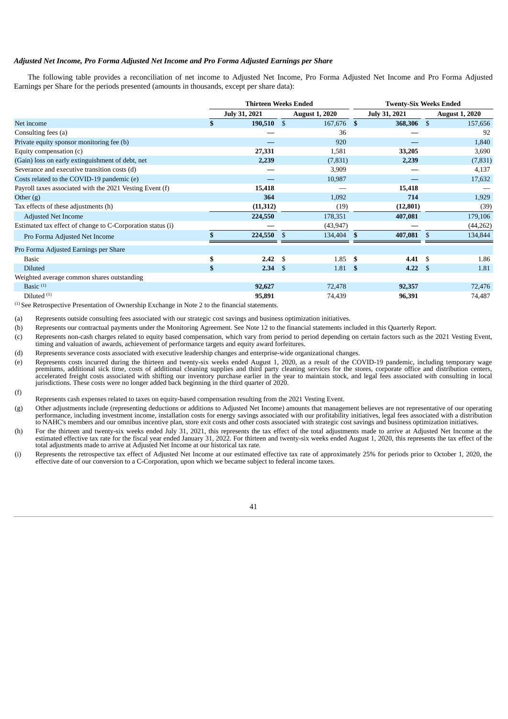#### *Adjusted Net Income, Pro Forma Adjusted Net Income and Pro Forma Adjusted Earnings per Share*

The following table provides a reconciliation of net income to Adjusted Net Income, Pro Forma Adjusted Net Income and Pro Forma Adjusted Earnings per Share for the periods presented (amounts in thousands, except per share data):

|                                                            | <b>Thirteen Weeks Ended</b> |                      |              | <b>Twenty-Six Weeks Ended</b> |              |                      |      |                       |
|------------------------------------------------------------|-----------------------------|----------------------|--------------|-------------------------------|--------------|----------------------|------|-----------------------|
|                                                            |                             | <b>July 31, 2021</b> |              | <b>August 1, 2020</b>         |              | <b>July 31, 2021</b> |      | <b>August 1, 2020</b> |
| Net income                                                 |                             | 190,510              | $\mathbf{s}$ | 167,676                       | $\mathbf{s}$ | 368,306 \$           |      | 157,656               |
| Consulting fees (a)                                        |                             |                      |              | 36                            |              |                      |      | 92                    |
| Private equity sponsor monitoring fee (b)                  |                             |                      |              | 920                           |              |                      |      | 1,840                 |
| Equity compensation (c)                                    |                             | 27,331               |              | 1,581                         |              | 33,205               |      | 3,690                 |
| (Gain) loss on early extinguishment of debt, net           |                             | 2,239                |              | (7,831)                       |              | 2,239                |      | (7, 831)              |
| Severance and executive transition costs (d)               |                             |                      |              | 3,909                         |              |                      |      | 4,137                 |
| Costs related to the COVID-19 pandemic (e)                 |                             |                      |              | 10,987                        |              |                      |      | 17,632                |
| Payroll taxes associated with the 2021 Vesting Event (f)   |                             | 15,418               |              |                               |              | 15,418               |      |                       |
| Other $(g)$                                                |                             | 364                  |              | 1,092                         |              | 714                  |      | 1,929                 |
| Tax effects of these adjustments (h)                       |                             | (11, 312)            |              | (19)                          |              | (12,801)             |      | (39)                  |
| <b>Adjusted Net Income</b>                                 |                             | 224,550              |              | 178,351                       |              | 407,081              |      | 179,106               |
| Estimated tax effect of change to C-Corporation status (i) |                             |                      |              | (43, 947)                     |              |                      |      | (44,262)              |
| Pro Forma Adjusted Net Income                              |                             | 224,550              | \$           | 134,404                       | -S           | 407,081              | -\$  | 134,844               |
| Pro Forma Adjusted Earnings per Share                      |                             |                      |              |                               |              |                      |      |                       |
| Basic                                                      | \$                          | $2.42 \quad$ \$      |              | 1.85                          | \$           | 4.41                 | -\$  | 1.86                  |
| <b>Diluted</b>                                             |                             | $2.34\quad$          |              | 1.81                          | - \$         | 4.22                 | - \$ | 1.81                  |
| Weighted average common shares outstanding                 |                             |                      |              |                               |              |                      |      |                       |
| Basic $(1)$                                                |                             | 92,627               |              | 72,478                        |              | 92,357               |      | 72,476                |
| Diluted <sup>(1)</sup>                                     |                             | 95,891               |              | 74,439                        |              | 96,391               |      | 74,487                |

 $<sup>(1)</sup>$  See Retrospective Presentation of Ownership Exchange in Note 2 to the financial statements.</sup>

(a) Represents outside consulting fees associated with our strategic cost savings and business optimization initiatives.

(b) Represents our contractual payments under the Monitoring Agreement. See Note 12 to the financial statements included in this Quarterly Report.

(c) Represents non-cash charges related to equity based compensation, which vary from period to period depending on certain factors such as the 2021 Vesting Event, timing and valuation of awards, achievement of performance targets and equity award forfeitures.

(d) Represents severance costs associated with executive leadership changes and enterprise-wide organizational changes.

(e) Represents costs incurred during the thirteen and twenty-six weeks ended August 1, 2020, as a result of the COVID-19 pandemic, including temporary wage premiums, additional sick time, costs of additional cleaning supplies and third party cleaning services for the stores, corporate office and distribution centers, accelerated freight costs associated with shifting our inventory purchase earlier in the year to maintain stock, and legal fees associated with consulting in local jurisdictions. These costs were no longer added back beginning in the third quarter of 2020.

 $(f)$ 

Represents cash expenses related to taxes on equity-based compensation resulting from the 2021 Vesting Event.

- $\epsilon$ ) Other adjustments include (representing deductions or additions to Adjusted Net Income) amounts that management believes are not representative of our operating performance, including investment income, installation costs for energy savings associated with our profitability initiatives, legal fees associated with a distribution to NAHC's members and our omnibus incentive plan, store exit costs and other costs associated with strategic cost savings and business optimization initiatives.
- (h) For the thirteen and twenty-six weeks ended July 31, 2021, this represents the tax effect of the total adjustments made to arrive at Adjusted Net Income at the estimated effective tax rate for the fiscal year ended January 31, 2022. For thirteen and twenty-six weeks ended August 1, 2020, this represents the tax effect of the total adjustments made to arrive at Adjusted Net Income at our historical tax rate.

(i) Represents the retrospective tax effect of Adjusted Net Income at our estimated effective tax rate of approximately 25% for periods prior to October 1, 2020, the effective date of our conversion to a C-Corporation, upon which we became subject to federal income taxes.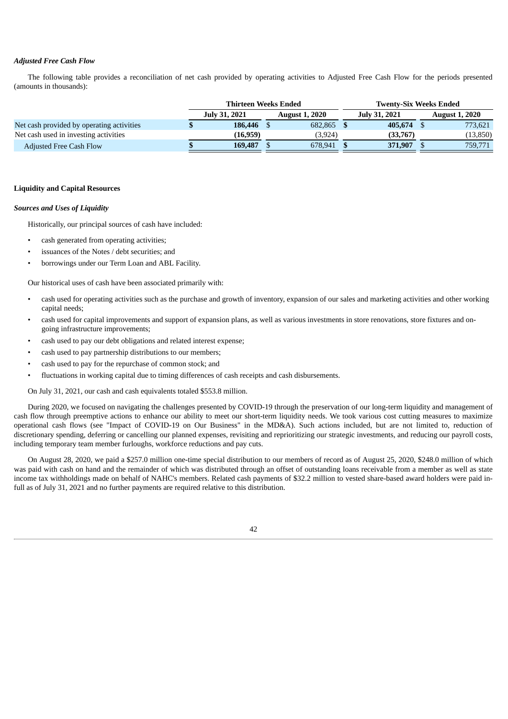### *Adjusted Free Cash Flow*

The following table provides a reconciliation of net cash provided by operating activities to Adjusted Free Cash Flow for the periods presented (amounts in thousands):

|                                           | <b>Thirteen Weeks Ended</b> |  |                       | <b>Twenty-Six Weeks Ended</b> |                       |  |
|-------------------------------------------|-----------------------------|--|-----------------------|-------------------------------|-----------------------|--|
|                                           | July 31, 2021               |  | <b>August 1, 2020</b> | <b>July 31, 2021</b>          | <b>August 1, 2020</b> |  |
| Net cash provided by operating activities | 186,446 \$                  |  | 682.865               | 405.674                       | 773.621               |  |
| Net cash used in investing activities     | (16,959)                    |  | (3,924)               | (33,767)                      | (13, 850)             |  |
| <b>Adjusted Free Cash Flow</b>            | 169,487                     |  | 678.941               | 371,907                       | 759.771               |  |

### **Liquidity and Capital Resources**

### *Sources and Uses of Liquidity*

Historically, our principal sources of cash have included:

- cash generated from operating activities;
- issuances of the Notes / debt securities: and
- borrowings under our Term Loan and ABL Facility.

Our historical uses of cash have been associated primarily with:

- cash used for operating activities such as the purchase and growth of inventory, expansion of our sales and marketing activities and other working capital needs;
- cash used for capital improvements and support of expansion plans, as well as various investments in store renovations, store fixtures and ongoing infrastructure improvements;
- cash used to pay our debt obligations and related interest expense;
- cash used to pay partnership distributions to our members;
- cash used to pay for the repurchase of common stock; and
- fluctuations in working capital due to timing differences of cash receipts and cash disbursements.

On July 31, 2021, our cash and cash equivalents totaled \$553.8 million.

During 2020, we focused on navigating the challenges presented by COVID-19 through the preservation of our long-term liquidity and management of cash flow through preemptive actions to enhance our ability to meet our short-term liquidity needs. We took various cost cutting measures to maximize operational cash flows (see "Impact of COVID-19 on Our Business" in the MD&A). Such actions included, but are not limited to, reduction of discretionary spending, deferring or cancelling our planned expenses, revisiting and reprioritizing our strategic investments, and reducing our payroll costs, including temporary team member furloughs, workforce reductions and pay cuts.

On August 28, 2020, we paid a \$257.0 million one-time special distribution to our members of record as of August 25, 2020, \$248.0 million of which was paid with cash on hand and the remainder of which was distributed through an offset of outstanding loans receivable from a member as well as state income tax withholdings made on behalf of NAHC's members. Related cash payments of \$32.2 million to vested share-based award holders were paid infull as of July 31, 2021 and no further payments are required relative to this distribution.

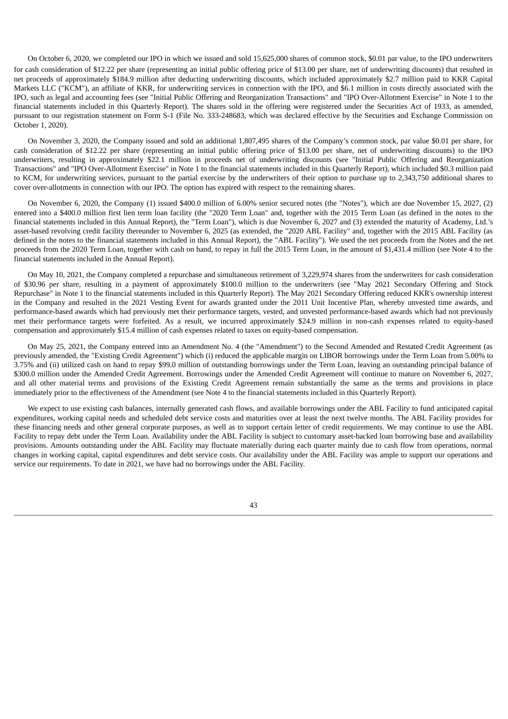On October 6, 2020, we completed our IPO in which we issued and sold 15,625,000 shares of common stock, \$0.01 par value, to the IPO underwriters for cash consideration of \$12.22 per share (representing an initial public offering price of \$13.00 per share, net of underwriting discounts) that resulted in net proceeds of approximately \$184.9 million after deducting underwriting discounts, which included approximately \$2.7 million paid to KKR Capital Markets LLC ("KCM"), an affiliate of KKR, for underwriting services in connection with the IPO, and \$6.1 million in costs directly associated with the IPO, such as legal and accounting fees (see "Initial Public Offering and Reorganization Transactions" and "IPO Over-Allotment Exercise" in Note 1 to the financial statements included in this Quarterly Report). The shares sold in the offering were registered under the Securities Act of 1933, as amended, pursuant to our registration statement on Form S-1 (File No. 333-248683, which was declared effective by the Securities and Exchange Commission on October 1, 2020).

On November 3, 2020, the Company issued and sold an additional 1,807,495 shares of the Company's common stock, par value \$0.01 per share, for cash consideration of \$12.22 per share (representing an initial public offering price of \$13.00 per share, net of underwriting discounts) to the IPO underwriters, resulting in approximately \$22.1 million in proceeds net of underwriting discounts (see "Initial Public Offering and Reorganization Transactions" and "IPO Over-Allotment Exercise" in Note 1 to the financial statements included in this Quarterly Report), which included \$0.3 million paid to KCM, for underwriting services, pursuant to the partial exercise by the underwriters of their option to purchase up to 2,343,750 additional shares to cover over-allotments in connection with our IPO. The option has expired with respect to the remaining shares.

On November 6, 2020, the Company (1) issued \$400.0 million of 6.00% senior secured notes (the "Notes"), which are due November 15, 2027, (2) entered into a \$400.0 million first lien term loan facility (the "2020 Term Loan" and, together with the 2015 Term Loan (as defined in the notes to the financial statements included in this Annual Report), the "Term Loan"), which is due November 6, 2027 and (3) extended the maturity of Academy, Ltd.'s asset-based revolving credit facility thereunder to November 6, 2025 (as extended, the "2020 ABL Facility" and, together with the 2015 ABL Facility (as defined in the notes to the financial statements included in this Annual Report), the "ABL Facility"). We used the net proceeds from the Notes and the net proceeds from the 2020 Term Loan, together with cash on hand, to repay in full the 2015 Term Loan, in the amount of \$1,431.4 million (see Note 4 to the financial statements included in the Annual Report).

On May 10, 2021, the Company completed a repurchase and simultaneous retirement of 3,229,974 shares from the underwriters for cash consideration of \$30.96 per share, resulting in a payment of approximately \$100.0 million to the underwriters (see "May 2021 Secondary Offering and Stock Repurchase" in Note 1 to the financial statements included in this Quarterly Report). The May 2021 Secondary Offering reduced KKR's ownership interest in the Company and resulted in the 2021 Vesting Event for awards granted under the 2011 Unit Incentive Plan, whereby unvested time awards, and performance-based awards which had previously met their performance targets, vested, and unvested performance-based awards which had not previously met their performance targets were forfeited. As a result, we incurred approximately \$24.9 million in non-cash expenses related to equity-based compensation and approximately \$15.4 million of cash expenses related to taxes on equity-based compensation.

On May 25, 2021, the Company entered into an Amendment No. 4 (the "Amendment") to the Second Amended and Restated Credit Agreement (as previously amended, the "Existing Credit Agreement") which (i) reduced the applicable margin on LIBOR borrowings under the Term Loan from 5.00% to 3.75% and (ii) utilized cash on hand to repay \$99.0 million of outstanding borrowings under the Term Loan, leaving an outstanding principal balance of \$300.0 million under the Amended Credit Agreement. Borrowings under the Amended Credit Agreement will continue to mature on November 6, 2027, and all other material terms and provisions of the Existing Credit Agreement remain substantially the same as the terms and provisions in place immediately prior to the effectiveness of the Amendment (see Note 4 to the financial statements included in this Quarterly Report).

We expect to use existing cash balances, internally generated cash flows, and available borrowings under the ABL Facility to fund anticipated capital expenditures, working capital needs and scheduled debt service costs and maturities over at least the next twelve months. The ABL Facility provides for these financing needs and other general corporate purposes, as well as to support certain letter of credit requirements. We may continue to use the ABL Facility to repay debt under the Term Loan. Availability under the ABL Facility is subject to customary asset-backed loan borrowing base and availability provisions. Amounts outstanding under the ABL Facility may fluctuate materially during each quarter mainly due to cash flow from operations, normal changes in working capital, capital expenditures and debt service costs. Our availability under the ABL Facility was ample to support our operations and service our requirements. To date in 2021, we have had no borrowings under the ABL Facility.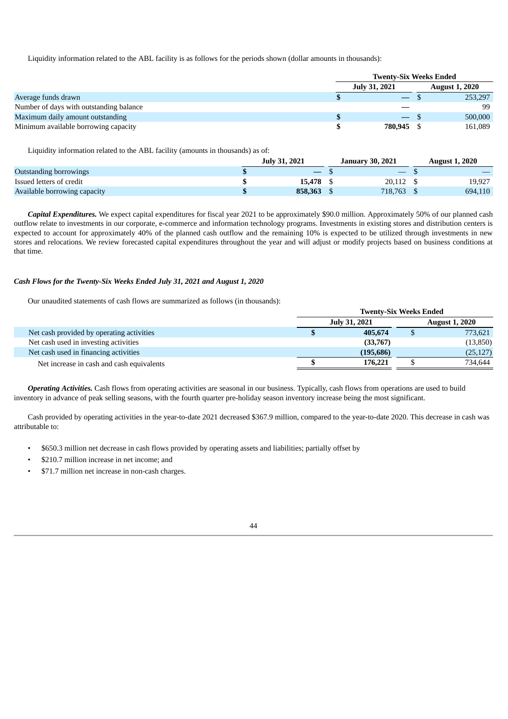Liquidity information related to the ABL facility is as follows for the periods shown (dollar amounts in thousands):

|                                         | <b>Twenty-Six Weeks Ended</b> |  |                       |
|-----------------------------------------|-------------------------------|--|-----------------------|
|                                         | <b>July 31, 2021</b>          |  | <b>August 1, 2020</b> |
| Average funds drawn                     |                               |  | 253,297               |
| Number of days with outstanding balance |                               |  | 99                    |
| Maximum daily amount outstanding        | $\overline{\phantom{0}}$      |  | 500,000               |
| Minimum available borrowing capacity    | 780,945                       |  | 161,089               |

Liquidity information related to the ABL facility (amounts in thousands) as of:

|                                     | <b>July 31, 2021</b> | <b>January 30, 2021</b>       | <b>August 1, 2020</b> |
|-------------------------------------|----------------------|-------------------------------|-----------------------|
| <b>Outstanding borrowings</b>       |                      | $\overbrace{\phantom{12333}}$ |                       |
| Issued letters of credit            | 15.478               | 20,112                        | 19.927                |
| <b>Available borrowing capacity</b> | 858,363              | 718,763                       | 694,110               |

*Capital Expenditures.* We expect capital expenditures for fiscal year 2021 to be approximately \$90.0 million. Approximately 50% of our planned cash outflow relate to investments in our corporate, e-commerce and information technology programs. Investments in existing stores and distribution centers is expected to account for approximately 40% of the planned cash outflow and the remaining 10% is expected to be utilized through investments in new stores and relocations. We review forecasted capital expenditures throughout the year and will adjust or modify projects based on business conditions at that time.

### *Cash Flows for the Twenty-Six Weeks Ended July 31, 2021 and August 1, 2020*

Our unaudited statements of cash flows are summarized as follows (in thousands):

|                                           | <b>Twenty-Six Weeks Ended</b> |               |                       |           |  |
|-------------------------------------------|-------------------------------|---------------|-----------------------|-----------|--|
|                                           |                               | July 31, 2021 | <b>August 1, 2020</b> |           |  |
| Net cash provided by operating activities |                               | 405,674       |                       | 773,621   |  |
| Net cash used in investing activities     |                               | (33,767)      |                       | (13, 850) |  |
| Net cash used in financing activities     |                               | (195, 686)    |                       | (25, 127) |  |
| Net increase in cash and cash equivalents |                               | 176.221       |                       | 734,644   |  |

*Operating Activities.* Cash flows from operating activities are seasonal in our business. Typically, cash flows from operations are used to build inventory in advance of peak selling seasons, with the fourth quarter pre-holiday season inventory increase being the most significant.

Cash provided by operating activities in the year-to-date 2021 decreased \$367.9 million, compared to the year-to-date 2020. This decrease in cash was attributable to:

- \$650.3 million net decrease in cash flows provided by operating assets and liabilities; partially offset by
- \$210.7 million increase in net income; and
- \$71.7 million net increase in non-cash charges.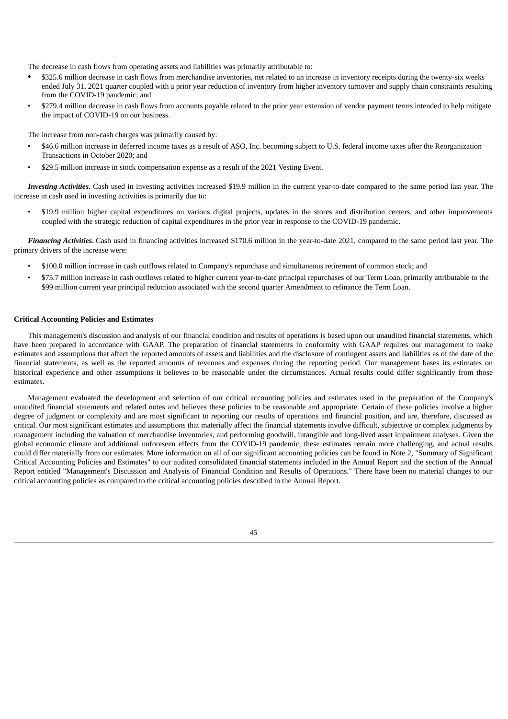The decrease in cash flows from operating assets and liabilities was primarily attributable to:

- \$325.6 million decrease in cash flows from merchandise inventories, net related to an increase in inventory receipts during the twenty-six weeks ended July 31, 2021 quarter coupled with a prior year reduction of inventory from higher inventory turnover and supply chain constraints resulting from the COVID-19 pandemic; and
- \$279.4 million decrease in cash flows from accounts payable related to the prior year extension of vendor payment terms intended to help mitigate the impact of COVID-19 on our business.

The increase from non-cash charges was primarily caused by:

- \$46.6 million increase in deferred income taxes as a result of ASO, Inc. becoming subject to U.S. federal income taxes after the Reorganization Transactions in October 2020; and
- \$29.5 million increase in stock compensation expense as a result of the 2021 Vesting Event.

*Investing Activities***.** Cash used in investing activities increased \$19.9 million in the current year-to-date compared to the same period last year. The increase in cash used in investing activities is primarily due to:

• \$19.9 million higher capital expenditures on various digital projects, updates in the stores and distribution centers, and other improvements coupled with the strategic reduction of capital expenditures in the prior year in response to the COVID-19 pandemic.

*Financing Activities***.** Cash used in financing activities increased \$170.6 million in the year-to-date 2021, compared to the same period last year. The primary drivers of the increase were:

- \$100.0 million increase in cash outflows related to Company's repurchase and simultaneous retirement of common stock; and
- \$75.7 million increase in cash outflows related to higher current year-to-date principal repurchases of our Term Loan, primarily attributable to the \$99 million current year principal reduction associated with the second quarter Amendment to refinance the Term Loan.

#### **Critical Accounting Policies and Estimates**

This management's discussion and analysis of our financial condition and results of operations is based upon our unaudited financial statements, which have been prepared in accordance with GAAP. The preparation of financial statements in conformity with GAAP requires our management to make estimates and assumptions that affect the reported amounts of assets and liabilities and the disclosure of contingent assets and liabilities as of the date of the financial statements, as well as the reported amounts of revenues and expenses during the reporting period. Our management bases its estimates on historical experience and other assumptions it believes to be reasonable under the circumstances. Actual results could differ significantly from those estimates.

Management evaluated the development and selection of our critical accounting policies and estimates used in the preparation of the Company's unaudited financial statements and related notes and believes these policies to be reasonable and appropriate. Certain of these policies involve a higher degree of judgment or complexity and are most significant to reporting our results of operations and financial position, and are, therefore, discussed as critical. Our most significant estimates and assumptions that materially affect the financial statements involve difficult, subjective or complex judgments by management including the valuation of merchandise inventories, and performing goodwill, intangible and long-lived asset impairment analyses. Given the global economic climate and additional unforeseen effects from the COVID-19 pandemic, these estimates remain more challenging, and actual results could differ materially from our estimates. More information on all of our significant accounting policies can be found in Note 2, "Summary of Significant Critical Accounting Policies and Estimates" to our audited consolidated financial statements included in the Annual Report and the section of the Annual Report entitled "Management's Discussion and Analysis of Financial Condition and Results of Operations." There have been no material changes to our critical accounting policies as compared to the critical accounting policies described in the Annual Report.

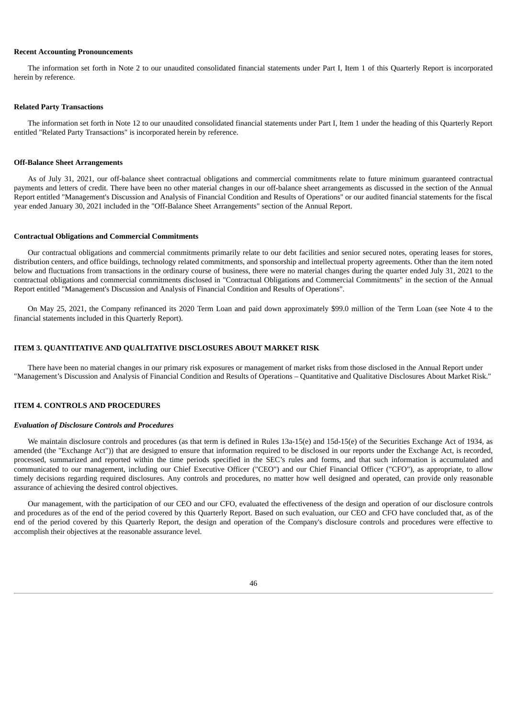#### **Recent Accounting Pronouncements**

The information set forth in Note 2 to our unaudited consolidated financial statements under Part I, Item 1 of this Quarterly Report is incorporated herein by reference.

#### **Related Party Transactions**

The information set forth in Note 12 to our unaudited consolidated financial statements under Part I, Item 1 under the heading of this Quarterly Report entitled "Related Party Transactions" is incorporated herein by reference.

#### **Off-Balance Sheet Arrangements**

As of July 31, 2021, our off-balance sheet contractual obligations and commercial commitments relate to future minimum guaranteed contractual payments and letters of credit. There have been no other material changes in our off-balance sheet arrangements as discussed in the section of the Annual Report entitled "Management's Discussion and Analysis of Financial Condition and Results of Operations" or our audited financial statements for the fiscal year ended January 30, 2021 included in the "Off-Balance Sheet Arrangements" section of the Annual Report.

#### **Contractual Obligations and Commercial Commitments**

Our contractual obligations and commercial commitments primarily relate to our debt facilities and senior secured notes, operating leases for stores, distribution centers, and office buildings, technology related commitments, and sponsorship and intellectual property agreements. Other than the item noted below and fluctuations from transactions in the ordinary course of business, there were no material changes during the quarter ended July 31, 2021 to the contractual obligations and commercial commitments disclosed in "Contractual Obligations and Commercial Commitments" in the section of the Annual Report entitled "Management's Discussion and Analysis of Financial Condition and Results of Operations".

On May 25, 2021, the Company refinanced its 2020 Term Loan and paid down approximately \$99.0 million of the Term Loan (see Note 4 to the financial statements included in this Quarterly Report).

### <span id="page-45-0"></span>**ITEM 3. QUANTITATIVE AND QUALITATIVE DISCLOSURES ABOUT MARKET RISK**

There have been no material changes in our primary risk exposures or management of market risks from those disclosed in the Annual Report under "Management's Discussion and Analysis of Financial Condition and Results of Operations – Quantitative and Qualitative Disclosures About Market Risk."

### <span id="page-45-1"></span>**ITEM 4. CONTROLS AND PROCEDURES**

#### *Evaluation of Disclosure Controls and Procedures*

We maintain disclosure controls and procedures (as that term is defined in Rules 13a-15(e) and 15d-15(e) of the Securities Exchange Act of 1934, as amended (the "Exchange Act")) that are designed to ensure that information required to be disclosed in our reports under the Exchange Act, is recorded, processed, summarized and reported within the time periods specified in the SEC's rules and forms, and that such information is accumulated and communicated to our management, including our Chief Executive Officer ("CEO") and our Chief Financial Officer ("CFO"), as appropriate, to allow timely decisions regarding required disclosures. Any controls and procedures, no matter how well designed and operated, can provide only reasonable assurance of achieving the desired control objectives.

Our management, with the participation of our CEO and our CFO, evaluated the effectiveness of the design and operation of our disclosure controls and procedures as of the end of the period covered by this Quarterly Report. Based on such evaluation, our CEO and CFO have concluded that, as of the end of the period covered by this Quarterly Report, the design and operation of the Company's disclosure controls and procedures were effective to accomplish their objectives at the reasonable assurance level.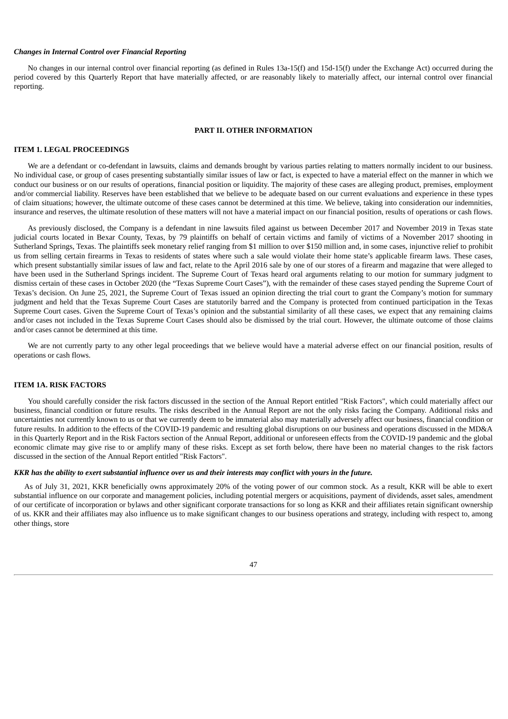#### *Changes in Internal Control over Financial Reporting*

No changes in our internal control over financial reporting (as defined in Rules 13a-15(f) and 15d-15(f) under the Exchange Act) occurred during the period covered by this Quarterly Report that have materially affected, or are reasonably likely to materially affect, our internal control over financial reporting.

### **PART II. OTHER INFORMATION**

### <span id="page-46-1"></span><span id="page-46-0"></span>**ITEM 1. LEGAL PROCEEDINGS**

We are a defendant or co-defendant in lawsuits, claims and demands brought by various parties relating to matters normally incident to our business. No individual case, or group of cases presenting substantially similar issues of law or fact, is expected to have a material effect on the manner in which we conduct our business or on our results of operations, financial position or liquidity. The majority of these cases are alleging product, premises, employment and/or commercial liability. Reserves have been established that we believe to be adequate based on our current evaluations and experience in these types of claim situations; however, the ultimate outcome of these cases cannot be determined at this time. We believe, taking into consideration our indemnities, insurance and reserves, the ultimate resolution of these matters will not have a material impact on our financial position, results of operations or cash flows.

As previously disclosed, the Company is a defendant in nine lawsuits filed against us between December 2017 and November 2019 in Texas state judicial courts located in Bexar County, Texas, by 79 plaintiffs on behalf of certain victims and family of victims of a November 2017 shooting in Sutherland Springs, Texas. The plaintiffs seek monetary relief ranging from \$1 million to over \$150 million and, in some cases, injunctive relief to prohibit us from selling certain firearms in Texas to residents of states where such a sale would violate their home state's applicable firearm laws. These cases, which present substantially similar issues of law and fact, relate to the April 2016 sale by one of our stores of a firearm and magazine that were alleged to have been used in the Sutherland Springs incident. The Supreme Court of Texas heard oral arguments relating to our motion for summary judgment to dismiss certain of these cases in October 2020 (the "Texas Supreme Court Cases"), with the remainder of these cases stayed pending the Supreme Court of Texas's decision. On June 25, 2021, the Supreme Court of Texas issued an opinion directing the trial court to grant the Company's motion for summary judgment and held that the Texas Supreme Court Cases are statutorily barred and the Company is protected from continued participation in the Texas Supreme Court cases. Given the Supreme Court of Texas's opinion and the substantial similarity of all these cases, we expect that any remaining claims and/or cases not included in the Texas Supreme Court Cases should also be dismissed by the trial court. However, the ultimate outcome of those claims and/or cases cannot be determined at this time.

We are not currently party to any other legal proceedings that we believe would have a material adverse effect on our financial position, results of operations or cash flows.

### <span id="page-46-2"></span>**ITEM 1A. RISK FACTORS**

You should carefully consider the risk factors discussed in the section of the Annual Report entitled "Risk Factors", which could materially affect our business, financial condition or future results. The risks described in the Annual Report are not the only risks facing the Company. Additional risks and uncertainties not currently known to us or that we currently deem to be immaterial also may materially adversely affect our business, financial condition or future results. In addition to the effects of the COVID-19 pandemic and resulting global disruptions on our business and operations discussed in the MD&A in this Quarterly Report and in the Risk Factors section of the Annual Report, additional or unforeseen effects from the COVID-19 pandemic and the global economic climate may give rise to or amplify many of these risks. Except as set forth below, there have been no material changes to the risk factors discussed in the section of the Annual Report entitled "Risk Factors".

### KKR has the ability to exert substantial influence over us and their interests may conflict with yours in the future.

As of July 31, 2021, KKR beneficially owns approximately 20% of the voting power of our common stock. As a result, KKR will be able to exert substantial influence on our corporate and management policies, including potential mergers or acquisitions, payment of dividends, asset sales, amendment of our certificate of incorporation or bylaws and other significant corporate transactions for so long as KKR and their affiliates retain significant ownership of us. KKR and their affiliates may also influence us to make significant changes to our business operations and strategy, including with respect to, among other things, store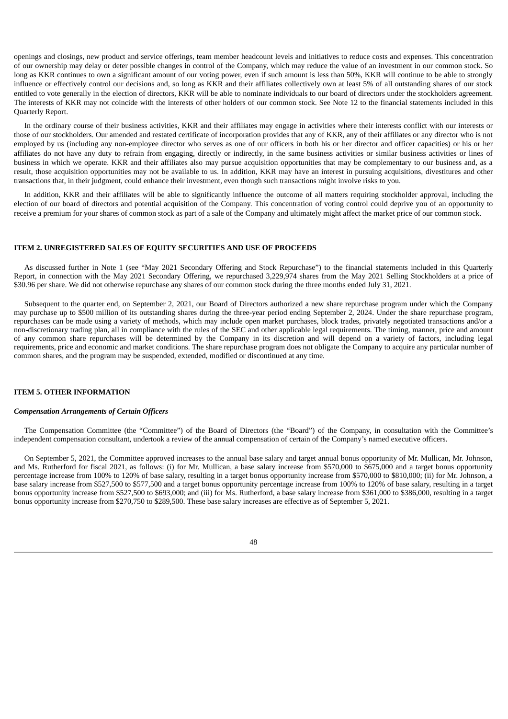openings and closings, new product and service offerings, team member headcount levels and initiatives to reduce costs and expenses. This concentration of our ownership may delay or deter possible changes in control of the Company, which may reduce the value of an investment in our common stock. So long as KKR continues to own a significant amount of our voting power, even if such amount is less than 50%, KKR will continue to be able to strongly influence or effectively control our decisions and, so long as KKR and their affiliates collectively own at least 5% of all outstanding shares of our stock entitled to vote generally in the election of directors, KKR will be able to nominate individuals to our board of directors under the stockholders agreement. The interests of KKR may not coincide with the interests of other holders of our common stock. See Note 12 to the financial statements included in this Quarterly Report.

In the ordinary course of their business activities, KKR and their affiliates may engage in activities where their interests conflict with our interests or those of our stockholders. Our amended and restated certificate of incorporation provides that any of KKR, any of their affiliates or any director who is not employed by us (including any non-employee director who serves as one of our officers in both his or her director and officer capacities) or his or her affiliates do not have any duty to refrain from engaging, directly or indirectly, in the same business activities or similar business activities or lines of business in which we operate. KKR and their affiliates also may pursue acquisition opportunities that may be complementary to our business and, as a result, those acquisition opportunities may not be available to us. In addition, KKR may have an interest in pursuing acquisitions, divestitures and other transactions that, in their judgment, could enhance their investment, even though such transactions might involve risks to you.

In addition, KKR and their affiliates will be able to significantly influence the outcome of all matters requiring stockholder approval, including the election of our board of directors and potential acquisition of the Company. This concentration of voting control could deprive you of an opportunity to receive a premium for your shares of common stock as part of a sale of the Company and ultimately might affect the market price of our common stock.

### <span id="page-47-0"></span>**ITEM 2. UNREGISTERED SALES OF EQUITY SECURITIES AND USE OF PROCEEDS**

As discussed further in Note 1 (see "May 2021 Secondary Offering and Stock Repurchase") to the financial statements included in this Quarterly Report, in connection with the May 2021 Secondary Offering, we repurchased 3,229,974 shares from the May 2021 Selling Stockholders at a price of \$30.96 per share. We did not otherwise repurchase any shares of our common stock during the three months ended July 31, 2021.

Subsequent to the quarter end, on September 2, 2021, our Board of Directors authorized a new share repurchase program under which the Company may purchase up to \$500 million of its outstanding shares during the three-year period ending September 2, 2024. Under the share repurchase program, repurchases can be made using a variety of methods, which may include open market purchases, block trades, privately negotiated transactions and/or a non-discretionary trading plan, all in compliance with the rules of the SEC and other applicable legal requirements. The timing, manner, price and amount of any common share repurchases will be determined by the Company in its discretion and will depend on a variety of factors, including legal requirements, price and economic and market conditions. The share repurchase program does not obligate the Company to acquire any particular number of common shares, and the program may be suspended, extended, modified or discontinued at any time.

### <span id="page-47-1"></span>**ITEM 5. OTHER INFORMATION**

#### *Compensation Arrangements of Certain Officers*

The Compensation Committee (the "Committee") of the Board of Directors (the "Board") of the Company, in consultation with the Committee's independent compensation consultant, undertook a review of the annual compensation of certain of the Company's named executive officers.

On September 5, 2021, the Committee approved increases to the annual base salary and target annual bonus opportunity of Mr. Mullican, Mr. Johnson, and Ms. Rutherford for fiscal 2021, as follows: (i) for Mr. Mullican, a base salary increase from \$570,000 to \$675,000 and a target bonus opportunity percentage increase from 100% to 120% of base salary, resulting in a target bonus opportunity increase from \$570,000 to \$810,000; (ii) for Mr. Johnson, a base salary increase from \$527,500 to \$577,500 and a target bonus opportunity percentage increase from 100% to 120% of base salary, resulting in a target bonus opportunity increase from \$527,500 to \$693,000; and (iii) for Ms. Rutherford, a base salary increase from \$361,000 to \$386,000, resulting in a target bonus opportunity increase from \$270,750 to \$289,500. These base salary increases are effective as of September 5, 2021.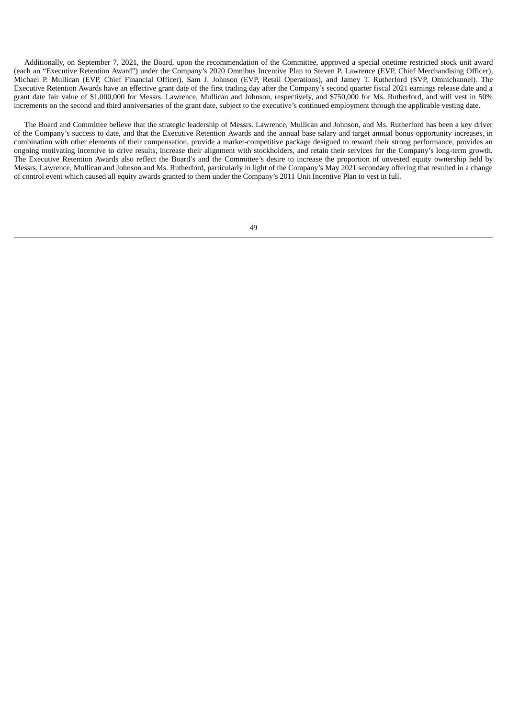Additionally, on September 7, 2021, the Board, upon the recommendation of the Committee, approved a special onetime restricted stock unit award (each an "Executive Retention Award") under the Company's 2020 Omnibus Incentive Plan to Steven P. Lawrence (EVP, Chief Merchandising Officer), Michael P. Mullican (EVP, Chief Financial Officer), Sam J. Johnson (EVP, Retail Operations), and Jamey T. Rutherford (SVP, Omnichannel). The Executive Retention Awards have an effective grant date of the first trading day after the Company's second quarter fiscal 2021 earnings release date and a grant date fair value of \$1,000,000 for Messrs. Lawrence, Mullican and Johnson, respectively, and \$750,000 for Ms. Rutherford, and will vest in 50% increments on the second and third anniversaries of the grant date, subject to the executive's continued employment through the applicable vesting date.

<span id="page-48-0"></span>The Board and Committee believe that the strategic leadership of Messrs. Lawrence, Mullican and Johnson, and Ms. Rutherford has been a key driver of the Company's success to date, and that the Executive Retention Awards and the annual base salary and target annual bonus opportunity increases, in combination with other elements of their compensation, provide a market-competitive package designed to reward their strong performance, provides an ongoing motivating incentive to drive results, increase their alignment with stockholders, and retain their services for the Company's long-term growth. The Executive Retention Awards also reflect the Board's and the Committee's desire to increase the proportion of unvested equity ownership held by Messrs. Lawrence, Mullican and Johnson and Ms. Rutherford, particularly in light of the Company's May 2021 secondary offering that resulted in a change of control event which caused all equity awards granted to them under the Company's 2011 Unit Incentive Plan to vest in full.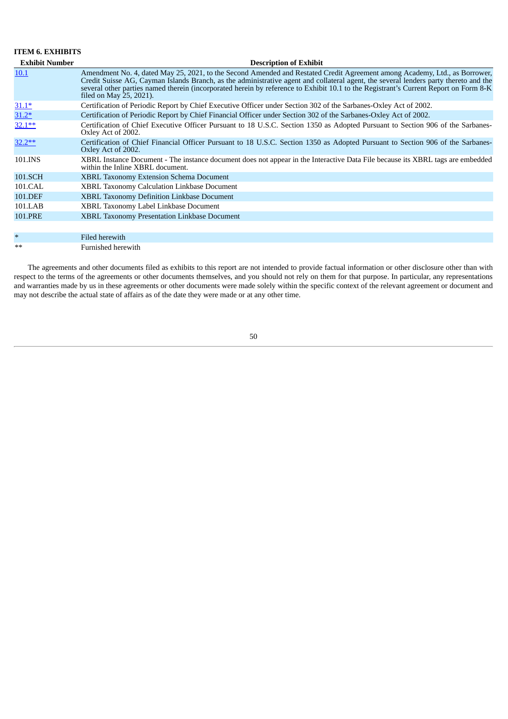# **ITEM 6. EXHIBITS**

| <b>Exhibit Number</b> | <b>Description of Exhibit</b>                                                                                                                                                                                                                                                                                                                                                                                                         |
|-----------------------|---------------------------------------------------------------------------------------------------------------------------------------------------------------------------------------------------------------------------------------------------------------------------------------------------------------------------------------------------------------------------------------------------------------------------------------|
| <u>10.1</u>           | Amendment No. 4, dated May 25, 2021, to the Second Amended and Restated Credit Agreement among Academy, Ltd., as Borrower,<br>Credit Suisse AG, Cayman Islands Branch, as the administrative agent and collateral agent, the several lenders party thereto and the<br>several other parties named therein (incorporated herein by reference to Exhibit 10.1 to the Registrant's Current Report on Form 8-K<br>filed on May 25, 2021). |
| $31.1*$               | Certification of Periodic Report by Chief Executive Officer under Section 302 of the Sarbanes-Oxley Act of 2002.                                                                                                                                                                                                                                                                                                                      |
| $31.2*$               | Certification of Periodic Report by Chief Financial Officer under Section 302 of the Sarbanes-Oxley Act of 2002.                                                                                                                                                                                                                                                                                                                      |
| $32.1**$              | Certification of Chief Executive Officer Pursuant to 18 U.S.C. Section 1350 as Adopted Pursuant to Section 906 of the Sarbanes-<br>Oxley Act of 2002.                                                                                                                                                                                                                                                                                 |
| $32.2**$              | Certification of Chief Financial Officer Pursuant to 18 U.S.C. Section 1350 as Adopted Pursuant to Section 906 of the Sarbanes-<br>Oxley Act of 2002.                                                                                                                                                                                                                                                                                 |
| 101.INS               | XBRL Instance Document - The instance document does not appear in the Interactive Data File because its XBRL tags are embedded<br>within the Inline XBRL document.                                                                                                                                                                                                                                                                    |
| 101.SCH               | <b>XBRL Taxonomy Extension Schema Document</b>                                                                                                                                                                                                                                                                                                                                                                                        |
| 101.CAL               | <b>XBRL Taxonomy Calculation Linkbase Document</b>                                                                                                                                                                                                                                                                                                                                                                                    |
| 101.DEF               | <b>XBRL Taxonomy Definition Linkbase Document</b>                                                                                                                                                                                                                                                                                                                                                                                     |
| 101.LAB               | XBRL Taxonomy Label Linkbase Document                                                                                                                                                                                                                                                                                                                                                                                                 |
| 101.PRE               | <b>XBRL Taxonomy Presentation Linkbase Document</b>                                                                                                                                                                                                                                                                                                                                                                                   |
|                       |                                                                                                                                                                                                                                                                                                                                                                                                                                       |
| $\ast$                | Filed herewith                                                                                                                                                                                                                                                                                                                                                                                                                        |
| $**$                  | Furnished herewith                                                                                                                                                                                                                                                                                                                                                                                                                    |

<span id="page-49-0"></span>The agreements and other documents filed as exhibits to this report are not intended to provide factual information or other disclosure other than with respect to the terms of the agreements or other documents themselves, and you should not rely on them for that purpose. In particular, any representations and warranties made by us in these agreements or other documents were made solely within the specific context of the relevant agreement or document and may not describe the actual state of affairs as of the date they were made or at any other time.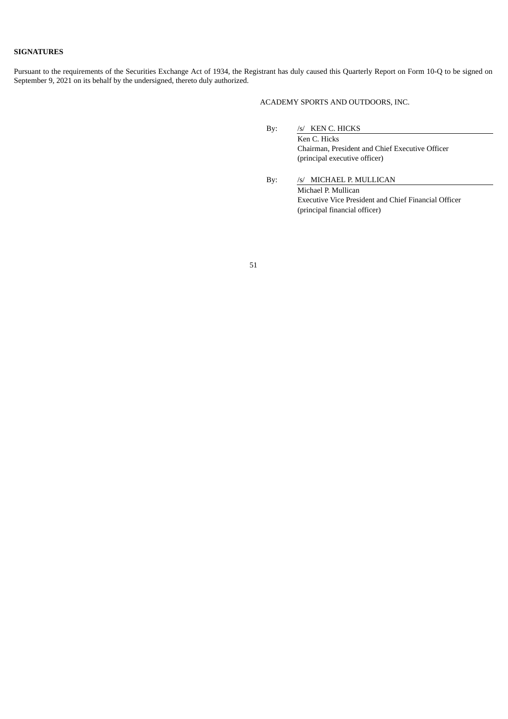# **SIGNATURES**

Pursuant to the requirements of the Securities Exchange Act of 1934, the Registrant has duly caused this Quarterly Report on Form 10-Q to be signed on September 9, 2021 on its behalf by the undersigned, thereto duly authorized.

ACADEMY SPORTS AND OUTDOORS, INC.

- By: /s/ KEN C. HICKS Ken C. Hicks Chairman, President and Chief Executive Officer (principal executive officer)
- By: /s/ MICHAEL P. MULLICAN Michael P. Mullican Executive Vice President and Chief Financial Officer (principal financial officer)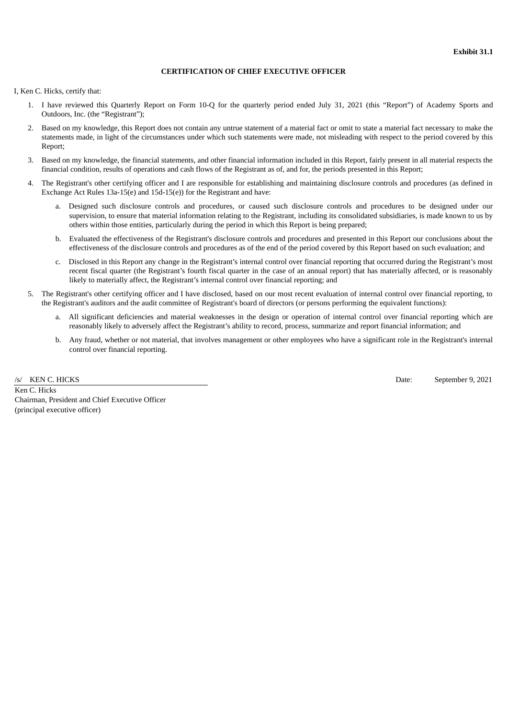### **CERTIFICATION OF CHIEF EXECUTIVE OFFICER**

<span id="page-51-0"></span>I, Ken C. Hicks, certify that:

- 1. I have reviewed this Quarterly Report on Form 10-Q for the quarterly period ended July 31, 2021 (this "Report") of Academy Sports and Outdoors, Inc. (the "Registrant");
- 2. Based on my knowledge, this Report does not contain any untrue statement of a material fact or omit to state a material fact necessary to make the statements made, in light of the circumstances under which such statements were made, not misleading with respect to the period covered by this Report;
- 3. Based on my knowledge, the financial statements, and other financial information included in this Report, fairly present in all material respects the financial condition, results of operations and cash flows of the Registrant as of, and for, the periods presented in this Report;
- 4. The Registrant's other certifying officer and I are responsible for establishing and maintaining disclosure controls and procedures (as defined in Exchange Act Rules 13a-15(e) and 15d-15(e)) for the Registrant and have:
	- a. Designed such disclosure controls and procedures, or caused such disclosure controls and procedures to be designed under our supervision, to ensure that material information relating to the Registrant, including its consolidated subsidiaries, is made known to us by others within those entities, particularly during the period in which this Report is being prepared;
	- b. Evaluated the effectiveness of the Registrant's disclosure controls and procedures and presented in this Report our conclusions about the effectiveness of the disclosure controls and procedures as of the end of the period covered by this Report based on such evaluation; and
	- c. Disclosed in this Report any change in the Registrant's internal control over financial reporting that occurred during the Registrant's most recent fiscal quarter (the Registrant's fourth fiscal quarter in the case of an annual report) that has materially affected, or is reasonably likely to materially affect, the Registrant's internal control over financial reporting; and
- 5. The Registrant's other certifying officer and I have disclosed, based on our most recent evaluation of internal control over financial reporting, to the Registrant's auditors and the audit committee of Registrant's board of directors (or persons performing the equivalent functions):
	- a. All significant deficiencies and material weaknesses in the design or operation of internal control over financial reporting which are reasonably likely to adversely affect the Registrant's ability to record, process, summarize and report financial information; and
	- b. Any fraud, whether or not material, that involves management or other employees who have a significant role in the Registrant's internal control over financial reporting.

/s/ KEN C. HICKS Date: September 9, 2021

Ken C. Hicks Chairman, President and Chief Executive Officer (principal executive officer)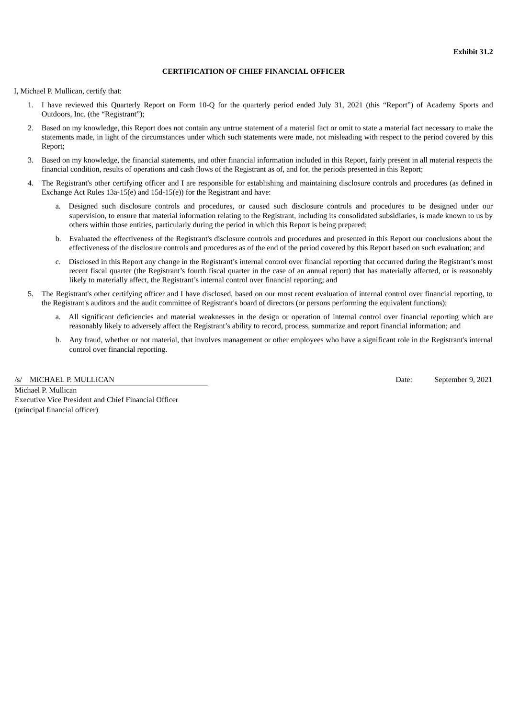### **CERTIFICATION OF CHIEF FINANCIAL OFFICER**

<span id="page-52-0"></span>I, Michael P. Mullican, certify that:

- 1. I have reviewed this Quarterly Report on Form 10-Q for the quarterly period ended July 31, 2021 (this "Report") of Academy Sports and Outdoors, Inc. (the "Registrant");
- 2. Based on my knowledge, this Report does not contain any untrue statement of a material fact or omit to state a material fact necessary to make the statements made, in light of the circumstances under which such statements were made, not misleading with respect to the period covered by this Report;
- 3. Based on my knowledge, the financial statements, and other financial information included in this Report, fairly present in all material respects the financial condition, results of operations and cash flows of the Registrant as of, and for, the periods presented in this Report;
- 4. The Registrant's other certifying officer and I are responsible for establishing and maintaining disclosure controls and procedures (as defined in Exchange Act Rules 13a-15(e) and 15d-15(e)) for the Registrant and have:
	- a. Designed such disclosure controls and procedures, or caused such disclosure controls and procedures to be designed under our supervision, to ensure that material information relating to the Registrant, including its consolidated subsidiaries, is made known to us by others within those entities, particularly during the period in which this Report is being prepared;
	- b. Evaluated the effectiveness of the Registrant's disclosure controls and procedures and presented in this Report our conclusions about the effectiveness of the disclosure controls and procedures as of the end of the period covered by this Report based on such evaluation; and
	- c. Disclosed in this Report any change in the Registrant's internal control over financial reporting that occurred during the Registrant's most recent fiscal quarter (the Registrant's fourth fiscal quarter in the case of an annual report) that has materially affected, or is reasonably likely to materially affect, the Registrant's internal control over financial reporting; and
- 5. The Registrant's other certifying officer and I have disclosed, based on our most recent evaluation of internal control over financial reporting, to the Registrant's auditors and the audit committee of Registrant's board of directors (or persons performing the equivalent functions):
	- a. All significant deficiencies and material weaknesses in the design or operation of internal control over financial reporting which are reasonably likely to adversely affect the Registrant's ability to record, process, summarize and report financial information; and
	- b. Any fraud, whether or not material, that involves management or other employees who have a significant role in the Registrant's internal control over financial reporting.

/s/ MICHAEL P. MULLICAN Date: September 9, 2021

Michael P. Mullican Executive Vice President and Chief Financial Officer (principal financial officer)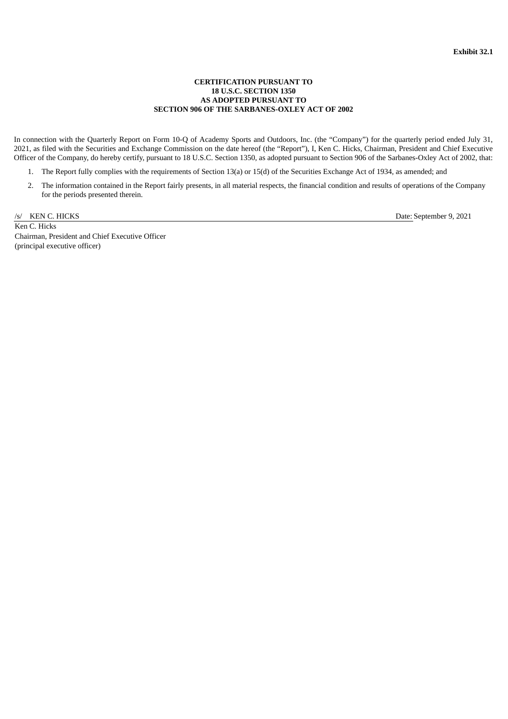### **CERTIFICATION PURSUANT TO 18 U.S.C. SECTION 1350 AS ADOPTED PURSUANT TO SECTION 906 OF THE SARBANES-OXLEY ACT OF 2002**

<span id="page-53-0"></span>In connection with the Quarterly Report on Form 10-Q of Academy Sports and Outdoors, Inc. (the "Company") for the quarterly period ended July 31, 2021, as filed with the Securities and Exchange Commission on the date hereof (the "Report"), I, Ken C. Hicks, Chairman, President and Chief Executive Officer of the Company, do hereby certify, pursuant to 18 U.S.C. Section 1350, as adopted pursuant to Section 906 of the Sarbanes-Oxley Act of 2002, that:

- 1. The Report fully complies with the requirements of Section 13(a) or 15(d) of the Securities Exchange Act of 1934, as amended; and
- 2. The information contained in the Report fairly presents, in all material respects, the financial condition and results of operations of the Company for the periods presented therein.

/s/ KEN C. HICKS Date: September 9, 2021

Ken C. Hicks Chairman, President and Chief Executive Officer (principal executive officer)